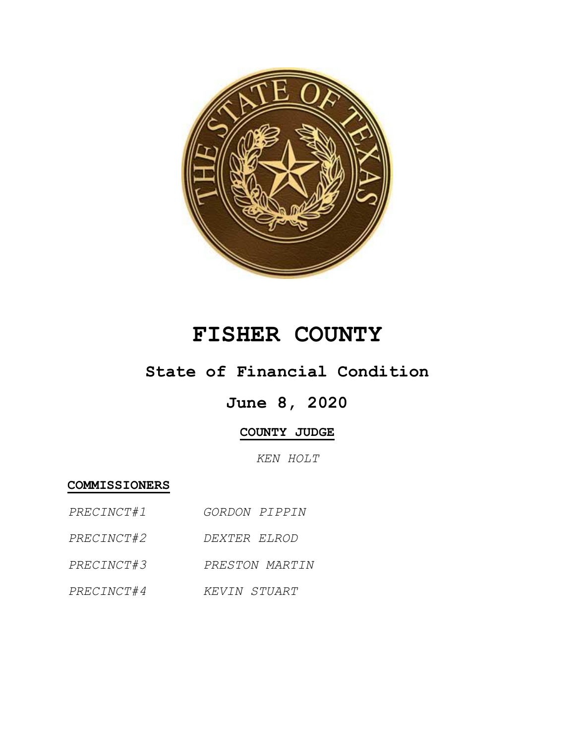

## **FISHER COUNTY**

## **State of Financial Condition**

## **June 8, 2020**

## **COUNTY JUDGE**

*KEN HOLT*

**COMMISSIONERS**

- *PRECINCT#1 GORDON PIPPIN*
- *PRECINCT#2 DEXTER ELROD*
- *PRECINCT#3 PRESTON MARTIN*
- *PRECINCT#4 KEVIN STUART*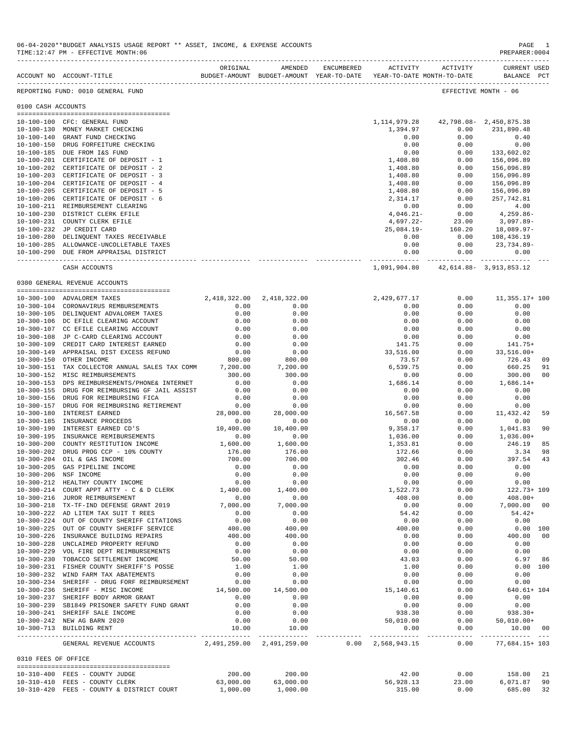|                       | ACCOUNT NO ACCOUNT-TITLE                          | ORIGINAL                  | AMENDED             | ENCUMBERED | ACTIVITY                  | ACTIVITY<br>BUDGET-AMOUNT BUDGET-AMOUNT YEAR-TO-DATE YEAR-TO-DATE MONTH-TO-DATE | <b>CURRENT USED</b><br>BALANCE PCT |
|-----------------------|---------------------------------------------------|---------------------------|---------------------|------------|---------------------------|---------------------------------------------------------------------------------|------------------------------------|
|                       | REPORTING FUND: 0010 GENERAL FUND                 |                           |                     |            |                           |                                                                                 | EFFECTIVE MONTH - 06               |
| 0100 CASH ACCOUNTS    |                                                   |                           |                     |            |                           |                                                                                 |                                    |
|                       |                                                   |                           |                     |            |                           |                                                                                 |                                    |
|                       | 10-100-100 CFC: GENERAL FUND                      |                           |                     |            | 1, 114, 979. 28           | 42,798.08 - 2,450,875.38                                                        |                                    |
|                       | 10-100-130 MONEY MARKET CHECKING                  |                           |                     |            | 1,394.97                  | 0.00                                                                            | 231,890.48                         |
|                       | 10-100-140 GRANT FUND CHECKING                    |                           |                     |            | 0.00                      | 0.00                                                                            | 0.40                               |
|                       | 10-100-150 DRUG FORFEITURE CHECKING               |                           |                     |            | 0.00                      | 0.00                                                                            | 0.00                               |
|                       | 10-100-185 DUE FROM I&S FUND                      |                           |                     |            | 0.00                      | 0.00                                                                            | 133,602.02                         |
|                       | 10-100-201 CERTIFICATE OF DEPOSIT - 1             |                           |                     |            | 1,408.80                  | 0.00                                                                            | 156,096.89                         |
|                       | 10-100-202 CERTIFICATE OF DEPOSIT - 2             |                           |                     |            | 1,408.80                  | 0.00                                                                            | 156,096.89                         |
|                       | 10-100-203 CERTIFICATE OF DEPOSIT - 3             |                           |                     |            | 1,408.80                  | 0.00                                                                            | 156,096.89                         |
|                       | 10-100-204 CERTIFICATE OF DEPOSIT - 4             |                           |                     |            | 1,408.80                  | 0.00                                                                            | 156,096.89                         |
|                       | 10-100-205 CERTIFICATE OF DEPOSIT - 5             |                           |                     |            | 1,408.80                  | 0.00                                                                            | 156,096.89                         |
|                       | 10-100-206 CERTIFICATE OF DEPOSIT - 6             |                           |                     |            | 2,314.17                  | 0.00                                                                            | 257,742.81                         |
|                       | 10-100-211 REIMBURSEMENT CLEARING                 |                           |                     |            | 0.00                      | 0.00                                                                            | 4.00                               |
|                       | 10-100-230 DISTRICT CLERK EFILE                   |                           |                     |            | $4,046.21-$               | 0.00                                                                            | 4,259.86-                          |
|                       | 10-100-231 COUNTY CLERK EFILE                     |                           |                     |            | 4,697.22-                 | 23.00                                                                           | 3,097.89-                          |
|                       | 10-100-232 JP CREDIT CARD                         |                           |                     |            | $25,084.19-$              | 160.20                                                                          | 18,089.97-                         |
|                       | 10-100-280 DELINQUENT TAXES RECEIVABLE            |                           |                     |            | 0.00                      | 0.00                                                                            | 108,436.19                         |
|                       | 10-100-285 ALLOWANCE-UNCOLLETABLE TAXES           |                           |                     |            | 0.00                      | 0.00                                                                            | 23,734.89-                         |
|                       | 10-100-290 DUE FROM APPRAISAL DISTRICT            |                           |                     |            | 0.00                      | 0.00                                                                            | 0.00                               |
|                       | CASH ACCOUNTS                                     |                           |                     |            |                           | 1,091,904.80 42,614.88 - 3,913,853.12                                           |                                    |
|                       | 0300 GENERAL REVENUE ACCOUNTS                     |                           |                     |            |                           |                                                                                 |                                    |
|                       |                                                   |                           |                     |            |                           |                                                                                 |                                    |
|                       | 10-300-100 ADVALOREM TAXES                        | 2,418,322.00              | 2,418,322.00        |            | 2,429,677.17              | 0.00                                                                            | 11,355.17+ 100                     |
|                       | 10-300-104 CORONAVIRUS REMBURSEMENTS              | 0.00                      | 0.00                |            | 0.00                      | 0.00                                                                            | 0.00                               |
|                       | 10-300-105 DELINQUENT ADVALOREM TAXES             | 0.00                      | 0.00                |            | 0.00                      | 0.00                                                                            | 0.00                               |
|                       | 10-300-106 DC EFILE CLEARING ACCOUNT              | 0.00                      | 0.00                |            | 0.00                      | 0.00                                                                            | 0.00                               |
|                       | 10-300-107 CC EFILE CLEARING ACCOUNT              | 0.00                      | 0.00                |            | 0.00                      | 0.00                                                                            | 0.00                               |
|                       | 10-300-108 JP C-CARD CLEARING ACCOUNT             | 0.00                      | 0.00                |            | 0.00                      | 0.00                                                                            | 0.00                               |
| 10-300-109            | CREDIT CARD INTEREST EARNED                       | 0.00                      | 0.00                |            | 141.75                    | 0.00                                                                            | 141.75+                            |
|                       | 10-300-149 APPRAISAL DIST EXCESS REFUND           | 0.00                      | 0.00                |            | 33,516.00                 | 0.00                                                                            | $33,516.00+$                       |
|                       | 10-300-150 OTHER INCOME                           | 800.00                    | 800.00              |            | 73.57                     | 0.00                                                                            | 726.43<br>09                       |
|                       | 10-300-151 TAX COLLECTOR ANNUAL SALES TAX COMM    | 7,200.00                  | 7,200.00            |            | 6,539.75                  | 0.00                                                                            | 660.25<br>91                       |
|                       | 10-300-152 MISC REIMBURSEMENTS                    | 300.00                    | 300.00              |            | 0.00                      | 0.00                                                                            | 300.00<br>00                       |
| $10 - 300 - 153$      | DPS REIMBURSEMENTS/PHONE& INTERNET                | 0.00                      | 0.00                |            | 1,686.14                  | 0.00                                                                            | $1,686.14+$                        |
| $10 - 300 - 155$      | DRUG FOR REIMBURSING GF JAIL ASSIST               | 0.00                      | 0.00                |            | 0.00                      | 0.00                                                                            | 0.00                               |
| $10 - 300 - 156$      | DRUG FOR REIMBURSING FICA                         | 0.00                      | 0.00                |            | 0.00                      | 0.00                                                                            | 0.00                               |
| $10 - 300 - 157$      | DRUG FOR REIMBURSING RETIREMENT                   | 0.00                      | 0.00                |            | 0.00                      | 0.00                                                                            | 0.00                               |
| $10 - 300 - 180$      | INTEREST EARNED                                   | 28,000.00                 | 28,000.00           |            | 16,567.58                 | 0.00                                                                            | 11,432.42<br>59                    |
| $10 - 300 - 185$      | INSURANCE PROCEEDS                                | 0.00                      | 0.00                |            | 0.00                      | 0.00                                                                            | 0.00                               |
| $10 - 300 - 190$      | INTEREST EARNED CD'S                              | 10,400.00                 | 10,400.00           |            | 9,358.17                  | 0.00                                                                            | 1,041.83<br>90                     |
| $10 - 300 - 195$      | INSURANCE REMIBURSEMENTS                          | 0.00                      | 0.00                |            | 1,036.00                  | 0.00                                                                            | $1,036.00+$                        |
| $10 - 300 - 200$      | COUNTY RESTITUTION INCOME                         | 1,600.00                  | 1,600.00            |            | 1,353.81                  | 0.00                                                                            | 246.19<br>85                       |
| 10-300-202            | DRUG PROG CCP - 10% COUNTY                        | 176.00                    | 176.00              |            | 172.66                    | 0.00                                                                            | 3.34<br>98                         |
|                       | 10-300-204 OIL & GAS INCOME                       | 700.00                    | 700.00              |            | 302.46                    | 0.00                                                                            | 397.54<br>43                       |
| $10 - 300 - 205$      | GAS PIPELINE INCOME                               | 0.00                      | 0.00                |            | 0.00                      | 0.00                                                                            | 0.00                               |
| 10-300-206 NSF INCOME |                                                   | 0.00                      | 0.00                |            | 0.00                      | 0.00                                                                            | 0.00                               |
|                       | 10-300-212 HEALTHY COUNTY INCOME                  | 0.00                      | 0.00                |            | 0.00                      | 0.00                                                                            | 0.00                               |
|                       | 10-300-214 COURT APPT ATTY - C & D CLERK 1,400.00 |                           | 1,400.00            |            | 1,522.73                  | 0.00                                                                            | 122.73+ 109                        |
|                       | 10-300-216 JUROR REIMBURSEMENT                    | 0.00                      | 0.00                |            | 408.00                    | 0.00                                                                            | $408.00+$                          |
|                       | 10-300-218 TX-TF-IND DEFENSE GRANT 2019           | 7,000.00                  | 7,000.00            |            | 0.00                      | 0.00                                                                            | 7,000.00 00                        |
|                       | 10-300-222 AD LITEM TAX SUIT T REES               | 0.00                      | 0.00                |            | 54.42                     | 0.00                                                                            | $54.42+$                           |
|                       | 10-300-224 OUT OF COUNTY SHERIFF CITATIONS        | 0.00                      | 0.00                |            | 0.00                      | 0.00                                                                            | 0.00                               |
|                       | 10-300-225 OUT OF COUNTY SHERIFF SERVICE          | 400.00                    | 400.00              |            | 400.00                    | 0.00                                                                            | $0.00$ 100                         |
|                       | 10-300-226 INSURANCE BUILDING REPAIRS             | 400.00                    | 400.00              |            | 0.00                      | 0.00                                                                            | 400.00 00                          |
|                       | 10-300-228 UNCLAIMED PROPERTY REFUND              | 0.00                      | 0.00                |            | 0.00                      | 0.00                                                                            | 0.00                               |
|                       | 10-300-229 VOL FIRE DEPT REIMBURSEMENTS           | 0.00                      | 0.00                |            | 0.00                      | 0.00                                                                            | 0.00                               |
|                       | 10-300-230 TOBACCO SETTLEMENT INCOME              | 50.00                     | 50.00               |            | 43.03                     | 0.00                                                                            | 6.97 86                            |
|                       | 10-300-231 FISHER COUNTY SHERIFF'S POSSE          | 1.00                      | 1.00                |            | 1.00                      | 0.00                                                                            | 0.00 100                           |
|                       | 10-300-232 WIND FARM TAX ABATEMENTS               | 0.00                      | 0.00                |            | 0.00                      | 0.00                                                                            | 0.00                               |
|                       | 10-300-234 SHERIFF - DRUG FORF REIMBURSEMENT      | 0.00                      | 0.00                |            | 0.00                      | 0.00                                                                            | 0.00                               |
|                       | 10-300-236 SHERIFF - MISC INCOME                  |                           | 14,500.00 14,500.00 |            | 15,140.61                 | 0.00                                                                            | 640.61+ 104                        |
|                       | 10-300-237 SHERIFF BODY ARMOR GRANT               | 0.00                      | 0.00                |            | 0.00                      | 0.00                                                                            | 0.00                               |
|                       |                                                   |                           |                     |            |                           |                                                                                 |                                    |
|                       | 10-300-239 SB1849 PRISONER SAFETY FUND GRANT      | 0.00                      | 0.00                |            | 0.00                      | 0.00                                                                            | 0.00                               |
|                       | 10-300-241 SHERIFF SALE INCOME                    | 0.00                      | 0.00                |            | 938.30                    | 0.00<br>0.00                                                                    | 938.30+                            |
|                       | 10-300-242 NEW AG BARN 2020                       | 0.00                      | 0.00                |            | 50,010.00                 |                                                                                 | 50,010.00+                         |
|                       | 10-300-713 BUILDING RENT                          | 10.00                     | 10.00               |            | 0.00                      | 0.00<br>-------------- ------------- -                                          | 10.00 00                           |
|                       | GENERAL REVENUE ACCOUNTS                          | 2,491,259.00 2,491,259.00 |                     |            | $0.00 \quad 2,568,943.15$ | 0.00                                                                            | 77,684.15+ 103                     |
| 0310 FEES OF OFFICE   |                                                   |                           |                     |            |                           |                                                                                 |                                    |
|                       |                                                   |                           |                     |            |                           |                                                                                 |                                    |
|                       | 10-310-400 FEES - COUNTY JUDGE                    | 200.00                    | 200.00              |            | 42.00                     | 0.00                                                                            | 158.00 21                          |
|                       | 10-310-410 FEES - COUNTY CLERK                    | 63,000.00                 | 63,000.00           |            | 56,928.13                 | 23.00                                                                           | 6,071.87 90                        |

10-310-420 FEES - COUNTY & DISTRICT COURT 1,000.00 1,000.00 315.00 0.00 685.00 32

06-04-2020\*\*BUDGET ANALYSIS USAGE REPORT \*\* ASSET, INCOME, & EXPENSE ACCOUNTS<br>TIME:12:47 PM - EFFECTIVE MONTH:06  $TIME:12:47 PM - EFFECTIVE MOMTH:06$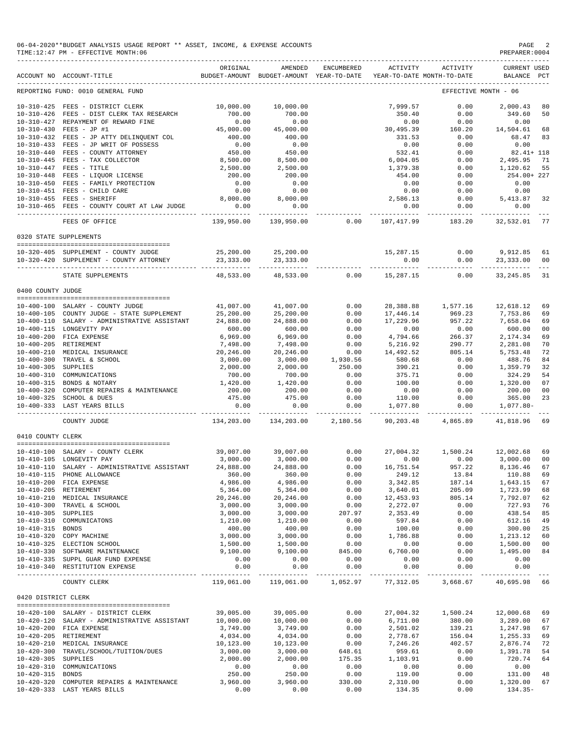|                     | 06-04-2020**BUDGET ANALYSIS USAGE REPORT ** ASSET, INCOME, & EXPENSE ACCOUNTS<br>TIME: 12:47 PM - EFFECTIVE MONTH: 06<br>---------------------------------                                                                                                                                                      |                        |                                                     |                             |                        |                                        | PAGE 2<br>PREPARER: 0004                |
|---------------------|-----------------------------------------------------------------------------------------------------------------------------------------------------------------------------------------------------------------------------------------------------------------------------------------------------------------|------------------------|-----------------------------------------------------|-----------------------------|------------------------|----------------------------------------|-----------------------------------------|
|                     | ACCOUNT NO ACCOUNT-TITLE                                                                                                                                                                                                                                                                                        | ORIGINAL               | AMENDED<br>BUDGET-AMOUNT BUDGET-AMOUNT YEAR-TO-DATE | ENCUMBERED                  | ACTIVITY               | ACTIVITY<br>YEAR-TO-DATE MONTH-TO-DATE | <b>CURRENT USED</b><br>BALANCE PCT      |
|                     | REPORTING FUND: 0010 GENERAL FUND                                                                                                                                                                                                                                                                               |                        |                                                     |                             |                        |                                        | EFFECTIVE MONTH - 06                    |
|                     | 10-310-425 FEES - DISTRICT CLERK                                                                                                                                                                                                                                                                                | 10,000.00              | 10,000.00                                           |                             | 7,999.57               | 0.00                                   | 2,000.43 80                             |
|                     | 10-310-426 FEES - DIST CLERK TAX RESEARCH                                                                                                                                                                                                                                                                       |                        |                                                     |                             | 350.40                 | 0.00                                   | 349.60<br>50                            |
|                     | 10-310-427 REPAYMENT OF REWARD FINE                                                                                                                                                                                                                                                                             | $700.00$<br>$0.00$     | $700.00$<br>$0.00$                                  |                             | 0.00                   | 0.00                                   | 0.00                                    |
|                     | 10-310-430 FEES - JP #1                                                                                                                                                                                                                                                                                         | 45,000.00              | 45,000.00                                           |                             | 0.00<br>30,495.39      | 160.20                                 | 14,504.61<br>68                         |
|                     |                                                                                                                                                                                                                                                                                                                 |                        | 400.00                                              |                             | 331.53                 | 0.00                                   | 68.47<br>83                             |
|                     | 10-310-433 FEES - JP WRIT OF POSSESS                                                                                                                                                                                                                                                                            | 0.00                   | 0.00                                                |                             | 0.00                   | 0.00                                   | 0.00                                    |
|                     | $10-310-440 \quad \text{FEES} - \text{COUNTY ATOENEN} \qquad \qquad 450.00 \\ 10-310-445 \quad \text{FEES} - \text{TAX COLLECTOR} \qquad \qquad 8,500.00 \\ 10-310-447 \quad \text{FEES} - \text{TITLE} \qquad \qquad 2,500.00 \\ 10-310-448 \quad \text{FEES} - \text{LIQUOR LICENSE} \qquad \qquad 200.00 \\$ |                        | 450.00                                              |                             | 532.41                 | 0.00                                   | $82.41 + 118$                           |
|                     |                                                                                                                                                                                                                                                                                                                 |                        | 8,500.00                                            |                             | 6,004.05               | 0.00                                   | 2,495.95<br>- 71                        |
|                     |                                                                                                                                                                                                                                                                                                                 |                        | 2,500.00                                            |                             | 1,379.38               | 0.00                                   | 1,120.62<br>55                          |
|                     | 10-310-448 FEES - LIQUOR LICENSE<br>10-310-450 FEES - FAMILY PROTECTION                                                                                                                                                                                                                                         |                        | 200.00                                              |                             | 454.00<br>0.00         | 0.00                                   | 254.00+ 227<br>0.00                     |
|                     | 10-310-451 FEES - CHILD CARE                                                                                                                                                                                                                                                                                    | 0.00<br>0.00           | 0.00<br>0.00                                        |                             | 0.00                   | 0.00<br>0.00                           | 0.00                                    |
|                     | 10-310-455 FEES - SHERIFF                                                                                                                                                                                                                                                                                       | 8,000.00               | 8,000.00                                            |                             |                        |                                        |                                         |
|                     | 10-310-465 FEES - COUNTY COURT AT LAW JUDGE                                                                                                                                                                                                                                                                     | 0.00                   | 0.00                                                | $2,586.13$<br>0.00          | 0.00                   |                                        | $0.00$ $5,413.87$ $32$<br>$0.00$ $0.00$ |
|                     | FEES OF OFFICE                                                                                                                                                                                                                                                                                                  | .<br>139,950.00        | ------------                                        |                             |                        | ------------ -------------             | -----------                             |
|                     | 0320 STATE SUPPLEMENTS                                                                                                                                                                                                                                                                                          |                        |                                                     |                             |                        |                                        |                                         |
|                     |                                                                                                                                                                                                                                                                                                                 |                        |                                                     |                             |                        |                                        |                                         |
|                     | 10-320-405 SUPPLEMENT - COUNTY JUDGE                                                                                                                                                                                                                                                                            |                        |                                                     |                             | 15,287.15              |                                        | $0.00$ 9,912.85 61                      |
|                     | 10-320-420 SUPPLEMENT - COUNTY ATTORNEY                                                                                                                                                                                                                                                                         | - ------------- -      |                                                     | ------------- ------------- | 0.00                   | 0.00                                   | 23,333.00 00                            |
|                     | STATE SUPPLEMENTS                                                                                                                                                                                                                                                                                               | 48,533.00              |                                                     | 48,533.00 0.00              | 15,287.15              | 0.00                                   | 33,245.85<br>31                         |
| 0400 COUNTY JUDGE   |                                                                                                                                                                                                                                                                                                                 |                        |                                                     |                             |                        |                                        |                                         |
|                     | 10-400-100 SALARY - COUNTY JUDGE                                                                                                                                                                                                                                                                                |                        |                                                     |                             |                        |                                        |                                         |
|                     |                                                                                                                                                                                                                                                                                                                 | 41,007.00              | 41,007.00                                           | 0.00                        | 28,388.88              | 1,577.16<br>969.23                     | 12,618.12<br>69                         |
|                     | 10-400-105 COUNTY JUDGE - STATE SUPPLEMENT<br>10-400-110 SALARY - ADMINISTRATIVE ASSISTANT                                                                                                                                                                                                                      | 25,200.00<br>24,888.00 | 25,200.00<br>24,888.00                              | 0.00<br>0.00                | 17,446.14<br>17,229.96 | 957.22                                 | 7,753.86<br>69<br>7,658.04<br>69        |
|                     | 10-400-115 LONGEVITY PAY                                                                                                                                                                                                                                                                                        | 600.00                 | 600.00                                              | 0.00                        | 0.00                   | 0.00                                   | 600.00<br>00                            |
|                     | 10-400-200 FICA EXPENSE                                                                                                                                                                                                                                                                                         | 6,969.00               | 6,969.00                                            | 0.00                        | 4,794.66               | $0.00$<br>266.37                       | 2,174.34<br>69                          |
|                     | 10-400-205 RETIREMENT                                                                                                                                                                                                                                                                                           | 7,498.00               | 7,498.00                                            | 0.00                        | 5,216.92               |                                        | 2,281.08<br>70                          |
|                     |                                                                                                                                                                                                                                                                                                                 | 20,246.00              | 20,246.00                                           | 0.00                        | 14,492.52              | 290.77<br>805.14                       | 5,753.48<br>72                          |
|                     | 10-400-210 MEDICAL INSURANCE<br>10-400-300 TRAVEL & SCHOOL<br>10-400-300 TRAVEL & SCHOOL                                                                                                                                                                                                                        | 3,000.00               | 3,000.00                                            | 1,930.56                    | 580.68                 | 0.00                                   | 488.76<br>84                            |
| 10-400-305 SUPPLIES |                                                                                                                                                                                                                                                                                                                 | 2,000.00               | 2,000.00                                            | 250.00                      | 390.21                 | 0.00                                   | 32<br>1,359.79                          |
|                     | 10-400-310 COMMUNICATIONS                                                                                                                                                                                                                                                                                       | 700.00                 | 700.00                                              | 0.00                        | 375.71                 | 0.00                                   | 54<br>324.29                            |
|                     | 10-400-315 BONDS & NOTARY                                                                                                                                                                                                                                                                                       | 1,420.00               | 1,420.00                                            | 0.00                        | 100.00                 | 0.00                                   | 07<br>1,320.00                          |
|                     | 10-400-320 COMPUTER REPAIRS & MAINTENANCE                                                                                                                                                                                                                                                                       | 200.00                 | 200.00                                              | 0.00                        | 0.00                   | 0.00                                   | 200.00<br>00                            |
|                     | 10-400-325 SCHOOL & DUES                                                                                                                                                                                                                                                                                        | 475.00                 | 475.00                                              | 0.00                        | 110.00                 | 0.00                                   | 365.00<br>23                            |
|                     | 10-400-333 LAST YEARS BILLS                                                                                                                                                                                                                                                                                     | 0.00                   | 0.00                                                | 0.00                        | 1,077.80               | 0.00                                   | 1,077.80-                               |
|                     | COUNTY JUDGE                                                                                                                                                                                                                                                                                                    | --------------         | 134,203.00 134,203.00                               |                             |                        | 2,180.56 90,203.48 4,865.89            | 41,818.96 69                            |
| 0410 COUNTY CLERK   |                                                                                                                                                                                                                                                                                                                 |                        |                                                     |                             |                        |                                        |                                         |
|                     |                                                                                                                                                                                                                                                                                                                 | 39,007.00              | 39,007.00                                           | 0.00                        |                        |                                        | 27,004.32   1,500.24   12,002.68<br>69  |
|                     | 10-410-100 SALARY - COUNTY CLERK<br>10-410-105 LONGEVITY PAY<br>10-410-105 LONGEVITY PAY                                                                                                                                                                                                                        |                        | 3,000.00 3,000.00                                   |                             |                        |                                        | $0.00$ 0.00 0.00 3,000.00<br>00         |
|                     | 10-410-110 SALARY - ADMINISTRATIVE ASSISTANT                                                                                                                                                                                                                                                                    | 24,888.00              | 24,888.00                                           | 0.00                        | 16,751.54              | 957.22                                 | 8,136.46<br>67                          |
|                     | 10-410-115 PHONE ALLOWANCE                                                                                                                                                                                                                                                                                      | 360.00                 | 360.00                                              | 0.00                        | 249.12                 | 13.84                                  | 110.88<br>69                            |
|                     | 10-410-200 FICA EXPENSE                                                                                                                                                                                                                                                                                         | 4,986.00               | 4,986.00                                            | 0.00                        | 3, 342.85              | 187.14                                 | 1,643.15<br>67                          |
|                     | 10-410-205 RETIREMENT                                                                                                                                                                                                                                                                                           | 5,364.00               | 5,364.00                                            | 0.00                        | 3,640.01               | 205.09                                 | 1,723.99<br>68                          |
|                     | 10-410-210 MEDICAL INSURANCE                                                                                                                                                                                                                                                                                    | 20,246.00              | 20,246.00                                           | 0.00                        | 12,453.93              | 805.14                                 | 7,792.07<br>62                          |
|                     | 10-410-300 TRAVEL & SCHOOL                                                                                                                                                                                                                                                                                      | 3,000.00               | 3,000.00                                            | 0.00                        | 2,272.07               | 0.00                                   | 727.93<br>76                            |
| 10-410-305 SUPPLIES |                                                                                                                                                                                                                                                                                                                 | 3,000.00               | 3,000.00                                            | 207.97                      | 2,353.49               | 0.00                                   | 438.54<br>85                            |
|                     | 10-410-310 COMMUNICATONS                                                                                                                                                                                                                                                                                        | 1,210.00               | 1,210.00                                            | 0.00                        | 597.84                 | 0.00                                   | 612.16<br>49                            |
| 10-410-315 BONDS    |                                                                                                                                                                                                                                                                                                                 | 400.00                 | 400.00                                              | 0.00                        | 100.00                 | 0.00                                   | 300.00<br>25                            |
|                     | 10-410-320 COPY MACHINE                                                                                                                                                                                                                                                                                         | 3,000.00               | 3,000.00                                            | 0.00                        | 1,786.88               | 0.00                                   | 1,213.12<br>60                          |
|                     | 10-410-325 ELECTION SCHOOL                                                                                                                                                                                                                                                                                      | 1,500.00               | 1,500.00                                            | 0.00                        | 0.00                   | 0.00                                   | 1,500.00<br>00                          |
|                     | 10-410-330 SOFTWARE MAINTENANCE                                                                                                                                                                                                                                                                                 | 9,100.00               | 9,100.00                                            | 845.00                      | 6,760.00               | 0.00                                   | 1,495.00<br>84                          |
|                     | 10-410-335 SUPPL GUAR FUND EXPENSE                                                                                                                                                                                                                                                                              | 0.00                   | 0.00                                                | 0.00                        | 0.00                   | 0.00                                   | 0.00                                    |
|                     | 10-410-340 RESTITUTION EXPENSE                                                                                                                                                                                                                                                                                  | 0.00                   | 0.00<br>-------------                               | 0.00<br>-------------       | 0.00                   | 0.00                                   | 0.00<br>-------------                   |
|                     | COUNTY CLERK                                                                                                                                                                                                                                                                                                    | 119,061.00             | 119,061.00                                          | 1,052.97                    | 77,312.05              | 3,668.67                               | 40,695.98<br>66                         |
| 0420 DISTRICT CLERK |                                                                                                                                                                                                                                                                                                                 |                        |                                                     |                             |                        |                                        |                                         |
|                     |                                                                                                                                                                                                                                                                                                                 | 39,005.00              | 39,005.00                                           | 0.00                        | 27,004.32              | 1,500.24                               | 12,000.68                               |
|                     | 10-420-100 SALARY - DISTRICT CLERK<br>10-420-120 SALARY - ADMINISTRATIVE ASSISTANT                                                                                                                                                                                                                              | 10,000.00              | 10,000.00                                           | 0.00                        | 6,711.00               | 380.00                                 | 69<br>3,289.00<br>67                    |
|                     |                                                                                                                                                                                                                                                                                                                 |                        |                                                     |                             |                        |                                        |                                         |
|                     | 10-420-200 FICA EXPENSE                                                                                                                                                                                                                                                                                         | 3,749.00               | 3,749.00                                            | 0.00<br>0.00                | 2,501.02               | 139.21                                 | 1,247.98<br>67                          |
|                     | 10-420-205 RETIREMENT                                                                                                                                                                                                                                                                                           | 4,034.00               | 4,034.00                                            |                             | 2,778.67               | 156.04                                 | 1,255.33<br>69                          |
|                     | 10-420-210 MEDICAL INSURANCE                                                                                                                                                                                                                                                                                    | 10,123.00<br>3,000.00  | 10,123.00<br>3,000.00                               | 0.00                        | 7,246.26<br>959.61     | 402.57<br>0.00                         | 2,876.74<br>72                          |
| 10-420-305 SUPPLIES | 10-420-300 TRAVEL/SCHOOL/TUITION/DUES                                                                                                                                                                                                                                                                           | 2,000.00               | 2,000.00                                            | 648.61                      | 1,103.91               | 0.00                                   | 1,391.78<br>54<br>720.74                |
|                     | 10-420-310 COMMUNICATIONS                                                                                                                                                                                                                                                                                       | 0.00                   | 0.00                                                | 175.35<br>0.00              | 0.00                   | 0.00                                   | 64<br>0.00                              |
| 10-420-315 BONDS    |                                                                                                                                                                                                                                                                                                                 | 250.00                 | 250.00                                              | 0.00                        | 119.00                 | 0.00                                   | 131.00<br>48                            |
| $10 - 420 - 320$    | COMPUTER REPAIRS & MAINTENANCE                                                                                                                                                                                                                                                                                  | 3,960.00               | 3,960.00                                            | 330.00                      | 2,310.00               | 0.00                                   | 1,320.00<br>67                          |
|                     | 10-420-333 LAST YEARS BILLS                                                                                                                                                                                                                                                                                     | 0.00                   | 0.00                                                | 0.00                        | 134.35                 | 0.00                                   | $134.35-$                               |
|                     |                                                                                                                                                                                                                                                                                                                 |                        |                                                     |                             |                        |                                        |                                         |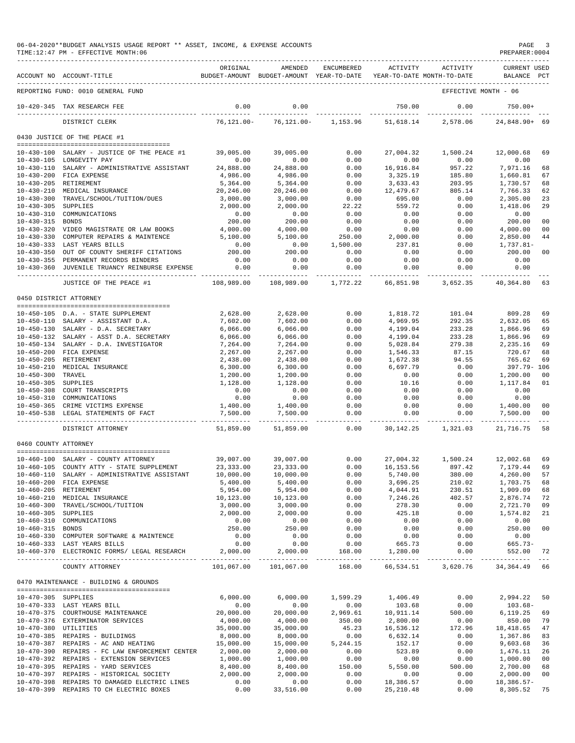|                      | 06-04-2020**BUDGET ANALYSIS USAGE REPORT ** ASSET, INCOME, & EXPENSE ACCOUNTS<br>TIME:12:47 PM - EFFECTIVE MONTH:06 |                          |                                                                                |                          |                         |                                     | PAGE<br>PREPARER: 0004                    | -3                   |
|----------------------|---------------------------------------------------------------------------------------------------------------------|--------------------------|--------------------------------------------------------------------------------|--------------------------|-------------------------|-------------------------------------|-------------------------------------------|----------------------|
|                      | ACCOUNT NO ACCOUNT-TITLE                                                                                            | ORIGINAL                 | AMENDED<br>BUDGET-AMOUNT BUDGET-AMOUNT YEAR-TO-DATE YEAR-TO-DATE MONTH-TO-DATE | ENCUMBERED               |                         | ACTIVITY ACTIVITY                   | CURRENT USED<br>BALANCE PCT               |                      |
|                      | REPORTING FUND: 0010 GENERAL FUND                                                                                   |                          |                                                                                |                          |                         | EFFECTIVE MONTH - 06                |                                           |                      |
|                      | 10-420-345 TAX RESEARCH FEE                                                                                         | 0.00                     | 0.00                                                                           |                          | 750.00                  | 0.00                                | $750.00+$                                 |                      |
|                      | DISTRICT CLERK                                                                                                      | 76,121.00-               | 76,121.00-                                                                     | 1,153.96                 | 51,618.14               | 2,578.06                            | 24,848.90+ 69                             |                      |
|                      | 0430 JUSTICE OF THE PEACE #1                                                                                        |                          |                                                                                |                          |                         |                                     |                                           |                      |
|                      |                                                                                                                     |                          |                                                                                |                          |                         |                                     |                                           |                      |
|                      | 10-430-100 SALARY - JUSTICE OF THE PEACE #1                                                                         | 39,005.00                | 39,005.00                                                                      | 0.00                     | 27,004.32               | 1,500.24                            | 12,000.68                                 | 69                   |
|                      | 10-430-105 LONGEVITY PAY<br>10-430-110 SALARY - ADMINISTRATIVE ASSISTANT                                            | 0.00<br>24,888.00        | 0.00<br>24,888.00                                                              | 0.00<br>0.00             | 0.00<br>16,916.84       | 0.00<br>957.22                      | 0.00<br>7,971.16                          | 68                   |
|                      | 10-430-200 FICA EXPENSE                                                                                             | 4,986.00                 | 4,986.00                                                                       | 0.00                     | 3,325.19                | 185.80                              | 1,660.81                                  | 67                   |
|                      | 10-430-205 RETIREMENT                                                                                               | 5,364.00                 | 5,364.00                                                                       | 0.00                     | 3,633.43                | 203.95                              | 1,730.57                                  | 68                   |
|                      | 10-430-210 MEDICAL INSURANCE                                                                                        | 20,246.00                | 20,246.00                                                                      | 0.00                     | 12,479.67               | 805.14                              | 7,766.33                                  | 62                   |
|                      | 10-430-300 TRAVEL/SCHOOL/TUITION/DUES                                                                               | 3,000.00                 | 3,000.00                                                                       | 0.00                     | 695.00                  | 0.00                                | 2,305.00                                  | 23                   |
| 10-430-305 SUPPLIES  |                                                                                                                     | 2,000.00                 | 2,000.00                                                                       | 22.22                    | 559.72                  | 0.00                                | 1,418.06                                  | 29                   |
|                      | 10-430-310 COMMUNICATIONS                                                                                           | 0.00                     | 0.00                                                                           | 0.00                     | 0.00                    | 0.00                                | 0.00                                      |                      |
| 10-430-315 BONDS     | 10-430-320 VIDEO MAGISTRATE OR LAW BOOKS                                                                            | 200.00<br>4,000.00       | 200.00                                                                         | 0.00                     | 0.00<br>0.00            | 0.00<br>0.00                        | 200.00                                    | 0 <sup>0</sup><br>00 |
|                      | 10-430-330 COMPUTER REPAIRS & MAINTENCE                                                                             | 5,100.00                 | 4,000.00<br>5,100.00                                                           | 0.00<br>250.00           | 2,000.00                | 0.00                                | 4,000.00<br>2,850.00                      | 44                   |
|                      | 10-430-333 LAST YEARS BILLS                                                                                         | 0.00                     | 0.00                                                                           | 1,500.00                 | 237.81                  | 0.00                                | 1,737.81-                                 |                      |
|                      | 10-430-350 OUT OF COUNTY SHERIFF CITATIONS                                                                          | 200.00                   | 200.00                                                                         | 0.00                     | 0.00                    | 0.00                                | 200.00                                    | 0 <sub>0</sub>       |
|                      | 10-430-355 PERMANENT RECORDS BINDERS                                                                                | 0.00                     | 0.00                                                                           | 0.00                     | 0.00                    | 0.00                                | 0.00                                      |                      |
|                      | 10-430-360 JUVENILE TRUANCY REINBURSE EXPENSE                                                                       | 0.00                     | 0.00                                                                           | 0.00                     | 0.00                    | 0.00                                | 0.00                                      |                      |
|                      | JUSTICE OF THE PEACE #1                                                                                             | . <u>.</u><br>108,989.00 | -------------<br>108,989.00                                                    | ------------<br>1,772.22 | 66,851.98               | . <u>.</u> .<br>3,652.35            | -------------<br>40,364.80                | 63                   |
|                      | 0450 DISTRICT ATTORNEY                                                                                              |                          |                                                                                |                          |                         |                                     |                                           |                      |
|                      |                                                                                                                     |                          |                                                                                |                          |                         |                                     |                                           |                      |
|                      | 10-450-105 D.A. - STATE SUPPLEMENT                                                                                  | 2,628.00                 | 2,628.00                                                                       | 0.00                     | 1,818.72                | 101.04                              | 809.28                                    | 69                   |
|                      | 10-450-110 SALARY - ASSISTANT D.A.                                                                                  | 7,602.00                 | 7,602.00                                                                       | 0.00                     | 4,969.95                | 292.35                              | 2,632.05                                  | 65                   |
|                      | 10-450-130 SALARY - D.A. SECRETARY                                                                                  | 6,066.00                 | 6,066.00                                                                       | 0.00                     | 4,199.04                | 233.28                              | 1,866.96                                  | 69                   |
|                      | 10-450-132 SALARY - ASST D.A. SECRETARY<br>10-450-134 SALARY - D.A. INVESTIGATOR                                    | 6,066.00<br>7,264.00     | 6,066.00<br>7,264.00                                                           | 0.00<br>0.00             | 4,199.04                | 233.28                              | 1,866.96                                  | 69<br>69             |
|                      | 10-450-200 FICA EXPENSE                                                                                             | 2,267.00                 | 2,267.00                                                                       | 0.00                     | 5,028.84<br>1,546.33    | 279.38<br>87.15                     | 2,235.16<br>720.67                        | 68                   |
|                      | 10-450-205 RETIREMENT                                                                                               | 2,438.00                 | 2,438.00                                                                       | 0.00                     | 1,672.38                | 94.55                               | 765.62                                    | 69                   |
|                      | 10-450-210 MEDICAL INSURANCE                                                                                        | 6,300.00                 | 6,300.00                                                                       | 0.00                     | 6,697.79                | 0.00                                | 397.79- 106                               |                      |
| 10-450-300 TRAVEL    |                                                                                                                     | 1,200.00                 | 1,200.00                                                                       | 0.00                     | 0.00                    | 0.00                                | 1,200.00                                  | 00                   |
|                      | 10-450-305 SUPPLIES<br>10-450-305 SUPPLIES<br>10-450-308 COURT TRANSCRIPTS                                          | 1,128.00                 | 1,128.00                                                                       | 0.00                     | 10.16                   | 0.00                                | 1,117.84                                  | 01                   |
|                      |                                                                                                                     | 0.00                     | 0.00                                                                           | 0.00                     | 0.00                    | 0.00                                | 0.00                                      |                      |
|                      | 10-450-310 COMMUNICATIONS                                                                                           | 0.00                     | 0.00                                                                           | 0.00                     | 0.00                    | 0.00                                | 0.00                                      |                      |
|                      | 10-450-365 CRIME VICTIMS EXPENSE                                                                                    | 1,400.00                 | 1,400.00                                                                       | 0.00                     | 0.00                    | 0.00                                | 1,400.00                                  | 00                   |
|                      | 10-450-538 LEGAL STATEMENTS OF FACT                                                                                 | 7,500.00<br>-----------  | 7,500.00<br>.                                                                  | 0.00<br>---------        | 0.00<br>----------      | 0.00                                | 7,500.00<br>_____________________________ | 0 <sup>0</sup>       |
|                      | DISTRICT ATTORNEY                                                                                                   | 51,859.00                | 51,859.00                                                                      | 0.00                     | 30,142.25               | 1,321.03                            | 21,716.75                                 | 58                   |
| 0460 COUNTY ATTORNEY |                                                                                                                     |                          |                                                                                |                          |                         |                                     |                                           |                      |
|                      | 10-460-100 SALARY - COUNTY ATTORNEY                                                                                 |                          | 39,007.00 39,007.00                                                            |                          |                         | $0.00$ 27,004.32 1,500.24 12,002.68 |                                           | 69                   |
|                      | 10-460-105 COUNTY ATTY - STATE SUPPLEMENT                                                                           | 23, 333.00               | 23, 333.00                                                                     | 0.00                     | 16, 153.56              | 897.42                              | 7,179.44                                  | 69                   |
|                      | 10-460-110 SALARY - ADMINISTRATIVE ASSISTANT                                                                        | 10,000.00                | 10,000.00                                                                      | 0.00                     | 5,740.00                | 380.00                              | 4,260.00                                  | 57                   |
|                      | 10-460-200 FICA EXPENSE                                                                                             | 5,400.00                 | 5,400.00                                                                       | 0.00                     | 3,696.25                | 210.02                              | 1,703.75                                  | 68                   |
|                      | 10-460-205 RETIREMENT<br>10-460-210 MEDICAL INSURANCE                                                               | 5,954.00<br>10,123.00    | 5,954.00<br>10,123.00                                                          | 0.00<br>0.00             | 4,044.91<br>7,246.26    | 230.51<br>402.57                    | 1,909.09<br>2,876.74                      | 68<br>72             |
|                      | 10-460-300 TRAVEL/SCHOOL/TUITION                                                                                    | 3,000.00                 | 3,000.00                                                                       | 0.00                     | 278.30                  | 0.00                                | 2,721.70                                  | 09                   |
| 10-460-305 SUPPLIES  |                                                                                                                     | 2,000.00                 | 2,000.00                                                                       | 0.00                     | 425.18                  | 0.00                                | 1,574.82                                  | 21                   |
|                      | 10-460-310 COMMUNICATIONS                                                                                           | 0.00                     | 0.00                                                                           | 0.00                     | 0.00                    | 0.00                                | 0.00                                      |                      |
| 10-460-315 BONDS     |                                                                                                                     | 250.00                   | 250.00                                                                         | 0.00                     | 0.00                    | 0.00                                | 250.00                                    | 0 <sub>0</sub>       |
|                      | 10-460-330 COMPUTER SOFTWARE & MAINTENCE                                                                            | 0.00                     | 0.00                                                                           | 0.00                     | 0.00                    | 0.00                                | 0.00                                      |                      |
|                      | 10-460-333 LAST YEARS BILLS<br>10-460-370 ELECTRONIC FORMS/ LEGAL RESEARCH                                          | 0.00<br>2,000.00         | 0.00<br>2,000.00                                                               | 0.00<br>168.00           | 665.73<br>1,280.00      | 0.00<br>0.00                        | 665.73-<br>552.00 72                      |                      |
|                      | COUNTY ATTORNEY                                                                                                     |                          | 101,067.00 101,067.00                                                          | 168.00                   |                         | 66,534.51 3,620.76                  | 34, 364. 49 66                            |                      |
|                      | 0470 MAINTENANCE - BUILDING & GROUNDS                                                                               |                          |                                                                                |                          |                         |                                     |                                           |                      |
|                      |                                                                                                                     |                          |                                                                                |                          |                         |                                     |                                           |                      |
| 10-470-305 SUPPLIES  |                                                                                                                     | 6,000.00                 | 6,000.00                                                                       | 1,599.29                 | 1,406.49                | 0.00                                | 2,994.22                                  | 50                   |
|                      | 10-470-333 LAST YEARS BILL                                                                                          | 0.00                     | 0.00                                                                           | 0.00                     | 103.68                  | 0.00                                | $103.68 -$                                |                      |
|                      | 10-470-375 COURTHOUSE MAINTENANCE                                                                                   | 20,000.00                | 20,000.00                                                                      | 2,969.61                 | 10,911.14               | 500.00                              | 6,119.25                                  | 69                   |
| 10-470-380 UTILITIES | 10-470-376 EXTERMINATOR SERVICES                                                                                    | 4,000.00<br>35,000.00    | 4,000.00<br>35,000.00                                                          | 350.00<br>45.23          | 2,800.00<br>16,536.12   | 0.00<br>172.96                      | 850.00<br>18,418.65                       | 79<br>47             |
|                      | 10-470-385 REPAIRS - BUILDINGS                                                                                      | 8,000.00                 | 8,000.00                                                                       | 0.00                     | 6,632.14                | 0.00                                | 1,367.86                                  | 83                   |
|                      | 10-470-387 REPAIRS - AC AND HEATING                                                                                 | 15,000.00                | 15,000.00                                                                      | 5,244.15                 | 152.17                  | 0.00                                | 9,603.68                                  | 36                   |
|                      | 10-470-390 REPAIRS - FC LAW ENFORCEMENT CENTER                                                                      | 2,000.00                 | 2,000.00                                                                       | 0.00                     | 523.89                  | 0.00                                | 1,476.11                                  | 26                   |
|                      | 10-470-392 REPAIRS - EXTENSION SERVICES                                                                             | 1,000.00                 | 1,000.00                                                                       | 0.00                     | 0.00                    | 0.00                                | 1,000.00                                  | 0 <sub>0</sub>       |
|                      | 10-470-395 REPAIRS - YARD SERVICES                                                                                  | 8,400.00                 | 8,400.00                                                                       | 150.00                   | 5,550.00                | 500.00                              | 2,700.00                                  | 68                   |
|                      | 10-470-397 REPAIRS - HISTORICAL SOCIETY                                                                             | 2,000.00                 | 2,000.00                                                                       | 0.00                     | 0.00                    | 0.00                                | 2,000.00                                  | 00                   |
|                      | 10-470-398 REPAIRS TO DAMAGED ELECTRIC LINES<br>10-470-399 REPAIRS TO CH ELECTRIC BOXES                             | 0.00<br>0.00             | 0.00<br>33,516.00                                                              | 0.00<br>0.00             | 18,386.57<br>25, 210.48 | 0.00<br>0.00                        | $18,386.57-$<br>8,305.52                  | 75                   |
|                      |                                                                                                                     |                          |                                                                                |                          |                         |                                     |                                           |                      |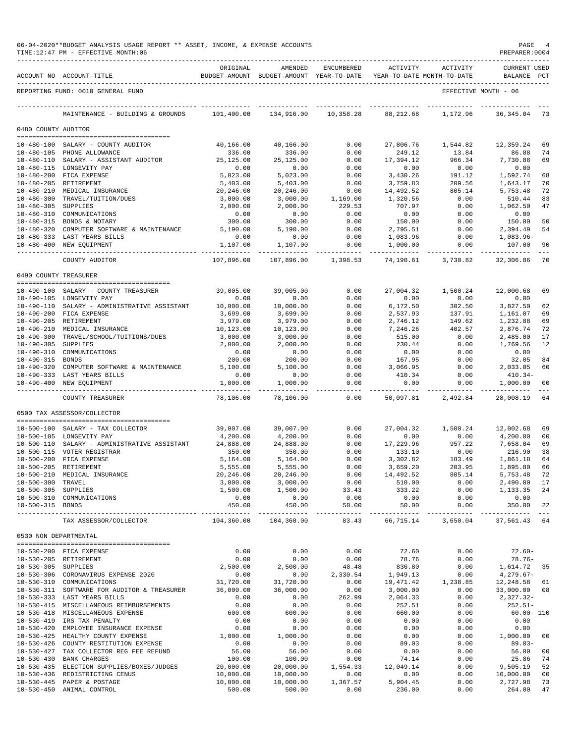|                       | 06-04-2020**BUDGET ANALYSIS USAGE REPORT ** ASSET, INCOME, & EXPENSE ACCOUNTS<br>TIME:12:47 PM - EFFECTIVE MONTH:06 |                         |                                                     |                       |                                        |                         | PAGE<br>PREPARER: 0004             | 4                                                                                                                                                                                                                                                                                                                                                                                            |
|-----------------------|---------------------------------------------------------------------------------------------------------------------|-------------------------|-----------------------------------------------------|-----------------------|----------------------------------------|-------------------------|------------------------------------|----------------------------------------------------------------------------------------------------------------------------------------------------------------------------------------------------------------------------------------------------------------------------------------------------------------------------------------------------------------------------------------------|
|                       | ACCOUNT NO ACCOUNT-TITLE                                                                                            | ORIGINAL                | AMENDED<br>BUDGET-AMOUNT BUDGET-AMOUNT YEAR-TO-DATE | ENCUMBERED            | ACTIVITY<br>YEAR-TO-DATE MONTH-TO-DATE | ACTIVITY                | <b>CURRENT USED</b><br>BALANCE PCT |                                                                                                                                                                                                                                                                                                                                                                                              |
|                       | REPORTING FUND: 0010 GENERAL FUND                                                                                   |                         |                                                     |                       |                                        |                         | EFFECTIVE MONTH - 06               |                                                                                                                                                                                                                                                                                                                                                                                              |
|                       | MAINTENANCE - BUILDING & GROUNDS                                                                                    | 101,400.00              | 134,916.00                                          | 10,358.28             | 88,212.68                              | 1,172.96                | 36, 345.04                         | 73                                                                                                                                                                                                                                                                                                                                                                                           |
| 0480 COUNTY AUDITOR   |                                                                                                                     |                         |                                                     |                       |                                        |                         |                                    |                                                                                                                                                                                                                                                                                                                                                                                              |
|                       | 10-480-100 SALARY - COUNTY AUDITOR                                                                                  | 40,166.00               | 40,166.00                                           | 0.00                  | 27,806.76                              | 1,544.82                | 12,359.24                          | 69                                                                                                                                                                                                                                                                                                                                                                                           |
|                       | 10-480-105 PHONE ALLOWANCE                                                                                          | 336.00                  | 336.00                                              | 0.00                  | 249.12                                 | 13.84                   | 86.88                              | 74                                                                                                                                                                                                                                                                                                                                                                                           |
|                       | 10-480-110 SALARY - ASSISTANT AUDITOR                                                                               | 25,125.00               | 25,125.00                                           | 0.00                  | 17,394.12                              | 966.34                  | 7,730.88                           | 69                                                                                                                                                                                                                                                                                                                                                                                           |
|                       | 10-480-115 LONGEVITY PAY                                                                                            | 0.00                    | 0.00                                                | 0.00                  | 0.00                                   | 0.00                    | 0.00                               |                                                                                                                                                                                                                                                                                                                                                                                              |
|                       | 10-480-200 FICA EXPENSE                                                                                             | 5,023.00                | 5,023.00                                            | 0.00                  | 3,430.26                               | 191.12                  | 1,592.74                           | 68                                                                                                                                                                                                                                                                                                                                                                                           |
|                       | 10-480-205 RETIREMENT<br>10-480-210 MEDICAL INSURANCE                                                               | 5,403.00<br>20,246.00   | 5,403.00<br>20,246.00                               | 0.00<br>0.00          | 3,759.83<br>14,492.52                  | 209.56<br>805.14        | 1,643.17<br>5,753.48               | 70<br>72                                                                                                                                                                                                                                                                                                                                                                                     |
|                       | 10-480-300 TRAVEL/TUITION/DUES                                                                                      | 3,000.00                | 3,000.00                                            | 1,169.00              | 1,320.56                               | 0.00                    | 510.44                             | 83                                                                                                                                                                                                                                                                                                                                                                                           |
| 10-480-305 SUPPLIES   |                                                                                                                     | 2,000.00                | 2,000.00                                            | 229.53                | 707.97                                 | 0.00                    | 1,062.50                           | 47                                                                                                                                                                                                                                                                                                                                                                                           |
|                       | 10-480-310 COMMUNICATIONS                                                                                           | 0.00                    | 0.00                                                | 0.00                  | 0.00                                   | 0.00                    | 0.00                               |                                                                                                                                                                                                                                                                                                                                                                                              |
|                       | 10-480-315 BONDS & NOTARY                                                                                           | 300.00                  | 300.00                                              | 0.00                  | 150.00                                 | 0.00                    | 150.00                             | 50                                                                                                                                                                                                                                                                                                                                                                                           |
|                       | 10-480-320 COMPUTER SOFTWARE & MAINTENANCE                                                                          | 5,190.00<br>0.00        | 5,190.00<br>0.00                                    | 0.00<br>0.00          | 2,795.51                               | 0.00                    | 2,394.49                           | 54                                                                                                                                                                                                                                                                                                                                                                                           |
|                       | 10-480-333 LAST YEARS BILLS<br>10-480-400 NEW EQUIPMENT                                                             | 1,107.00                | 1,107.00                                            | 0.00                  | 1,083.96<br>1,000.00                   | 0.00<br>0.00            | 1,083.96-<br>107.00                | 90                                                                                                                                                                                                                                                                                                                                                                                           |
|                       | ______________________                                                                                              | -----------             | .                                                   | _____________         | ----------- -                          | ----------              | ----------                         |                                                                                                                                                                                                                                                                                                                                                                                              |
|                       | COUNTY AUDITOR                                                                                                      | 107,896.00              | 107,896.00                                          | 1,398.53              | 74,190.61                              | 3,730.82                | 32,306.86                          | 70                                                                                                                                                                                                                                                                                                                                                                                           |
| 0490 COUNTY TREASURER |                                                                                                                     |                         |                                                     |                       |                                        |                         |                                    |                                                                                                                                                                                                                                                                                                                                                                                              |
|                       | 10-490-100 SALARY - COUNTY TREASURER                                                                                | 39,005.00               | 39,005.00                                           | 0.00                  | 27,004.32                              | 1,500.24                | 12,000.68                          | 69                                                                                                                                                                                                                                                                                                                                                                                           |
|                       | 10-490-105 LONGEVITY PAY                                                                                            | 0.00                    | 0.00                                                | 0.00                  | 0.00                                   | 0.00                    | 0.00                               |                                                                                                                                                                                                                                                                                                                                                                                              |
|                       | 10-490-110 SALARY - ADMINISTRATIVE ASSISTANT                                                                        | 10,000.00               | 10,000.00                                           | 0.00                  | 6,172.50                               | 302.50                  | 3,827.50                           | 62                                                                                                                                                                                                                                                                                                                                                                                           |
|                       | 10-490-200 FICA EXPENSE<br>10-490-205 RETIREMENT                                                                    | 3,699.00<br>3,979.00    | 3,699.00<br>3,979.00                                | 0.00<br>0.00          | 2,537.93<br>2,746.12                   | 137.91<br>149.62        | 1,161.07<br>1,232.88               | 69<br>69                                                                                                                                                                                                                                                                                                                                                                                     |
|                       | 10-490-210 MEDICAL INSURANCE                                                                                        | 10,123.00               | 10,123.00                                           | 0.00                  | 7,246.26                               | 402.57                  | 2,876.74                           | 72                                                                                                                                                                                                                                                                                                                                                                                           |
|                       | 10-490-300 TRAVEL/SCHOOL/TUITIONS/DUES                                                                              | 3,000.00                | 3,000.00                                            | 0.00                  | 515.00                                 | 0.00                    | 2,485.00                           | 17                                                                                                                                                                                                                                                                                                                                                                                           |
| $10 - 490 - 305$      | SUPPLIES                                                                                                            | 2,000.00                | 2,000.00                                            | 0.00                  | 230.44                                 | 0.00                    | 1,769.56                           | 12                                                                                                                                                                                                                                                                                                                                                                                           |
| 10-490-310            | COMMUNICATIONS                                                                                                      | 0.00                    | 0.00                                                | 0.00                  | 0.00                                   | 0.00                    | 0.00                               |                                                                                                                                                                                                                                                                                                                                                                                              |
| 10-490-315 BONDS      |                                                                                                                     | 200.00                  | 200.00                                              | 0.00                  | 167.95                                 | 0.00                    | 32.05                              | 84                                                                                                                                                                                                                                                                                                                                                                                           |
|                       | 10-490-320 COMPUTER SOFTWARE & MAINTENANCE                                                                          | 5,100.00                | 5,100.00                                            | 0.00                  | 3,066.95                               | 0.00                    | 2,033.05                           | 60                                                                                                                                                                                                                                                                                                                                                                                           |
|                       | 10-490-333 LAST YEARS BILLS<br>10-490-400 NEW EQUIPMENT                                                             | 0.00<br>1,000.00        | 0.00<br>1,000.00                                    | 0.00<br>0.00          | 410.34<br>0.00                         | 0.00<br>0.00            | $410.34-$<br>1,000.00              | 00                                                                                                                                                                                                                                                                                                                                                                                           |
|                       | COUNTY TREASURER                                                                                                    | ----------<br>78,106.00 | ----------<br>78,106.00                             | ------<br>0.00        | 50,097.81                              | 2,492.84                | ----------<br>28,008.19            | 64                                                                                                                                                                                                                                                                                                                                                                                           |
|                       | 0500 TAX ASSESSOR/COLLECTOR                                                                                         |                         |                                                     |                       |                                        |                         |                                    |                                                                                                                                                                                                                                                                                                                                                                                              |
|                       |                                                                                                                     |                         |                                                     |                       |                                        |                         |                                    |                                                                                                                                                                                                                                                                                                                                                                                              |
|                       | 10-500-100 SALARY - TAX COLLECTOR                                                                                   | 39,007.00               | 39,007.00                                           | 0.00                  | 27,004.32                              | 1,500.24                | 12,002.68                          | 69                                                                                                                                                                                                                                                                                                                                                                                           |
|                       | 10-500-105 LONGEVITY PAY<br>10-500-110 SALARY - ADMINISTRATIVE ASSISTANT                                            | 4,200.00<br>24,888.00   | 4,200.00<br>24,888.00                               | 0.00<br>0.00          | 0.00<br>17,229.96                      | 0.00<br>957.22          | 4,200.00<br>7,658.04               | 00<br>69                                                                                                                                                                                                                                                                                                                                                                                     |
|                       | 10-500-115 VOTER REGISTRAR                                                                                          | 350.00                  | 350.00                                              | 0.00                  | 133.10                                 | 0.00                    | 216.90                             | 38                                                                                                                                                                                                                                                                                                                                                                                           |
|                       | 10-500-200 FICA EXPENSE                                                                                             | 5,164.00                | 5,164.00                                            | 0.00                  | 3,302.82                               | 183.49                  | 1,861.18                           | 64                                                                                                                                                                                                                                                                                                                                                                                           |
|                       | 10-500-205 RETIREMENT                                                                                               | 5,555.00                | 5,555.00                                            | 0.00                  | 3,659.20                               | 203.95                  | 1,895.80                           | 66                                                                                                                                                                                                                                                                                                                                                                                           |
|                       | 10-500-210 MEDICAL INSURANCE                                                                                        | 20, 246.00              | 20,246.00                                           | 0.00                  | 14,492.52                              | 805.14                  | 5,753.48                           | 72                                                                                                                                                                                                                                                                                                                                                                                           |
| 10-500-300 TRAVEL     |                                                                                                                     | 3,000.00                | 3,000.00                                            | 0.00                  | 510.00                                 | 0.00                    | 2,490.00                           | 17                                                                                                                                                                                                                                                                                                                                                                                           |
| 10-500-305 SUPPLIES   | 10-500-310 COMMUNICATIONS                                                                                           | 1,500.00<br>0.00        | 1,500.00<br>0.00                                    | 33.43<br>0.00         | 333.22<br>0.00                         | 0.00<br>0.00            | 1,133.35<br>0.00                   | 24                                                                                                                                                                                                                                                                                                                                                                                           |
| 10-500-315 BONDS      |                                                                                                                     | 450.00                  | 450.00                                              | 50.00                 | 50.00                                  | 0.00                    | 350.00                             | 22                                                                                                                                                                                                                                                                                                                                                                                           |
|                       | TAX ASSESSOR/COLLECTOR                                                                                              | 104,360.00              | -----------<br>104,360.00                           | ------------<br>83.43 | -----------<br>66,715.14               | -----------<br>3,650.04 | -----------<br>37,561.43 64        | $\frac{1}{2} \frac{1}{2} \frac{1}{2} \frac{1}{2} \frac{1}{2} \frac{1}{2} \frac{1}{2} \frac{1}{2} \frac{1}{2} \frac{1}{2} \frac{1}{2} \frac{1}{2} \frac{1}{2} \frac{1}{2} \frac{1}{2} \frac{1}{2} \frac{1}{2} \frac{1}{2} \frac{1}{2} \frac{1}{2} \frac{1}{2} \frac{1}{2} \frac{1}{2} \frac{1}{2} \frac{1}{2} \frac{1}{2} \frac{1}{2} \frac{1}{2} \frac{1}{2} \frac{1}{2} \frac{1}{2} \frac{$ |
| 0530 NON DEPARTMENTAL |                                                                                                                     |                         |                                                     |                       |                                        |                         |                                    |                                                                                                                                                                                                                                                                                                                                                                                              |
|                       |                                                                                                                     |                         |                                                     |                       |                                        |                         |                                    |                                                                                                                                                                                                                                                                                                                                                                                              |
|                       | 10-530-200 FICA EXPENSE<br>10-530-205 RETIREMENT                                                                    | 0.00<br>0.00            | 0.00<br>0.00                                        | 0.00<br>0.00          | 72.60<br>78.76                         | 0.00<br>0.00            | $72.60 -$<br>$78.76 -$             |                                                                                                                                                                                                                                                                                                                                                                                              |
| 10-530-305 SUPPLIES   |                                                                                                                     | 2,500.00                | 2,500.00                                            | 48.48                 | 836.80                                 | 0.00                    | 1,614.72 35                        |                                                                                                                                                                                                                                                                                                                                                                                              |
|                       | 10-530-306 CORONAVIRUS EXPENSE 2020                                                                                 | 0.00                    | 0.00                                                | 2,330.54              | 1,949.13                               | 0.00                    | $4,279.67-$                        |                                                                                                                                                                                                                                                                                                                                                                                              |
|                       | 10-530-310 COMMUNICATIONS                                                                                           | 31,720.00               | 31,720.00                                           | 0.00                  | 19,471.42                              | 1,238.85                | 12,248.58 61                       |                                                                                                                                                                                                                                                                                                                                                                                              |
|                       | 10-530-311 SOFTWARE FOR AUDITOR & TREASURER                                                                         | 36,000.00               | 36,000.00                                           | 0.00                  | 3,000.00                               | 0.00                    | 33,000.00                          | 08                                                                                                                                                                                                                                                                                                                                                                                           |
|                       | 10-530-333 LAST YEARS BILLS                                                                                         | 0.00                    | 0.00                                                | 262.99                | 2,064.33                               | 0.00                    | 2,327.32-                          |                                                                                                                                                                                                                                                                                                                                                                                              |
|                       | 10-530-415 MISCELLANEOUS REIMBURSEMENTS                                                                             | 0.00                    | 0.00                                                | 0.00                  | 252.51                                 | 0.00                    | $252.51-$                          |                                                                                                                                                                                                                                                                                                                                                                                              |
|                       | 10-530-418 MISCELLANEOUS EXPENSE<br>10-530-419 IRS TAX PENALTY                                                      | 600.00<br>0.00          | 600.00<br>0.00                                      | 0.00<br>0.00          | 660.00<br>0.00                         | 0.00<br>0.00            | $60.00 - 110$<br>0.00              |                                                                                                                                                                                                                                                                                                                                                                                              |
|                       | 10-530-420 EMPLOYEE INSURANCE EXPENSE                                                                               | 0.00                    | 0.00                                                | 0.00                  | 0.00                                   | 0.00                    | 0.00                               |                                                                                                                                                                                                                                                                                                                                                                                              |
|                       | 10-530-425 HEALTHY COUNTY EXPENSE                                                                                   | 1,000.00                | 1,000.00                                            | 0.00                  | 0.00                                   | 0.00                    | 1,000.00                           | 00                                                                                                                                                                                                                                                                                                                                                                                           |
|                       | 10-530-426 COUNTY RESTITUTION EXPENSE                                                                               | 0.00                    | 0.00                                                | 0.00                  | 89.03                                  | 0.00                    | $89.03 -$                          |                                                                                                                                                                                                                                                                                                                                                                                              |
|                       | 10-530-427 TAX COLLECTOR REG FEE REFUND                                                                             | 56.00                   | 56.00                                               | 0.00                  | 0.00                                   | 0.00                    | 56.00                              | 00                                                                                                                                                                                                                                                                                                                                                                                           |
|                       | 10-530-430 BANK CHARGES                                                                                             | 100.00                  | 100.00                                              | 0.00                  | 74.14                                  | 0.00                    | 25.86                              | 74                                                                                                                                                                                                                                                                                                                                                                                           |
|                       | 10-530-435 ELECTION SUPPLIES/BOXES/JUDGES<br>10-530-436 REDISTRICTING CENUS                                         | 20,000.00<br>10,000.00  | 20,000.00<br>10,000.00                              | $1,554.33-$<br>0.00   | 12,049.14<br>0.00                      | 0.00                    | 9,505.19<br>10,000.00              | 52<br>00                                                                                                                                                                                                                                                                                                                                                                                     |
|                       | 10-530-445 PAPER & POSTAGE                                                                                          | 10,000.00               | 10,000.00                                           | 1,367.57              | 5,904.45                               | 0.00<br>0.00            | 2,727.98                           | 73                                                                                                                                                                                                                                                                                                                                                                                           |
|                       | 10-530-450 ANIMAL CONTROL                                                                                           | 500.00                  | 500.00                                              | 0.00                  | 236.00                                 | 0.00                    | 264.00                             | 47                                                                                                                                                                                                                                                                                                                                                                                           |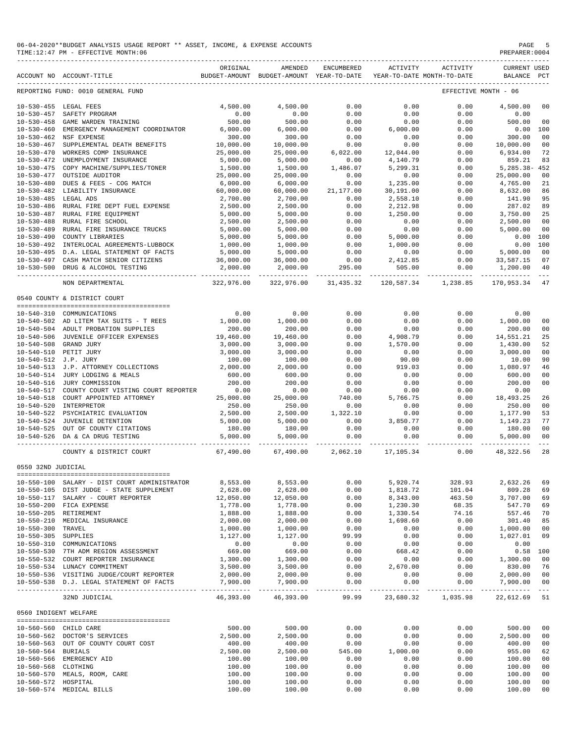|                                | 06-04-2020**BUDGET ANALYSIS USAGE REPORT ** ASSET, INCOME, & EXPENSE ACCOUNTS<br>TIME: 12:47 PM - EFFECTIVE MONTH: 06 |                           |                                                     |                           |                       |                                        | PAGE<br>PREPARER: 0004             | -5              |
|--------------------------------|-----------------------------------------------------------------------------------------------------------------------|---------------------------|-----------------------------------------------------|---------------------------|-----------------------|----------------------------------------|------------------------------------|-----------------|
|                                | ACCOUNT NO ACCOUNT-TITLE                                                                                              | ORIGINAL                  | AMENDED<br>BUDGET-AMOUNT BUDGET-AMOUNT YEAR-TO-DATE | ENCUMBERED                | ACTIVITY              | ACTIVITY<br>YEAR-TO-DATE MONTH-TO-DATE | <b>CURRENT USED</b><br>BALANCE PCT |                 |
|                                | REPORTING FUND: 0010 GENERAL FUND                                                                                     |                           |                                                     |                           |                       |                                        | EFFECTIVE MONTH - 06               |                 |
|                                | 10-530-455 LEGAL FEES                                                                                                 | 4,500.00                  | 4,500.00                                            | 0.00                      | 0.00                  | 0.00                                   | 4,500.00                           | 00              |
| $10 - 530 - 457$               | SAFETY PROGRAM                                                                                                        | 0.00                      | 0.00                                                | 0.00                      | 0.00                  | 0.00                                   | 0.00                               |                 |
| $10 - 530 - 458$               | GAME WARDEN TRAINING                                                                                                  | 500.00                    | 500.00                                              | 0.00                      | 0.00                  | 0.00                                   | 500.00                             | 00              |
| $10 - 530 - 460$               | EMERGENCY MANAGEMENT COORDINATOR                                                                                      | 6,000.00                  | 6,000.00                                            | 0.00                      | 6,000.00              | 0.00                                   | $0.00$ 100                         |                 |
| 10-530-462                     | NSF EXPENSE                                                                                                           | 300.00                    | 300.00                                              | 0.00                      | 0.00                  | 0.00                                   | 300.00                             | 00              |
| $10 - 530 - 467$               | SUPPLEMENTAL DEATH BENEFITS<br>WORKERS COMP INSURANCE                                                                 | 10,000.00                 | 10,000.00                                           | 0.00                      | 0.00                  | 0.00                                   | 10,000.00                          | 00<br>72        |
| $10 - 530 - 470$<br>10-530-472 | UNEMPLOYMENT INSURANCE                                                                                                | 25,000.00<br>5,000.00     | 25,000.00<br>5,000.00                               | 6,022.00<br>0.00          | 12,044.00<br>4,140.79 | 0.00<br>0.00                           | 6,934.00<br>859.21                 | 83              |
|                                | 10-530-475 COPY MACHINE/SUPPLIES/TONER                                                                                | 1,500.00                  | 1,500.00                                            | 1,486.07                  | 5,299.31              | 0.00                                   | 5,285.38-452                       |                 |
| $10 - 530 - 477$               | OUTSIDE AUDITOR                                                                                                       | 25,000.00                 | 25,000.00                                           | 0.00                      | 0.00                  | 0.00                                   | 25,000.00                          | 00              |
| $10 - 530 - 480$               | DUES & FEES - COG MATCH                                                                                               | 6,000.00                  | 6,000.00                                            | 0.00                      | 1,235.00              | 0.00                                   | 4,765.00                           | 21              |
|                                | 10-530-482 LIABILITY INSURANCE                                                                                        | 60,000.00                 | 60,000.00                                           | 21,177.00                 | 30,191.00             | 0.00                                   | 8,632.00                           | 86              |
| 10-530-485 LEGAL ADS           |                                                                                                                       | 2,700.00                  | 2,700.00                                            | 0.00                      | 2,558.10              | 0.00                                   | 141.90                             | 95              |
|                                | 10-530-486 RURAL FIRE DEPT FUEL EXPENSE                                                                               | 2,500.00                  | 2,500.00                                            | 0.00                      | 2,212.98              | 0.00                                   | 287.02                             | 89              |
| $10 - 530 - 487$               | RURAL FIRE EQUIPMENT                                                                                                  | 5,000.00                  | 5,000.00                                            | 0.00                      | 1,250.00              | 0.00                                   | 3,750.00                           | 25              |
| $10 - 530 - 488$               | RURAL FIRE SCHOOL                                                                                                     | 2,500.00                  | 2,500.00                                            | 0.00                      | 0.00                  | 0.00                                   | 2,500.00                           | 00              |
|                                | 10-530-489 RURAL FIRE INSURANCE TRUCKS                                                                                | 5,000.00                  | 5,000.00                                            | 0.00                      | 0.00                  | 0.00                                   | 5,000.00                           | 00              |
| $10 - 530 - 490$               | COUNTY LIBRARIES                                                                                                      | 5,000.00                  | 5,000.00                                            | 0.00                      | 5,000.00              | 0.00                                   | 0.00                               | 100             |
| $10 - 530 - 492$               | INTERLOCAL AGREEMENTS-LUBBOCK                                                                                         | 1,000.00                  | 1,000.00                                            | 0.00                      | 1,000.00              | 0.00                                   | 0.00                               | 100             |
|                                | 10-530-495 D.A. LEGAL STATEMENT OF FACTS                                                                              | 5,000.00                  | 5,000.00                                            | 0.00                      | 0.00                  | 0.00                                   | 5,000.00                           | 00              |
| $10 - 530 - 497$               | CASH MATCH SENIOR CITIZENS                                                                                            | 36,000.00                 | 36,000.00                                           | $0.00$<br>$295.00$        | 2,412.85              | 0.00                                   | 33,587.15                          | 07              |
|                                | 10-530-500 DRUG & ALCOHOL TESTING                                                                                     | 2,000.00<br>. <u>.</u> .  | 2,000.00<br>______________                          | ______________            | 505.00                | 0.00                                   | 1,200.00<br>_______________        | 40<br>$- - - -$ |
|                                | NON DEPARTMENTAL                                                                                                      | 322,976.00                | 322,976.00                                          | 31,435.32                 | 120,587.34            | 1,238.85                               | 170,953.34                         | 47              |
|                                | 0540 COUNTY & DISTRICT COURT                                                                                          |                           |                                                     |                           |                       |                                        |                                    |                 |
|                                |                                                                                                                       |                           |                                                     |                           |                       |                                        |                                    |                 |
|                                | 10-540-310 COMMUNICATIONS                                                                                             | 0.00                      | 0.00                                                | 0.00                      | 0.00                  | 0.00                                   | 0.00                               | 00              |
|                                | 10-540-502 AD LITEM TAX SUITS - T REES<br>10-540-504 ADULT PROBATION SUPPLIES                                         | 1,000.00<br>200.00        | 1,000.00<br>200.00                                  | 0.00<br>0.00              | 0.00<br>0.00          | 0.00<br>0.00                           | 1,000.00<br>200.00                 | 0 <sub>0</sub>  |
|                                | 10-540-506 JUVENILE OFFICER EXPENSES                                                                                  | 19,460.00                 | 19,460.00                                           | 0.00                      | 4,908.79              | 0.00                                   | 14,551.21                          | 25              |
| $10 - 540 - 508$               | GRAND JURY                                                                                                            | 3,000.00                  | 3,000.00                                            | 0.00                      | 1,570.00              | 0.00                                   | 1,430.00                           | 52              |
|                                | 10-540-510 PETIT JURY                                                                                                 | 3,000.00                  | 3,000.00                                            | 0.00                      | 0.00                  | 0.00                                   | 3,000.00                           | 0 <sup>0</sup>  |
| 10-540-512 J.P. JURY           |                                                                                                                       | 100.00                    | 100.00                                              | 0.00                      | 90.00                 | 0.00                                   | 10.00                              | 90              |
|                                | 10-540-513 J.P. ATTORNEY COLLECTIONS                                                                                  | 2,000.00                  | 2,000.00                                            | 0.00                      | 919.03                | 0.00                                   | 1,080.97                           | 46              |
|                                | 10-540-514 JURY LODGING & MEALS                                                                                       | 600.00                    | 600.00                                              | 0.00                      | 0.00                  | 0.00                                   | 600.00                             | 00              |
| $10 - 540 - 516$               | JURY COMMISSION                                                                                                       | 200.00                    | 200.00                                              | 0.00                      | 0.00                  | 0.00                                   | 200.00                             | 00              |
| 10-540-517                     | COUNTY COURT VISTING COURT REPORTER                                                                                   | 0.00                      | 0.00                                                | 0.00                      | 0.00                  | 0.00                                   | 0.00                               |                 |
|                                | 10-540-518 COURT APPOINTED ATTORNEY                                                                                   | 25,000.00                 | 25,000.00                                           | 740.00                    | 5,766.75              | 0.00                                   | 18,493.25                          | 26              |
|                                | 10-540-520 INTERPRETOR                                                                                                | 250.00                    | 250.00                                              | 0.00                      | 0.00                  | 0.00                                   | 250.00                             | 00              |
|                                | 10-540-522 PSYCHIATRIC EVALUATION                                                                                     | 2,500.00                  | 2,500.00                                            | 1,322.10                  | 0.00                  | 0.00                                   | 1,177.90                           | 53              |
|                                | 10-540-524 JUVENILE DETENTION                                                                                         | 5,000.00                  | 5,000.00                                            | 0.00                      | 3,850.77              | 0.00                                   | 1,149.23                           | 77              |
|                                | 10-540-525 OUT OF COUNTY CITATIONS                                                                                    | 180.00                    | 180.00                                              | 0.00                      | 0.00                  | 0.00                                   | 180.00                             | 00              |
|                                | 10-540-526 DA & CA DRUG TESTING                                                                                       | 5,000.00                  | 5,000.00                                            | 0.00                      | 0.00                  | 0.00                                   | 5,000.00                           | 00              |
|                                | COUNTY & DISTRICT COURT                                                                                               | . <u>.</u> .<br>67,490.00 | --------------<br>67,490.00                         | -------------<br>2,062.10 | --------<br>17,105.34 | .<br>0.00                              | --------------<br>48,322.56        | $- - - -$<br>28 |
| 0550 32ND JUDICIAL             |                                                                                                                       |                           |                                                     |                           |                       |                                        |                                    |                 |
|                                |                                                                                                                       |                           |                                                     |                           |                       |                                        |                                    |                 |
|                                | 10-550-100 SALARY - DIST COURT ADMINISTRATOR                                                                          | 8,553.00                  | 8,553.00                                            | 0.00                      | 5,920.74              | 328.93                                 | 2,632.26                           | 69              |
|                                | 10-550-105 DIST JUDGE - STATE SUPPLEMENT                                                                              | 2,628.00                  | 2,628.00                                            | 0.00                      | 1,818.72              | 101.04                                 | 809.28                             | 69              |
|                                | 10-550-117 SALARY - COURT REPORTER                                                                                    | 12,050.00                 | 12,050.00                                           | 0.00                      | 8,343.00              | 463.50                                 | 3,707.00                           | 69              |
|                                | 10-550-200 FICA EXPENSE                                                                                               | 1,778.00                  | 1,778.00                                            | 0.00                      | 1,230.30              | 68.35                                  | 547.70                             | 69              |
|                                | 10-550-205 RETIREMENT                                                                                                 | 1,888.00                  | 1,888.00                                            | 0.00                      | 1,330.54              | 74.16                                  | 557.46                             | 70              |
|                                | 10-550-210 MEDICAL INSURANCE                                                                                          | 2,000.00                  | 2,000.00                                            | 0.00                      | 1,698.60              | 0.00                                   | 301.40                             | 85              |
| 10-550-300 TRAVEL              |                                                                                                                       | 1,000.00                  | 1,000.00                                            | 0.00                      | 0.00                  | 0.00                                   | 1,000.00                           | 00              |
| 10-550-305 SUPPLIES            |                                                                                                                       | 1,127.00                  | 1,127.00                                            | 99.99                     | 0.00                  | 0.00                                   | 1,027.01                           | 09              |
|                                | 10-550-310 COMMUNICATIONS                                                                                             | 0.00                      | 0.00                                                | 0.00                      | 0.00                  | 0.00                                   | 0.00                               |                 |
|                                | 10-550-530 7TH ADM REGION ASSESSMENT                                                                                  | 669.00                    | 669.00                                              | 0.00                      | 668.42                | 0.00                                   | $0.58$ 100                         |                 |
|                                | 10-550-532 COURT REPORTER INSURANCE                                                                                   | 1,300.00                  | 1,300.00                                            | 0.00                      | 0.00                  | 0.00                                   | 1,300.00                           | 00              |
|                                | 10-550-534 LUNACY COMMITMENT                                                                                          | 3,500.00                  | 3,500.00<br>2,000.00                                | 0.00                      | 2,670.00              | 0.00                                   | 830.00                             | 76              |
|                                | 10-550-536 VISITING JUDGE/COURT REPORTER<br>10-550-538 D.J. LEGAL STATEMENT OF FACTS                                  | 2,000.00<br>7,900.00      |                                                     | 0.00<br>0.00              | 0.00<br>0.00          | 0.00<br>0.00                           | 2,000.00<br>7,900.00               | 00<br>00        |
|                                |                                                                                                                       |                           | 7,900.00                                            |                           |                       |                                        |                                    |                 |
|                                | 32ND JUDICIAL                                                                                                         | 46,393.00                 | 46,393.00                                           | 99.99                     |                       | 23,680.32 1,035.98                     | 22,612.69 51                       |                 |
| 0560 INDIGENT WELFARE          |                                                                                                                       |                           |                                                     |                           |                       |                                        |                                    |                 |
|                                |                                                                                                                       |                           |                                                     |                           |                       |                                        |                                    |                 |
|                                | 10-560-560 CHILD CARE                                                                                                 | 500.00                    | 500.00                                              | 0.00                      | 0.00                  | 0.00                                   | 500.00                             | 00              |
|                                | 10-560-562 DOCTOR'S SERVICES                                                                                          | 2,500.00                  | 2,500.00                                            | 0.00                      | 0.00                  | 0.00                                   | 2,500.00                           | 00              |
| 10-560-564 BURIALS             | 10-560-563 OUT OF COUNTY COURT COST                                                                                   | 400.00<br>2,500.00        | 400.00<br>2,500.00                                  | 0.00<br>545.00            | 0.00<br>1,000.00      | 0.00<br>0.00                           | 400.00<br>955.00                   | 00<br>62        |
|                                | 10-560-566 EMERGENCY AID                                                                                              | 100.00                    | 100.00                                              | 0.00                      | 0.00                  | 0.00                                   | 100.00                             | 00              |
| 10-560-568 CLOTHING            |                                                                                                                       | 100.00                    | 100.00                                              | 0.00                      | 0.00                  | 0.00                                   | 100.00                             | 00              |
|                                | 10-560-570 MEALS, ROOM, CARE                                                                                          | 100.00                    | 100.00                                              | 0.00                      | 0.00                  | 0.00                                   | 100.00                             | 00              |
| 10-560-572 HOSPITAL            |                                                                                                                       | 100.00                    | 100.00                                              | 0.00                      | 0.00                  | 0.00                                   | 100.00                             | 00              |
|                                | 10-560-574 MEDICAL BILLS                                                                                              | 100.00                    | 100.00                                              | 0.00                      | 0.00                  | 0.00                                   | 100.00                             | $00\,$          |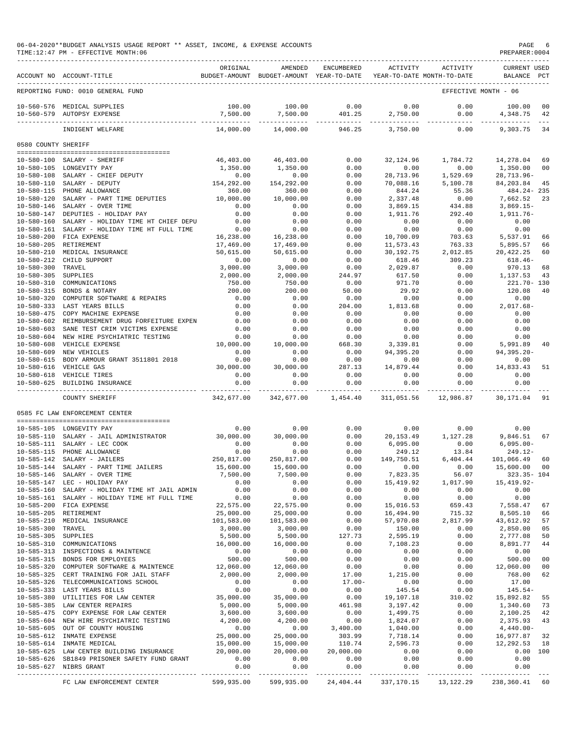|                                      | ACCOUNT NO ACCOUNT-TITLE                                                                 | ORIGINAL               | AMENDED<br>BUDGET-AMOUNT BUDGET-AMOUNT YEAR-TO-DATE | ENCUMBERED        | ACTIVITY               | ACTIVITY<br>YEAR-TO-DATE MONTH-TO-DATE | <b>CURRENT USED</b><br>BALANCE PCT |                |
|--------------------------------------|------------------------------------------------------------------------------------------|------------------------|-----------------------------------------------------|-------------------|------------------------|----------------------------------------|------------------------------------|----------------|
|                                      | REPORTING FUND: 0010 GENERAL FUND                                                        |                        |                                                     |                   |                        |                                        | EFFECTIVE MONTH - 06               |                |
|                                      | 10-560-576 MEDICAL SUPPLIES                                                              | 100.00                 | 100.00                                              | 0.00              | 0.00                   | 0.00                                   | 100.00                             | 0 <sub>0</sub> |
| $10 - 560 - 579$                     | AUTOPSY EXPENSE                                                                          | 7,500.00               | 7,500.00                                            | 401.25            | 2,750.00<br>---------- | 0.00                                   | 4,348.75                           | 42             |
|                                      | INDIGENT WELFARE                                                                         | 14,000.00              | 14,000.00                                           | 946.25            | 3,750.00               | 0.00                                   | 9,303.75                           | 34             |
| 0580 COUNTY SHERIFF                  |                                                                                          |                        |                                                     |                   |                        |                                        |                                    |                |
| 10-580-100                           | SALARY - SHERIFF                                                                         | 46,403.00              | 46,403.00                                           | 0.00              | 32, 124.96             | 1,784.72                               | 14,278.04                          | 69             |
|                                      | 10-580-105 LONGEVITY PAY                                                                 | 1,350.00               | 1,350.00                                            | 0.00              | 0.00                   | 0.00                                   | 1,350.00                           | 0 <sub>0</sub> |
|                                      | 10-580-108 SALARY - CHIEF DEPUTY                                                         | 0.00                   | 0.00                                                | 0.00              | 28,713.96              | 1,529.69                               | $28, 713.96 -$                     |                |
| $10 - 580 - 110$                     | SALARY - DEPUTY                                                                          | 154,292.00             | 154,292.00                                          | 0.00              | 70,088.16              | 5,100.78                               | 84, 203.84                         | 45             |
| $10 - 580 - 120$                     | 10-580-115 PHONE ALLOWANCE<br>SALARY - PART TIME DEPUTIES                                | 360.00<br>10,000.00    | 360.00<br>10,000.00                                 | 0.00<br>0.00      | 844.24<br>2,337.48     | 55.36<br>0.00                          | $484.24 - 235$<br>7,662.52         | 23             |
|                                      | 10-580-146 SALARY - OVER TIME                                                            | 0.00                   | 0.00                                                | 0.00              | 3,869.15               | 434.88                                 | $3,869.15-$                        |                |
| 10-580-147                           | DEPUTIES - HOLIDAY PAY                                                                   | 0.00                   | 0.00                                                | 0.00              | 1,911.76               | 292.40                                 | 1,911.76-                          |                |
| $10 - 580 - 160$                     | SALARY - HOLIDAY TIME HT CHIEF DEPU                                                      | 0.00                   | 0.00                                                | 0.00              | 0.00                   | 0.00                                   | 0.00                               |                |
| $10 - 580 - 161$                     | SALARY - HOLIDAY TIME HT FULL TIME                                                       | 0.00                   | 0.00                                                | 0.00              | 0.00                   | 0.00                                   | 0.00                               |                |
| $10 - 580 - 200$<br>$10 - 580 - 205$ | FICA EXPENSE<br>RETIREMENT                                                               | 16,238.00<br>17,469.00 | 16,238.00<br>17,469.00                              | 0.00<br>0.00      | 10,700.09<br>11,573.43 | 703.63<br>763.33                       | 5,537.91<br>5,895.57               | 66<br>66       |
| $10 - 580 - 210$                     | MEDICAL INSURANCE                                                                        | 50,615.00              | 50,615.00                                           | 0.00              | 30,192.75              | 2,012.85                               | 20, 422.25                         | 60             |
| $10 - 580 - 212$                     | CHILD SUPPORT                                                                            | 0.00                   | 0.00                                                | 0.00              | 618.46                 | 309.23                                 | $618.46 -$                         |                |
| $10 - 580 - 300$                     | TRAVEL                                                                                   | 3,000.00               | 3,000.00                                            | 0.00              | 2,029.87               | 0.00                                   | 970.13                             | 68             |
| $10 - 580 - 305$                     | <b>SUPPLIES</b>                                                                          | 2,000.00               | 2,000.00                                            | 244.97            | 617.50                 | 0.00                                   | 1,137.53                           | 43             |
| $10 - 580 - 310$<br>$10 - 580 - 315$ | COMMUNICATIONS                                                                           | 750.00                 | 750.00                                              | 0.00              | 971.70                 | 0.00                                   | 221.70- 130                        |                |
| $10 - 580 - 320$                     | BONDS & NOTARY<br>COMPUTER SOFTWARE & REPAIRS                                            | 200.00<br>0.00         | 200.00<br>0.00                                      | 50.00<br>0.00     | 29.92<br>0.00          | 0.00<br>0.00                           | 120.08<br>0.00                     | 40             |
| $10 - 580 - 333$                     | LAST YEARS BILLS                                                                         | 0.00                   | 0.00                                                | 204.00            | 1,813.68               | 0.00                                   | $2,017.68-$                        |                |
| $10 - 580 - 475$                     | COPY MACHINE EXPENSE                                                                     | 0.00                   | 0.00                                                | 0.00              | 0.00                   | 0.00                                   | 0.00                               |                |
|                                      | 10-580-602 REIMBURSEMENT DRUG FORFEITURE EXPEN                                           | 0.00                   | 0.00                                                | 0.00              | 0.00                   | 0.00                                   | 0.00                               |                |
| $10 - 580 - 603$                     | SANE TEST CRIM VICTIMS EXPENSE                                                           | 0.00                   | 0.00                                                | 0.00              | 0.00                   | 0.00                                   | 0.00                               |                |
| $10 - 580 - 604$<br>$10 - 580 - 608$ | NEW HIRE PSYCHIATRIC TESTING<br>VEHICLE EXPENSE                                          | 0.00<br>10,000.00      | 0.00<br>10,000.00                                   | 0.00<br>668.30    | 0.00<br>3,339.81       | 0.00<br>0.00                           | 0.00<br>5,991.89                   | 40             |
| $10 - 580 - 609$                     | NEW VEHICLES                                                                             | 0.00                   | 0.00                                                | 0.00              | 94,395.20              | 0.00                                   | 94,395.20-                         |                |
| $10 - 580 - 615$                     | BODY ARMOUR GRANT 3511801 2018                                                           | 0.00                   | 0.00                                                | 0.00              | 0.00                   | 0.00                                   | 0.00                               |                |
| $10 - 580 - 616$                     | VEHICLE GAS                                                                              | 30,000.00              | 30,000.00                                           | 287.13            | 14,879.44              | 0.00                                   | 14,833.43                          | 51             |
|                                      | 10-580-618 VEHICLE TIRES                                                                 | 0.00                   | 0.00                                                | 0.00              | 0.00                   | 0.00                                   | 0.00                               |                |
| $10 - 580 - 625$                     | BUILDING INSURANCE<br>.                                                                  | 0.00<br>.              | 0.00                                                | 0.00<br>--------- | 0.00<br>----------     | 0.00<br>$- - - - -$                    | 0.00                               |                |
|                                      | COUNTY SHERIFF                                                                           | 342,677.00             | 342,677.00                                          | 1,454.40          | 311,051.56             | 12,986.87                              | 30,171.04                          | 91             |
|                                      | 0585 FC LAW ENFORCEMENT CENTER                                                           |                        |                                                     |                   |                        |                                        |                                    |                |
|                                      | 10-585-105 LONGEVITY PAY                                                                 | 0.00                   | 0.00                                                | 0.00              | 0.00                   | 0.00                                   | 0.00                               |                |
| $10 - 585 - 110$                     | SALARY - JAIL ADMINISTRATOR                                                              | 30,000.00              | 30,000.00                                           | 0.00              | 20, 153.49             | 1,127.28                               | 9,846.51                           | 67             |
| $10 - 585 - 115$                     | 10-585-111 SALARY - LEC COOK<br>PHONE ALLOWANCE                                          | 0.00<br>0.00           | 0.00<br>0.00                                        | 0.00<br>0.00      | 6,095.00<br>249.12     | 0.00<br>13.84                          | $6,095.00-$<br>$249.12-$           |                |
| $10 - 585 - 142$                     | SALARY - JAILERS                                                                         | 250,817.00             | 250,817.00                                          | 0.00              | 149,750.51             | 6,404.44                               | 101,066.49                         | 60             |
| $10 - 585 - 144$                     | SALARY - PART TIME JAILERS                                                               | 15,600.00              | 15,600.00                                           | 0.00              | 0.00                   | 0.00                                   | 15,600.00                          | 0 <sub>0</sub> |
| $10 - 585 - 146$                     | SALARY - OVER TIME                                                                       | 7,500.00               | 7,500.00                                            | 0.00              | 7,823.35               | 56.07                                  | $323.35 - 104$                     |                |
|                                      | 10-585-147 LEC - HOLIDAY PAY                                                             | 0.00                   | 0.00                                                | 0.00              | 15,419.92              | 1,017.90                               | 15, 419.92-                        |                |
|                                      | 10-585-160 SALARY - HOLIDAY TIME HT JAIL ADMIN                                           | 0.00                   | 0.00                                                | 0.00              | 0.00                   | 0.00                                   | 0.00                               |                |
|                                      | 10-585-161 SALARY - HOLIDAY TIME HT FULL TIME<br>10-585-200 FICA EXPENSE                 | 0.00<br>22,575.00      | 0.00<br>22,575.00                                   | 0.00<br>0.00      | 0.00<br>15,016.53      | 0.00<br>659.43                         | 0.00<br>7,558.47                   | 67             |
|                                      | 10-585-205 RETIREMENT                                                                    | 25,000.00              | 25,000.00                                           | 0.00              | 16,494.90              | 715.32                                 | 8,505.10                           | 66             |
| $10 - 585 - 210$                     | MEDICAL INSURANCE                                                                        | 101,583.00             | 101,583.00                                          | 0.00              | 57,970.08              | 2,817.99                               | 43,612.92                          | 57             |
| $10 - 585 - 300$                     | TRAVEL                                                                                   | 3,000.00               | 3,000.00                                            | 0.00              | 150.00                 | 0.00                                   | 2,850.00                           | 05             |
| $10 - 585 - 305$                     | SUPPLIES                                                                                 | 5,500.00               | 5,500.00                                            | 127.73            | 2,595.19               | 0.00                                   | 2,777.08                           | 50             |
|                                      | 10-585-310 COMMUNICATIONS                                                                | 16,000.00              | 16,000.00                                           | 0.00              | 7,108.23               | 0.00                                   | 8,891.77                           | 44             |
|                                      | 10-585-313 INSPECTIONS & MAINTENCE<br>10-585-315 BONDS FOR EMPLOYEES                     | 0.00<br>500.00         | 0.00<br>500.00                                      | 0.00<br>0.00      | 0.00<br>0.00           | 0.00<br>0.00                           | 0.00<br>500.00                     | 0 <sub>0</sub> |
|                                      | 10-585-320 COMPUTER SOFTWARE & MAINTENCE                                                 | 12,060.00              | 12,060.00                                           | 0.00              | 0.00                   | 0.00                                   | 12,060.00                          | 0 <sub>0</sub> |
|                                      | 10-585-325 CERT TRAINING FOR JAIL STAFF                                                  | 2,000.00               | 2,000.00                                            | 17.00             | 1,215.00               | 0.00                                   | 768.00                             | 62             |
|                                      | 10-585-326 TELECOMMUNICATIONS SCHOOL                                                     | 0.00                   | 0.00                                                | $17.00 -$         | 0.00                   | 0.00                                   | 17.00                              |                |
|                                      | 10-585-333 LAST YEARS BILLS                                                              | 0.00                   | 0.00                                                | 0.00              | 145.54                 | 0.00                                   | $145.54-$                          |                |
|                                      | 10-585-380 UTILITIES FOR LAW CENTER<br>10-585-385 LAW CENTER REPAIRS                     | 35,000.00<br>5,000.00  | 35,000.00<br>5,000.00                               | 0.00<br>461.98    | 19,107.18<br>3,197.42  | 310.02<br>0.00                         | 15,892.82<br>1,340.60              | 55<br>73       |
|                                      | 10-585-475 COPY EXPENSE FOR LAW CENTER                                                   | 3,600.00               | 3,600.00                                            | 0.00              | 1,499.75               | 0.00                                   | 2,100.25                           | 42             |
|                                      | 10-585-604 NEW HIRE PSYCHIATRIC TESTING                                                  | 4,200.00               | 4,200.00                                            | 0.00              | 1,824.07               | 0.00                                   | 2,375.93                           | 43             |
|                                      | 10-585-605 OUT OF COUNTY HOUSING                                                         | 0.00                   | 0.00                                                | 3,400.00          | 1,040.00               | 0.00                                   | $4,440.00 -$                       |                |
|                                      | 10-585-612 INMATE EXPENSE                                                                | 25,000.00              | 25,000.00                                           | 303.99            | 7,718.14               | 0.00                                   | 16,977.87                          | 32             |
|                                      | 10-585-614 INMATE MEDICAL                                                                | 15,000.00              | 15,000.00                                           | 110.74            | 2,596.73               | 0.00                                   | 12,292.53                          | 18             |
|                                      | 10-585-625 LAW CENTER BUILDING INSURANCE<br>10-585-626 SB1849 PRISONER SAFETY FUND GRANT | 20,000.00<br>0.00      | 20,000.00<br>0.00                                   | 20,000.00<br>0.00 | 0.00<br>0.00           | 0.00<br>0.00                           | 0.00 100<br>0.00                   |                |
|                                      | 10-585-627 NIBRS GRANT                                                                   | 0.00                   | 0.00                                                | 0.00              | 0.00                   | 0.00                                   | 0.00                               |                |
|                                      |                                                                                          |                        |                                                     |                   |                        |                                        |                                    |                |

FC LAW ENFORCEMENT CENTER 599,935.00 599,935.00 24,404.44 337,170.15 13,122.29 238,360.41 60

06-04-2020\*\*BUDGET ANALYSIS USAGE REPORT \*\* ASSET, INCOME, & EXPENSE ACCOUNTS PAGE 6<br>TIME:12:47 PM - EFFECTIVE MONTH:06 TIME:12:47 PM - EFFECTIVE MONTH:06 PREPARER:0004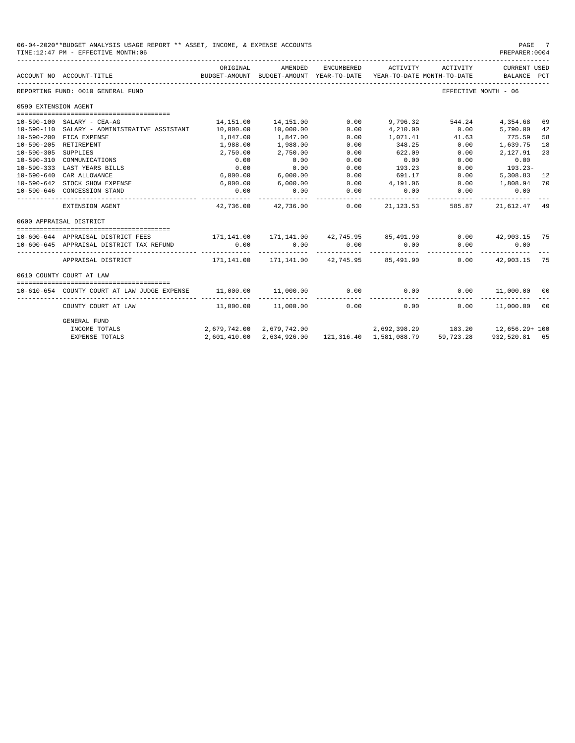|                      | 06-04-2020**BUDGET ANALYSIS USAGE REPORT ** ASSET, INCOME, & EXPENSE ACCOUNTS<br>TIME: 12:47 PM - EFFECTIVE MONTH: 06 |                                                             |                        |            |                                                   |                                                             | PAGE<br>PREPARER: 0004 | - 7 |
|----------------------|-----------------------------------------------------------------------------------------------------------------------|-------------------------------------------------------------|------------------------|------------|---------------------------------------------------|-------------------------------------------------------------|------------------------|-----|
|                      | ACCOUNT NO ACCOUNT-TITLE THE BUDGET-AMOUNT BUDGET-AMOUNT WEAR-TO-DATE YEAR-TO-DATE MONTH-TO-DATE BALANCE PCT          | ORIGINAL                                                    | AMENDED                | ENCUMBERED |                                                   | ACTIVITY ACTIVITY CURRENT USED                              |                        |     |
|                      | REPORTING FUND: 0010 GENERAL FUND                                                                                     |                                                             |                        |            |                                                   | EFFECTIVE MONTH - 06                                        |                        |     |
| 0590 EXTENSION AGENT |                                                                                                                       |                                                             |                        |            |                                                   |                                                             |                        |     |
|                      |                                                                                                                       |                                                             |                        |            |                                                   |                                                             |                        |     |
|                      | 10-590-100 SALARY - CEA-AG                                                                                            | 14,151.00                                                   | 14,151.00              | 0.00       | 9,796.32                                          | 544.24                                                      | 4,354.68               | 69  |
|                      | 10-590-110 SALARY - ADMINISTRATIVE ASSISTANT                                                                          | 10,000.00                                                   | 10,000.00              | 0.00       | 4,210.00                                          | 0.00                                                        | 5,790.00               | 42  |
|                      | 10-590-200 FICA EXPENSE                                                                                               | 1,847.00                                                    | 1,847.00               | 0.00       | 1,071.41                                          | 41.63                                                       | 775.59                 | 58  |
|                      | 10-590-205 RETIREMENT                                                                                                 | 1,988.00                                                    | 1,988.00               | 0.00       | 348.25                                            | 0.00                                                        | 1,639.75               | 18  |
| 10-590-305 SUPPLIES  |                                                                                                                       | 2,750.00                                                    | 2,750.00               | 0.00       | 622.09                                            | 0.00                                                        | 2,127.91               | 23  |
|                      | 10-590-310 COMMUNICATIONS                                                                                             | 0.00                                                        | 0.00                   | 0.00       | 0.00                                              | 0.00                                                        | 0.00                   |     |
|                      | 10-590-333 LAST YEARS BILLS                                                                                           | 0.00                                                        | 0.00                   | 0.00       | 193.23                                            | 0.00                                                        | $193.23-$              |     |
| $10 - 590 - 640$     | CAR ALLOWANCE                                                                                                         | 6,000.00                                                    | 6,000.00               | 0.00       | 691.17                                            | 0.00                                                        | 5,308.83               | 12  |
| $10 - 590 - 642$     | STOCK SHOW EXPENSE                                                                                                    | 6,000.00                                                    | 6,000.00               | 0.00       | 4,191.06                                          | 0.00                                                        | 1,808.94               | 70  |
|                      | 10-590-646 CONCESSION STAND                                                                                           | 0.00                                                        | 0.00                   | 0.00       | 0.00<br>----------                                | 0.00                                                        | 0.00                   |     |
|                      | EXTENSION AGENT                                                                                                       |                                                             | 42.736.00 42.736.00    | 0.00       | 21, 123, 53                                       |                                                             | 585.87 21,612.47 49    |     |
|                      | 0600 APPRAISAL DISTRICT                                                                                               |                                                             |                        |            |                                                   |                                                             |                        |     |
|                      |                                                                                                                       |                                                             |                        |            |                                                   |                                                             |                        |     |
|                      | 10-600-644 APPRAISAL DISTRICT FEES                                                                                    | 171,141.00 171,141.00 42,745.95 85,491.90 0.00 42,903.15 75 |                        |            |                                                   |                                                             |                        |     |
|                      | 10-600-645 APPRAISAL DISTRICT TAX REFUND                                                                              | 0.00                                                        | $0.00$ 0.00            |            | 0.00                                              | 0.00                                                        | 0.00<br>.              |     |
|                      | APPRAISAL DISTRICT                                                                                                    |                                                             |                        |            |                                                   |                                                             | $0.00$ $42,903.15$ 75  |     |
|                      | 0610 COUNTY COURT AT LAW                                                                                              |                                                             |                        |            |                                                   |                                                             |                        |     |
|                      |                                                                                                                       |                                                             |                        |            |                                                   |                                                             |                        |     |
|                      |                                                                                                                       |                                                             |                        |            | ------------                                      |                                                             |                        |     |
|                      | COUNTY COURT AT LAW                                                                                                   |                                                             | 11,000.00    11,000.00 |            | 0.00<br>0.00                                      |                                                             | $0.00$ 11,000.00 00    |     |
|                      | <b>GENERAL FUND</b>                                                                                                   |                                                             |                        |            |                                                   |                                                             |                        |     |
|                      | INCOME TOTALS                                                                                                         |                                                             |                        |            |                                                   | 2,679,742.00 2,679,742.00 2,692,398.29 183.20 12,656.29 100 |                        |     |
|                      | <b>EXPENSE TOTALS</b>                                                                                                 |                                                             |                        |            | 2,601,410.00 2,634,926.00 121,316.40 1,581,088.79 | 59,723,28                                                   | 932,520.81 65          |     |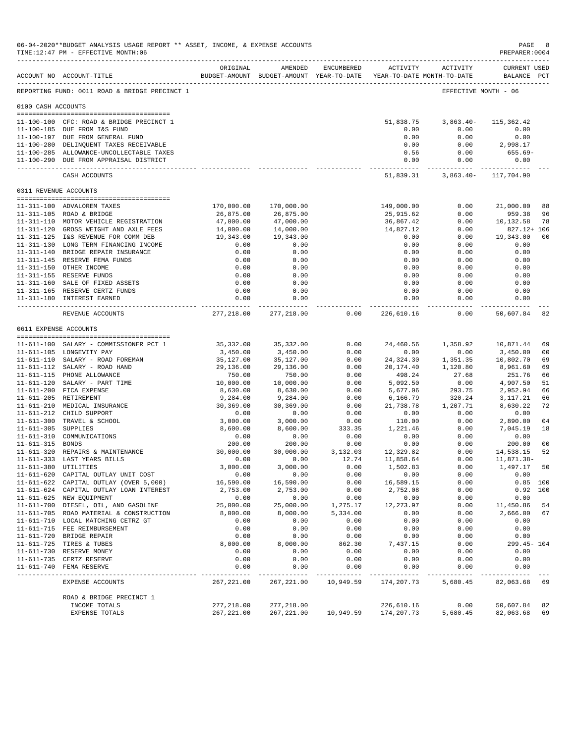|                     | 06-04-2020**BUDGET ANALYSIS USAGE REPORT ** ASSET, INCOME, & EXPENSE ACCOUNTS<br>TIME:12:47 PM - EFFECTIVE MONTH:06<br>----------------------------------- |                        |                                                                                |              |                                       |                     | $\mathtt{PAGE}$<br>PREPARER: 0004  | - 8            |
|---------------------|------------------------------------------------------------------------------------------------------------------------------------------------------------|------------------------|--------------------------------------------------------------------------------|--------------|---------------------------------------|---------------------|------------------------------------|----------------|
|                     | ACCOUNT NO ACCOUNT-TITLE                                                                                                                                   | ORIGINAL               | AMENDED<br>BUDGET-AMOUNT BUDGET-AMOUNT YEAR-TO-DATE YEAR-TO-DATE MONTH-TO-DATE | ENCUMBERED   |                                       | ACTIVITY ACTIVITY   | <b>CURRENT USED</b><br>BALANCE PCT |                |
|                     | REPORTING FUND: 0011 ROAD & BRIDGE PRECINCT 1                                                                                                              |                        |                                                                                |              |                                       |                     | EFFECTIVE MONTH - 06               |                |
| 0100 CASH ACCOUNTS  |                                                                                                                                                            |                        |                                                                                |              |                                       |                     |                                    |                |
|                     |                                                                                                                                                            |                        |                                                                                |              |                                       |                     |                                    |                |
|                     | 11-100-100 CFC: ROAD & BRIDGE PRECINCT 1                                                                                                                   |                        |                                                                                |              | 51,838.75                             | $3,863.40-$         | 115,362.42                         |                |
|                     | 11-100-185 DUE FROM I&S FUND                                                                                                                               |                        |                                                                                |              | 0.00                                  | 0.00                | 0.00                               |                |
|                     | 11-100-197 DUE FROM GENERAL FUND                                                                                                                           |                        |                                                                                |              | 0.00                                  | 0.00                | 0.00                               |                |
|                     | 11-100-280 DELINQUENT TAXES RECEIVABLE                                                                                                                     |                        |                                                                                |              | 0.00                                  | 0.00                | 2,998.17                           |                |
|                     | 11-100-285 ALLOWANCE-UNCOLLECTABLE TAXES<br>11-100-290 DUE FROM APPRAISAL DISTRICT                                                                         |                        |                                                                                |              | 0.56<br>0.00                          | 0.00<br>0.00        | 655.69-<br>0.00                    |                |
|                     | CASH ACCOUNTS                                                                                                                                              |                        |                                                                                |              | 51,839.31                             | . <u>.</u>          | 3,863.40- 117,704.90               |                |
|                     | 0311 REVENUE ACCOUNTS                                                                                                                                      |                        |                                                                                |              |                                       |                     |                                    |                |
|                     |                                                                                                                                                            |                        |                                                                                |              |                                       |                     |                                    |                |
|                     | 11-311-100 ADVALOREM TAXES                                                                                                                                 | 170,000.00             | 170,000.00                                                                     |              | 149,000.00                            | 0.00                | 21,000.00                          | 88             |
|                     | 11-311-105 ROAD & BRIDGE                                                                                                                                   | 26,875.00              | 26,875.00                                                                      |              | 25,915.62                             | 0.00                | 959.38                             | 96<br>78       |
|                     | 11-311-110 MOTOR VEHICLE REGISTRATION<br>11-311-120 GROSS WEIGHT AND AXLE FEES                                                                             | 47,000.00<br>14,000.00 | 47,000.00<br>14,000.00                                                         |              | 36,867.42<br>14,827.12                | 0.00<br>0.00        | 10,132.58<br>827.12+ 106           |                |
|                     | 11-311-125 I&S REVENUE FOR COMM DEB                                                                                                                        | 19,343.00              | 19,343.00                                                                      |              | 0.00                                  | 0.00                | 19,343.00                          | 0 <sub>0</sub> |
|                     | 11-311-130 LONG TERM FINANCING INCOME                                                                                                                      | 0.00                   | 0.00                                                                           |              | 0.00                                  | 0.00                | 0.00                               |                |
|                     | 11-311-140 BRIDGE REPAIR INSURANCE                                                                                                                         | 0.00                   | 0.00                                                                           |              | 0.00                                  | 0.00                | 0.00                               |                |
|                     | 11-311-145 RESERVE FEMA FUNDS                                                                                                                              | 0.00                   | 0.00                                                                           |              | 0.00                                  | 0.00                | 0.00                               |                |
|                     | 11-311-150 OTHER INCOME                                                                                                                                    | 0.00                   | 0.00                                                                           |              | 0.00                                  | 0.00                | 0.00                               |                |
|                     | 11-311-155 RESERVE FUNDS                                                                                                                                   | 0.00                   | 0.00                                                                           |              | 0.00                                  | 0.00                | 0.00                               |                |
|                     | 11-311-160 SALE OF FIXED ASSETS                                                                                                                            | 0.00                   | 0.00                                                                           |              | 0.00                                  | 0.00                | 0.00                               |                |
|                     | 11-311-165 RESERVE CERTZ FUNDS                                                                                                                             | 0.00                   | 0.00                                                                           |              | 0.00                                  | 0.00                | 0.00                               |                |
|                     | 11-311-180 INTEREST EARNED                                                                                                                                 | 0.00                   | 0.00<br>.                                                                      |              | 0.00<br>_____________________________ | 0.00<br>----------- | 0.00<br>. _ _ _ _ _ _ _ _ _ _ _    |                |
|                     | REVENUE ACCOUNTS                                                                                                                                           | 277,218.00             | 277,218.00                                                                     | 0.00         | 226,610.16                            | 0.00                | 50,607.84                          | 82             |
|                     | 0611 EXPENSE ACCOUNTS                                                                                                                                      |                        |                                                                                |              |                                       |                     |                                    |                |
|                     |                                                                                                                                                            |                        |                                                                                |              |                                       |                     |                                    |                |
|                     | 11-611-100 SALARY - COMMISSIONER PCT 1                                                                                                                     | 35, 332.00             | 35,332.00                                                                      | 0.00         | 24,460.56                             | 1,358.92            | 10,871.44                          | 69             |
|                     | 11-611-105 LONGEVITY PAY                                                                                                                                   | 3,450.00               | 3,450.00                                                                       | 0.00         | 0.00                                  | 0.00                | 3,450.00                           | 0 <sub>0</sub> |
|                     | 11-611-110 SALARY - ROAD FOREMAN                                                                                                                           | 35,127.00              | 35,127.00                                                                      | 0.00         | 24,324.30                             | 1,351.35            | 10,802.70                          | 69             |
|                     | 11-611-112 SALARY - ROAD HAND<br>11-611-115 PHONE ALLOWANCE                                                                                                | 29,136.00<br>750.00    | 29,136.00                                                                      | 0.00<br>0.00 | 20,174.40                             | 1,120.80            | 8,961.60                           | 69             |
|                     | 11-611-120 SALARY - PART TIME                                                                                                                              | 10,000.00              | 750.00<br>10,000.00                                                            | 0.00         | 498.24<br>5,092.50                    | 27.68<br>0.00       | 251.76<br>4,907.50                 | 66<br>51       |
|                     | 11-611-200 FICA EXPENSE                                                                                                                                    | 8,630.00               | 8,630.00                                                                       | 0.00         | 5,677.06                              | 293.75              | 2,952.94                           | 66             |
|                     | 11-611-205 RETIREMENT                                                                                                                                      | 9,284.00               | 9,284.00                                                                       | 0.00         | 6,166.79                              | 320.24              | 3,117.21                           | 66             |
|                     | 11-611-210 MEDICAL INSURANCE                                                                                                                               | 30,369.00              | 30,369.00                                                                      | 0.00         | 21,738.78                             | 1,207.71            | 8,630.22                           | 72             |
|                     | 11-611-212 CHILD SUPPORT                                                                                                                                   | 0.00                   | 0.00                                                                           | 0.00         | 0.00                                  | 0.00                | 0.00                               |                |
|                     | 11-611-300 TRAVEL & SCHOOL                                                                                                                                 | 3,000.00               | 3,000.00                                                                       | 0.00         | 110.00                                | 0.00                | 2,890.00                           | 04             |
| 11-611-305 SUPPLIES |                                                                                                                                                            | 8,600.00               | 8,600.00                                                                       | 333.35       | 1,221.46                              | 0.00                | 7,045.19                           | 18             |
|                     | 11-611-310 COMMUNICATIONS                                                                                                                                  | 0.00                   | 0.00                                                                           | 0.00         | 0.00                                  | 0.00                | 0.00                               |                |
| 11-611-315 BONDS    |                                                                                                                                                            | 200.00                 | 200.00                                                                         | 0.00         | 0.00                                  | 0.00                | 200.00                             | 0 <sub>0</sub> |
|                     | 11-611-320 REPAIRS & MAINTENANCE                                                                                                                           | 30,000.00              | 30,000.00                                                                      | 3,132.03     | 12,329.82                             | 0.00                | 14,538.15                          | 52             |
|                     | 11-611-333 LAST YEARS BILLS                                                                                                                                | 0.00                   | 0.00                                                                           | 12.74        | 11,858.64                             | 0.00                | 11,871.38-                         |                |
|                     | 11-611-380 UTILITIES                                                                                                                                       | 3,000.00               | 3,000.00                                                                       | 0.00         | 1,502.83                              | 0.00                | 1,497.17                           | 50             |
|                     | 11-611-620 CAPITAL OUTLAY UNIT COST                                                                                                                        | 0.00                   | 0.00                                                                           | 0.00         | 0.00                                  | 0.00                | 0.00                               |                |
|                     | 11-611-622 CAPITAL OUTLAY (OVER 5,000)                                                                                                                     | 16,590.00              | 16,590.00                                                                      | 0.00         | 16,589.15                             | 0.00                |                                    | $0.85$ 100     |
|                     | 11-611-624 CAPITAL OUTLAY LOAN INTEREST                                                                                                                    | 2,753.00               | 2,753.00                                                                       | 0.00         | 2,752.08                              | 0.00                |                                    | $0.92$ 100     |
|                     | 11-611-625 NEW EQUIPMENT                                                                                                                                   | 0.00                   | 0.00                                                                           | 0.00         | 0.00                                  | 0.00                | 0.00                               |                |
|                     | 11-611-700 DIESEL, OIL, AND GASOLINE                                                                                                                       | 25,000.00              | 25,000.00                                                                      | 1,275.17     | 12,273.97                             | 0.00                | 11,450.86                          | 54             |
|                     | 11-611-705 ROAD MATERIAL & CONSTRUCTION                                                                                                                    | 8,000.00               | 8,000.00                                                                       | 5,334.00     | 0.00                                  | 0.00                | 2,666.00                           | 67             |
|                     | 11-611-710 LOCAL MATCHING CETRZ GT                                                                                                                         | 0.00                   | 0.00                                                                           | 0.00         | 0.00                                  | 0.00                | 0.00                               |                |
|                     | 11-611-715 FEE REIMBURSEMENT                                                                                                                               | 0.00                   | 0.00                                                                           | 0.00         | 0.00                                  | 0.00                | 0.00                               |                |
|                     | 11-611-720 BRIDGE REPAIR                                                                                                                                   | 0.00                   | 0.00                                                                           | 0.00         | 0.00                                  | 0.00                | 0.00                               |                |
|                     | 11-611-725 TIRES & TUBES                                                                                                                                   | 8,000.00               | 8,000.00                                                                       | 862.30       | 7,437.15                              | 0.00                | 299.45- 104                        |                |
|                     | 11-611-730 RESERVE MONEY                                                                                                                                   | 0.00                   | 0.00                                                                           | 0.00         | 0.00                                  | 0.00                | 0.00                               |                |
|                     | 11-611-735 CERTZ RESERVE<br>11-611-740 FEMA RESERVE                                                                                                        | 0.00<br>0.00           | 0.00                                                                           | 0.00<br>0.00 | 0.00<br>0.00                          | 0.00<br>0.00        | 0.00<br>0.00                       |                |
|                     |                                                                                                                                                            | --------               | 0.00                                                                           |              |                                       |                     |                                    |                |
|                     | EXPENSE ACCOUNTS                                                                                                                                           | 267, 221.00            | 267, 221.00                                                                    | 10,949.59    | 174,207.73                            | 5,680.45            | 82,063.68                          | 69             |
|                     | ROAD & BRIDGE PRECINCT 1<br>INCOME TOTALS                                                                                                                  | 277,218.00             | 277,218.00                                                                     |              | 226,610.16                            | 0.00                | 50,607.84                          | 82             |
|                     | EXPENSE TOTALS                                                                                                                                             | 267, 221.00            | 267, 221.00                                                                    | 10,949.59    | 174,207.73                            | 5,680.45            | 82,063.68                          | 69             |
|                     |                                                                                                                                                            |                        |                                                                                |              |                                       |                     |                                    |                |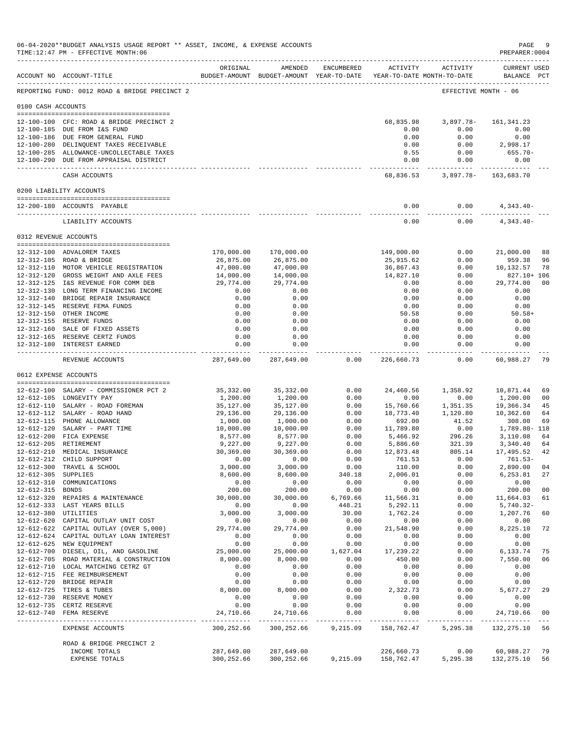|                      | 06-04-2020**BUDGET ANALYSIS USAGE REPORT ** ASSET, INCOME, & EXPENSE ACCOUNTS<br>TIME:12:47 PM - EFFECTIVE MONTH:06 |                                                                                 |                                                                        |                  |                         |                                | PAGE<br>PREPARER:0004           | - 9                  |
|----------------------|---------------------------------------------------------------------------------------------------------------------|---------------------------------------------------------------------------------|------------------------------------------------------------------------|------------------|-------------------------|--------------------------------|---------------------------------|----------------------|
|                      | ACCOUNT NO ACCOUNT-TITLE                                                                                            | ORIGINAL<br>BUDGET-AMOUNT BUDGET-AMOUNT YEAR-TO-DATE YEAR-TO-DATE MONTH-TO-DATE | AMENDED                                                                |                  |                         | ENCUMBERED ACTIVITY ACTIVITY   | CURRENT USED<br>BALANCE PCT     |                      |
|                      | REPORTING FUND: 0012 ROAD & BRIDGE PRECINCT 2                                                                       |                                                                                 |                                                                        |                  |                         |                                | EFFECTIVE MONTH - 06            |                      |
| 0100 CASH ACCOUNTS   |                                                                                                                     |                                                                                 |                                                                        |                  |                         |                                |                                 |                      |
|                      | 12-100-100 CFC: ROAD & BRIDGE PRECINCT 2                                                                            |                                                                                 |                                                                        |                  |                         | 68,835.98 3,897.78- 161,341.23 |                                 |                      |
|                      | 12-100-185 DUE FROM I&S FUND<br>12-100-186 DUE FROM GENERAL FUND                                                    |                                                                                 |                                                                        |                  | 0.00<br>0.00            | 0.00<br>0.00                   | 0.00<br>0.00                    |                      |
|                      | 12-100-280 DELINQUENT TAXES RECEIVABLE                                                                              |                                                                                 |                                                                        |                  | 0.00                    | 0.00                           | 2,998.17                        |                      |
|                      | 12-100-285 ALLOWANCE-UNCOLLECTABLE TAXES<br>12-100-290 DUE FROM APPRAISAL DISTRICT                                  |                                                                                 |                                                                        |                  | 0.55                    | 0.00<br>0.00<br>0.00           | $655.70-$                       |                      |
|                      |                                                                                                                     |                                                                                 |                                                                        |                  | . _ _ _ _ _ _ _ _ _ _ _ | ------------                   | 0.00                            |                      |
|                      | CASH ACCOUNTS                                                                                                       |                                                                                 |                                                                        |                  |                         | 68,836.53 3,897.78- 163,683.70 |                                 |                      |
|                      | 0200 LIABILITY ACCOUNTS                                                                                             |                                                                                 |                                                                        |                  |                         |                                |                                 |                      |
|                      | 12-200-180 ACCOUNTS PAYABLE                                                                                         |                                                                                 |                                                                        |                  | 0.00<br>--------------  | 0.00<br>-----------            | $4,343.40-$<br>--------------   |                      |
|                      | LIABILITY ACCOUNTS                                                                                                  |                                                                                 |                                                                        |                  | 0.00                    | 0.00                           | 4,343.40-                       |                      |
|                      | 0312 REVENUE ACCOUNTS                                                                                               |                                                                                 |                                                                        |                  |                         |                                |                                 |                      |
|                      | 12-312-100 ADVALOREM TAXES                                                                                          | 170,000.00                                                                      | 170,000.00                                                             |                  | 149,000.00              | 0.00                           | 21,000.00                       | 88                   |
|                      | 12-312-105 ROAD & BRIDGE                                                                                            | 26,875.00                                                                       | 26,875.00                                                              |                  | 25,915.62               | 0.00                           | 959.38                          | 96                   |
|                      | 12-312-110 MOTOR VEHICLE REGISTRATION                                                                               | 47,000.00                                                                       | 47,000.00                                                              |                  | 36,867.43               | 0.00                           | 10,132.57                       | 78                   |
|                      | 12-312-120 GROSS WEIGHT AND AXLE FEES<br>12-312-125 I&S REVENUE FOR COMM DEB                                        | 14,000.00<br>29,774.00                                                          | 14,000.00<br>29,774.00                                                 |                  | 14,827.10<br>0.00       | 0.00<br>0.00                   | 827.10+ 106<br>29,774.00        | 0 <sub>0</sub>       |
|                      | 12-312-130 LONG TERM FINANCING INCOME                                                                               | 0.00                                                                            | 0.00                                                                   |                  | 0.00                    | 0.00                           | 0.00                            |                      |
|                      | 12-312-140 BRIDGE REPAIR INSURANCE                                                                                  | 0.00                                                                            | 0.00                                                                   |                  | 0.00                    | 0.00                           | 0.00                            |                      |
|                      | 12-312-145 RESERVE FEMA FUNDS                                                                                       | 0.00                                                                            | 0.00                                                                   |                  | 0.00                    | 0.00                           | 0.00                            |                      |
|                      | 12-312-150 OTHER INCOME<br>12-312-155 RESERVE FUNDS                                                                 | 0.00<br>0.00                                                                    | 0.00                                                                   |                  | 50.58                   | 0.00                           | $50.58+$                        |                      |
|                      | 12-312-160 SALE OF FIXED ASSETS                                                                                     | 0.00                                                                            | 0.00<br>0.00                                                           |                  | 0.00<br>0.00            | 0.00<br>0.00                   | 0.00<br>0.00                    |                      |
|                      | 12-312-165 RESERVE CERTZ FUNDS                                                                                      | 0.00                                                                            | 0.00                                                                   |                  | 0.00                    | 0.00                           | 0.00                            |                      |
|                      | 12-312-180 INTEREST EARNED<br>---------------------------------                                                     | 0.00<br>------------- -                                                         | 0.00<br>-------------                                                  |                  | 0.00<br>. <u>.</u>      | 0.00<br>---------              | 0.00<br>------------            |                      |
|                      | REVENUE ACCOUNTS                                                                                                    |                                                                                 | 287,649.00 287,649.00                                                  | 0.00             | 226,660.73              | 0.00                           | 60,988.27                       | -79                  |
|                      | 0612 EXPENSE ACCOUNTS                                                                                               |                                                                                 |                                                                        |                  |                         |                                |                                 |                      |
|                      |                                                                                                                     |                                                                                 |                                                                        |                  |                         |                                |                                 |                      |
|                      | 12-612-100 SALARY - COMMISSIONER PCT 2<br>12-612-105 LONGEVITY PAY                                                  | 35,332.00<br>1,200.00                                                           | 35,332.00<br>1,200.00                                                  | 0.00<br>0.00     | 24,460.56<br>0.00       | 0.00                           | 1,358.92 10,871.44<br>1,200.00  | 69<br>0 <sub>0</sub> |
|                      | 12-612-110 SALARY - ROAD FOREMAN                                                                                    | 35,127.00                                                                       | 35,127.00                                                              | 0.00             |                         |                                |                                 | 45                   |
|                      | 12-612-112 SALARY - ROAD HAND                                                                                       | 29,136.00                                                                       | 29,136.00                                                              | 0.00             | 18,773.40               |                                |                                 | 64                   |
|                      | 12-612-115 PHONE ALLOWANCE                                                                                          | 1,000.00                                                                        | 1,000.00                                                               | 0.00             | 692.00                  | 41.52                          | 308.00                          | 69                   |
|                      | 12-612-120 SALARY - PART TIME<br>12-612-200 FICA EXPENSE                                                            | 10,000.00<br>8,577.00                                                           | 10,000.00<br>8,577.00                                                  | 0.00<br>0.00     | 11,789.80<br>5,466.92   | 296.26                         | $0.00$ 1,789.80-118<br>3,110.08 | 64                   |
|                      | 12-612-205 RETIREMENT                                                                                               | 9,227.00                                                                        | 9,227.00                                                               | 0.00             | 5,886.60                | 321.39                         | 3,340.40                        | 64                   |
|                      | 12-612-210 MEDICAL INSURANCE                                                                                        | 30,369.00                                                                       | 30,369.00                                                              | 0.00             | 12,873.48               | 805.14                         | 17,495.52                       | 42                   |
|                      | 12-612-212 CHILD SUPPORT                                                                                            | 0.00                                                                            | 0.00                                                                   | 0.00             | 761.53                  | 0.00                           | $761.53-$                       |                      |
| 12-612-305 SUPPLIES  | 12-612-300 TRAVEL & SCHOOL                                                                                          | 3,000.00<br>8,600.00                                                            | 3,000.00<br>8,600.00                                                   | 0.00<br>340.18   | 110.00<br>2,006.01      | 0.00<br>0.00                   | 2,890.00 04<br>6,253.81         | 27                   |
|                      | 12-612-310 COMMUNICATIONS                                                                                           | 0.00                                                                            | 0.00                                                                   | 0.00             | 0.00                    | 0.00                           | 0.00                            |                      |
| 12-612-315 BONDS     |                                                                                                                     | 200.00                                                                          | 200.00                                                                 | 0.00             | 0.00                    | 0.00                           | 200.00                          | 0 <sub>0</sub>       |
|                      | 12-612-320 REPAIRS & MAINTENANCE                                                                                    | 30,000.00                                                                       | 30,000.00                                                              | 6,769.66         | 11,566.31               | 0.00                           | 11,664.03                       | 61                   |
| 12-612-380 UTILITIES | 12-612-333 LAST YEARS BILLS                                                                                         | 0.00<br>3,000.00                                                                | 0.00<br>3,000.00                                                       | 448.21<br>30.00  | 5,292.11<br>1,762.24    | 0.00<br>0.00                   | 5,740.32-<br>1,207.76           | 60                   |
|                      | 12-612-620 CAPITAL OUTLAY UNIT COST                                                                                 | 0.00                                                                            | 0.00                                                                   | 0.00             | 0.00                    | 0.00                           | 0.00                            |                      |
|                      | 12-612-622 CAPITAL OUTLAY (OVER 5,000)                                                                              | 29,774.00                                                                       | 29,774.00                                                              | 0.00             | 21,548.90               | 0.00                           | 8,225.10                        | 72                   |
|                      | 12-612-624 CAPITAL OUTLAY LOAN INTEREST                                                                             | 0.00                                                                            | 0.00                                                                   | 0.00             | 0.00                    | 0.00                           | 0.00                            |                      |
|                      | 12-612-625 NEW EQUIPMENT<br>12-612-700 DIESEL, OIL, AND GASOLINE                                                    | 0.00<br>25,000.00                                                               | 0.00<br>25,000.00                                                      | 0.00<br>1,627.04 | 0.00<br>17,239.22       | 0.00<br>0.00                   | 0.00<br>6,133.74                | 75                   |
|                      | 12-612-705 ROAD MATERIAL & CONSTRUCTION                                                                             | 8,000.00                                                                        | 8,000.00                                                               | 0.00             | 450.00                  | 0.00                           | 7,550.00                        | 06                   |
|                      | 12-612-710 LOCAL MATCHING CETRZ GT                                                                                  | 0.00                                                                            | 0.00                                                                   | 0.00             | 0.00                    | 0.00                           | 0.00                            |                      |
|                      | 12-612-715 FEE REIMBURSEMENT                                                                                        | 0.00                                                                            | 0.00                                                                   | 0.00             | 0.00                    | 0.00                           | 0.00                            |                      |
|                      | 12-612-720 BRIDGE REPAIR<br>12-612-725 TIRES & TUBES                                                                | 0.00<br>8,000.00                                                                | 0.00<br>8,000.00                                                       | 0.00<br>0.00     | 0.00<br>2,322.73        | 0.00<br>0.00                   | 0.00<br>5,677.27                | 29                   |
|                      | 12-612-730 RESERVE MONEY                                                                                            | 0.00                                                                            | 0.00                                                                   | 0.00             | 0.00                    | 0.00                           | 0.00                            |                      |
|                      | 12-612-735 CERTZ RESERVE                                                                                            | 0.00                                                                            | 0.00                                                                   | 0.00             | 0.00                    | 0.00                           | 0.00                            |                      |
|                      | 12-612-740 FEMA RESERVE                                                                                             | 24,710.66                                                                       | 24,710.66                                                              | 0.00             | 0.00                    | 0.00                           | 24,710.66                       | 00                   |
|                      | EXPENSE ACCOUNTS                                                                                                    | 300,252.66                                                                      | 300,252.66                                                             |                  | 9,215.09 158,762.47     |                                | 5, 295.38 132, 275.10 56        |                      |
|                      | ROAD & BRIDGE PRECINCT 2<br>INCOME TOTALS                                                                           |                                                                                 | 287,649.00 287,649.00                                                  |                  | 226,660.73              |                                | $0.00$ 60,988.27                | 79                   |
|                      | EXPENSE TOTALS                                                                                                      |                                                                                 | 300, 252.66 300, 252.66 9, 215.09 158, 762.47 5, 295.38 132, 275.10 56 |                  |                         |                                |                                 |                      |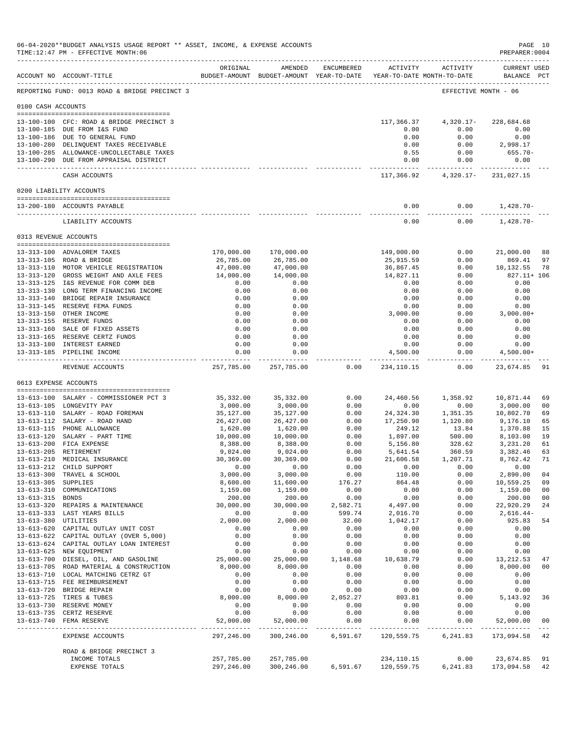|                     | TIME:12:47 PM - EFFECTIVE MONTH:06                                                 |                         |                         |              |                                                                                 |                                            | PREPARER: 0004                 |                      |
|---------------------|------------------------------------------------------------------------------------|-------------------------|-------------------------|--------------|---------------------------------------------------------------------------------|--------------------------------------------|--------------------------------|----------------------|
|                     | ACCOUNT NO ACCOUNT-TITLE                                                           | ORIGINAL                | AMENDED                 | ENCUMBERED   | ACTIVITY<br>BUDGET-AMOUNT BUDGET-AMOUNT YEAR-TO-DATE YEAR-TO-DATE MONTH-TO-DATE | ACTIVITY                                   | <b>CURRENT USED</b><br>BALANCE | $_{\rm PCT}$         |
|                     | REPORTING FUND: 0013 ROAD & BRIDGE PRECINCT 3                                      |                         |                         |              |                                                                                 |                                            | EFFECTIVE MONTH - 06           |                      |
| 0100 CASH ACCOUNTS  |                                                                                    |                         |                         |              |                                                                                 |                                            |                                |                      |
|                     | 13-100-100 CFC: ROAD & BRIDGE PRECINCT 3                                           |                         |                         |              | 117,366.37                                                                      | $4,320.17-$                                | 228,684.68                     |                      |
|                     | 13-100-185 DUE FROM I&S FUND                                                       |                         |                         |              | 0.00                                                                            | 0.00                                       | 0.00                           |                      |
|                     | 13-100-186 DUE TO GENERAL FUND                                                     |                         |                         |              | 0.00                                                                            | 0.00                                       | 0.00                           |                      |
|                     | 13-100-280 DELINQUENT TAXES RECEIVABLE<br>13-100-285 ALLOWANCE-UNCOLLECTABLE TAXES |                         |                         |              | 0.00<br>0.55                                                                    | 0.00<br>0.00                               | 2,998.17<br>$655.70 -$         |                      |
|                     | 13-100-290 DUE FROM APPRAISAL DISTRICT                                             |                         |                         |              | 0.00                                                                            | 0.00                                       | 0.00                           |                      |
|                     | CASH ACCOUNTS                                                                      |                         |                         |              | -------------<br>117,366.92                                                     | ------------<br>4,320.17-                  | .<br>231,027.15                |                      |
|                     | 0200 LIABILITY ACCOUNTS                                                            |                         |                         |              |                                                                                 |                                            |                                |                      |
|                     | 13-200-180 ACCOUNTS PAYABLE                                                        |                         |                         |              | 0.00                                                                            | 0.00                                       | 1,428.70-                      |                      |
|                     | LIABILITY ACCOUNTS                                                                 |                         |                         |              | 0.00                                                                            | 0.00                                       | $1,428.70-$                    |                      |
|                     | 0313 REVENUE ACCOUNTS                                                              |                         |                         |              |                                                                                 |                                            |                                |                      |
|                     | 13-313-100 ADVALOREM TAXES                                                         | 170,000.00              | 170,000.00              |              | 149,000.00                                                                      | 0.00                                       | 21,000.00                      | 88                   |
|                     | 13-313-105 ROAD & BRIDGE                                                           | 26,785.00               | 26,785.00               |              | 25,915.59                                                                       | 0.00                                       | 869.41                         | 97                   |
|                     | 13-313-110 MOTOR VEHICLE REGISTRATION                                              | 47,000.00               | 47,000.00               |              | 36,867.45                                                                       | 0.00                                       | 10,132.55                      | 78                   |
|                     | 13-313-120 GROSS WEIGHT AND AXLE FEES                                              | 14,000.00               | 14,000.00               |              | 14,827.11                                                                       | 0.00                                       | 827.11+ 106                    |                      |
|                     | 13-313-125 I&S REVENUE FOR COMM DEB<br>13-313-130 LONG TERM FINANCING INCOME       | 0.00<br>0.00            | 0.00<br>0.00            |              | 0.00<br>0.00                                                                    | 0.00<br>0.00                               | 0.00<br>0.00                   |                      |
|                     | 13-313-140 BRIDGE REPAIR INSURANCE                                                 | 0.00                    | 0.00                    |              | 0.00                                                                            | 0.00                                       | 0.00                           |                      |
|                     | 13-313-145 RESERVE FEMA FUNDS                                                      | 0.00                    | 0.00                    |              | 0.00                                                                            | 0.00                                       | 0.00                           |                      |
|                     | 13-313-150 OTHER INCOME                                                            | 0.00                    | 0.00                    |              | 3,000.00                                                                        | 0.00                                       | $3,000.00+$                    |                      |
|                     | 13-313-155 RESERVE FUNDS<br>13-313-160 SALE OF FIXED ASSETS                        | 0.00<br>0.00            | 0.00<br>0.00            |              | 0.00<br>0.00                                                                    | 0.00<br>0.00                               | 0.00<br>0.00                   |                      |
|                     | 13-313-165 RESERVE CERTZ FUNDS                                                     | 0.00                    | 0.00                    |              | 0.00                                                                            | 0.00                                       | 0.00                           |                      |
|                     | 13-313-180 INTEREST EARNED                                                         | 0.00                    | 0.00                    |              | 0.00                                                                            | 0.00                                       | 0.00                           |                      |
|                     | 13-313-185 PIPELINE INCOME                                                         | 0.00<br>-----------     | 0.00<br>-------------   |              | 4,500.00<br>-------------                                                       | 0.00<br>$- - - - -$                        | $4,500.00+$<br>-------------   |                      |
|                     | REVENUE ACCOUNTS                                                                   | 257,785.00              | 257,785.00              | 0.00         | 234,110.15                                                                      | 0.00                                       | 23,674.85                      | 91                   |
|                     | 0613 EXPENSE ACCOUNTS                                                              |                         |                         |              |                                                                                 |                                            |                                |                      |
|                     | 13-613-100 SALARY - COMMISSIONER PCT 3                                             | 35,332.00               | 35, 332.00              | 0.00         | 24,460.56                                                                       | 1,358.92                                   | 10,871.44                      | 69                   |
|                     | 13-613-105 LONGEVITY PAY                                                           | 3,000.00                | 3,000.00                | 0.00         | 0.00                                                                            | 0.00                                       | 3,000.00                       | 00                   |
|                     | 13-613-110 SALARY - ROAD FOREMAN<br>13-613-112 SALARY - ROAD HAND                  | 35,127.00<br>26, 427.00 | 35,127.00<br>26, 427.00 | 0.00<br>0.00 | 24,324.30<br>17,250.90                                                          | 1,351.35<br>1,120.80                       | 10,802.70<br>9,176.10          | 69<br>65             |
|                     | 13-613-115 PHONE ALLOWANCE                                                         | 1,620.00                | 1,620.00                | 0.00         | 249.12                                                                          | 13.84                                      | 1,370.88                       | 15                   |
|                     | 13-613-120 SALARY - PART TIME                                                      | 10,000.00               | 10,000.00               | 0.00         | 1,897.00                                                                        | 500.00                                     | 8,103.00                       | 19                   |
|                     | 13-613-200 FICA EXPENSE                                                            | 8,388.00                | 8,388.00                | 0.00         | 5,156.80                                                                        | 328.62                                     | 3,231.20                       | 61                   |
|                     | 13-613-205 RETIREMENT<br>13-613-210 MEDICAL INSURANCE                              | 9,024.00<br>30,369.00   | 9,024.00<br>30,369.00   | 0.00<br>0.00 | 5,641.54<br>21,606.58                                                           | 360.59<br>1,207.71                         | 3,382.46<br>8,762.42           | 63<br>71             |
|                     | 13-613-212 CHILD SUPPORT                                                           | 0.00                    | 0.00                    | 0.00         | 0.00                                                                            | 0.00                                       | 0.00                           |                      |
|                     | 13-613-300 TRAVEL & SCHOOL                                                         | 3,000.00                | 3,000.00                | 0.00         | 110.00                                                                          | 0.00                                       | 2,890.00                       | 04                   |
| 13-613-305 SUPPLIES |                                                                                    | 8,600.00                | 11,600.00               | 176.27       | 864.48                                                                          | 0.00                                       | 10,559.25                      | 09                   |
| 13-613-315 BONDS    | 13-613-310 COMMUNICATIONS                                                          | 1,159.00<br>200.00      | 1,159.00<br>200.00      | 0.00<br>0.00 | 0.00<br>0.00                                                                    | 0.00<br>0.00                               | 1,159.00<br>200.00             | 00<br>0 <sub>0</sub> |
|                     | 13-613-320 REPAIRS & MAINTENANCE                                                   | 30,000.00               | 30,000.00               | 2,582.71     | 4,497.00                                                                        | 0.00                                       | 22,920.29                      | 24                   |
|                     | 13-613-333 LAST YEARS BILLS                                                        | 0.00                    | 0.00                    | 599.74       | 2,016.70                                                                        | 0.00                                       | 2,616.44-                      |                      |
|                     | 13-613-380 UTILITIES                                                               | 2,000.00                | 2,000.00                | 32.00        | 1,042.17                                                                        | 0.00                                       | 925.83                         | 54                   |
|                     | 13-613-620 CAPITAL OUTLAY UNIT COST<br>13-613-622 CAPITAL OUTLAY (OVER 5,000)      | 0.00<br>0.00            | 0.00<br>0.00            | 0.00<br>0.00 | 0.00<br>0.00                                                                    | 0.00<br>0.00                               | 0.00<br>0.00                   |                      |
|                     | 13-613-624 CAPITAL OUTLAY LOAN INTEREST                                            | 0.00                    | 0.00                    | 0.00         | 0.00                                                                            | 0.00                                       | 0.00                           |                      |
|                     | 13-613-625 NEW EQUIPMENT                                                           | 0.00                    | 0.00                    | 0.00         | 0.00                                                                            | 0.00                                       | 0.00                           |                      |
|                     | 13-613-700 DIESEL, OIL, AND GASOLINE                                               | 25,000.00               | 25,000.00               | 1,148.68     | 10,638.79                                                                       | 0.00                                       | 13, 212.53                     | 47                   |
|                     | 13-613-705 ROAD MATERIAL & CONSTRUCTION<br>13-613-710 LOCAL MATCHING CETRZ GT      | 8,000.00<br>0.00        | 8,000.00<br>0.00        | 0.00<br>0.00 | 0.00<br>0.00                                                                    | 0.00<br>0.00                               | 8,000.00<br>0.00               | 00                   |
|                     | 13-613-715 FEE REIMBURSEMENT                                                       | 0.00                    | 0.00                    | 0.00         | 0.00                                                                            | 0.00                                       | 0.00                           |                      |
|                     | 13-613-720 BRIDGE REPAIR                                                           | 0.00                    | 0.00                    | 0.00         | 0.00                                                                            | 0.00                                       | 0.00                           |                      |
|                     | 13-613-725 TIRES & TUBES                                                           | 8,000.00                | 8,000.00                | 2,052.27     | 803.81                                                                          | $\begin{array}{c} 0.00 \ 0.00 \end{array}$ | 5, 143.92                      | 36                   |
|                     | 13-613-730 RESERVE MONEY<br>13-613-735 CERTZ RESERVE                               | 0.00<br>0.00            | 0.00<br>0.00            | 0.00<br>0.00 | 0.00<br>0.00                                                                    | 0.00                                       | 0.00<br>0.00                   |                      |
|                     | 13-613-740 FEMA RESERVE                                                            | 52,000.00               | 52,000.00               | 0.00         | 0.00                                                                            | 0.00                                       | 52,000.00                      | 00                   |
|                     | EXPENSE ACCOUNTS                                                                   | 297,246.00              |                         |              | 300,246.00 6,591.67 120,559.75                                                  | 6,241.83                                   | 173,094.58 42                  |                      |
|                     | ROAD & BRIDGE PRECINCT 3                                                           |                         |                         |              |                                                                                 |                                            |                                |                      |
|                     | INCOME TOTALS<br>EXPENSE TOTALS                                                    | 257,785.00              | 257,785.00              |              | 297,246.00 300,246.00 6,591.67 120,559.75                                       | 234,110.15 0.00<br>6,241.83                | 23,674.85 91<br>173,094.58 42  |                      |
|                     |                                                                                    |                         |                         |              |                                                                                 |                                            |                                |                      |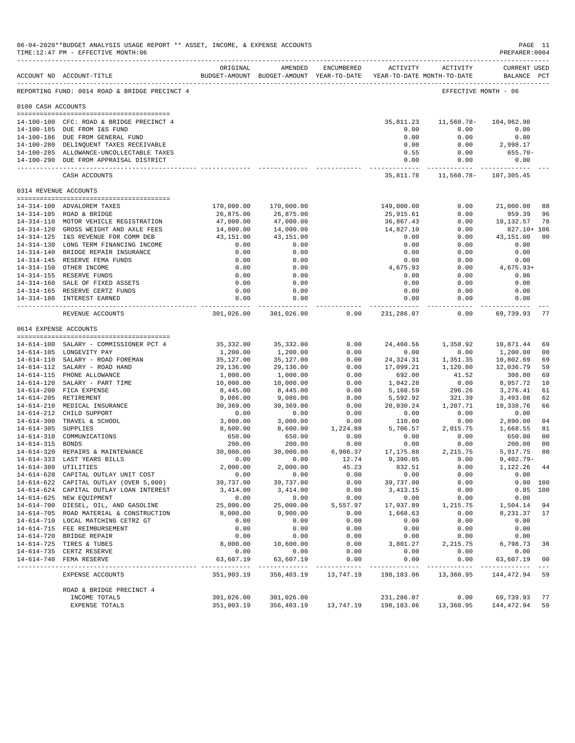|                       | 06-04-2020**BUDGET ANALYSIS USAGE REPORT ** ASSET, INCOME, & EXPENSE ACCOUNTS<br>TIME:12:47 PM - EFFECTIVE MONTH:06 |                           |                                                                                |                      |                           |                                    | PREPARER: 0004                     | PAGE 11              |
|-----------------------|---------------------------------------------------------------------------------------------------------------------|---------------------------|--------------------------------------------------------------------------------|----------------------|---------------------------|------------------------------------|------------------------------------|----------------------|
|                       | ACCOUNT NO ACCOUNT-TITLE                                                                                            | ORIGINAL                  | AMENDED<br>BUDGET-AMOUNT BUDGET-AMOUNT YEAR-TO-DATE YEAR-TO-DATE MONTH-TO-DATE | ENCUMBERED           |                           | ACTIVITY ACTIVITY                  | <b>CURRENT USED</b><br>BALANCE PCT |                      |
|                       | REPORTING FUND: 0014 ROAD & BRIDGE PRECINCT 4                                                                       |                           |                                                                                |                      |                           | EFFECTIVE MONTH - 06               |                                    |                      |
| 0100 CASH ACCOUNTS    |                                                                                                                     |                           |                                                                                |                      |                           |                                    |                                    |                      |
|                       | 14-100-100 CFC: ROAD & BRIDGE PRECINCT 4                                                                            |                           |                                                                                |                      | 35,811.23                 | 11,560.78-                         | 104,962.98                         |                      |
|                       | 14-100-185 DUE FROM I&S FUND                                                                                        |                           |                                                                                |                      | 0.00                      | 0.00                               | 0.00                               |                      |
|                       | 14-100-186 DUE FROM GENERAL FUND                                                                                    |                           |                                                                                |                      | 0.00                      | 0.00                               | 0.00                               |                      |
|                       | 14-100-280 DELINQUENT TAXES RECEIVABLE                                                                              |                           |                                                                                |                      | 0.00                      | 0.00                               | 2,998.17                           |                      |
|                       | 14-100-285 ALLOWANCE-UNCOLLECTABLE TAXES                                                                            |                           |                                                                                |                      | 0.55                      | 0.00                               | 655.70-                            |                      |
|                       | 14-100-290 DUE FROM APPRAISAL DISTRICT                                                                              |                           |                                                                                |                      | 0.00                      | 0.00                               | 0.00                               |                      |
|                       | CASH ACCOUNTS                                                                                                       |                           |                                                                                |                      |                           | 35,811.78   11,560.78   107,305.45 |                                    |                      |
| 0314 REVENUE ACCOUNTS |                                                                                                                     |                           |                                                                                |                      |                           |                                    |                                    |                      |
|                       | 14-314-100 ADVALOREM TAXES                                                                                          | 170,000.00                | 170,000.00                                                                     |                      | 149,000.00                | 0.00                               | 21,000.00                          | 88                   |
|                       | 14-314-105 ROAD & BRIDGE                                                                                            | 26,875.00                 | 26,875.00                                                                      |                      | 25,915.61                 | 0.00                               | 959.39                             | 96                   |
|                       | 14-314-110 MOTOR VEHICLE REGISTRATION                                                                               | 47,000.00                 | 47,000.00                                                                      |                      | 36,867.43                 | 0.00                               | 10,132.57                          | 78                   |
|                       | 14-314-120 GROSS WEIGHT AND AXLE FEES                                                                               | 14,000.00                 | 14,000.00                                                                      |                      | 14,827.10                 | 0.00                               | 827.10+ 106                        |                      |
|                       | 14-314-125 I&S REVENUE FOR COMM DEB                                                                                 | 43,151.00                 | 43,151.00                                                                      |                      | 0.00                      | 0.00                               | 43,151.00                          | 0 <sub>0</sub>       |
|                       | 14-314-130 LONG TERM FINANCING INCOME                                                                               | 0.00                      | 0.00                                                                           |                      | 0.00                      | 0.00                               | 0.00                               |                      |
|                       | 14-314-140 BRIDGE REPAIR INSURANCE                                                                                  | 0.00                      | 0.00                                                                           |                      | 0.00                      | 0.00                               | 0.00                               |                      |
|                       | 14-314-145 RESERVE FEMA FUNDS                                                                                       | 0.00                      | 0.00                                                                           |                      | 0.00                      | 0.00                               | 0.00                               |                      |
|                       | 14-314-150 OTHER INCOME                                                                                             | 0.00                      | 0.00                                                                           |                      | 4,675.93                  | 0.00                               | 4,675.93+                          |                      |
|                       | 14-314-155 RESERVE FUNDS<br>14-314-160 SALE OF FIXED ASSETS                                                         | 0.00                      | 0.00                                                                           |                      | 0.00<br>0.00              | 0.00                               | 0.00                               |                      |
|                       |                                                                                                                     | 0.00<br>0.00              | 0.00<br>0.00                                                                   |                      | 0.00                      | 0.00<br>0.00                       | 0.00<br>0.00                       |                      |
|                       | 14-314-165 RESERVE CERTZ FUNDS<br>14-314-180 INTEREST EARNED                                                        | 0.00                      | 0.00                                                                           |                      | 0.00                      | 0.00                               | 0.00                               |                      |
|                       | --------------------------------<br>REVENUE ACCOUNTS                                                                | ------------              | ------------<br>301,026.00 301,026.00                                          | 0.00                 | --------------            | -----------<br>231,286.07 0.00     | ----------<br>69,739.93            | 77                   |
| 0614 EXPENSE ACCOUNTS |                                                                                                                     |                           |                                                                                |                      |                           |                                    |                                    |                      |
|                       |                                                                                                                     |                           |                                                                                |                      |                           |                                    |                                    |                      |
|                       | 14-614-100 SALARY - COMMISSIONER PCT 4                                                                              | 35,332.00                 | 35,332.00                                                                      | 0.00                 | 24,460.56                 | 1,358.92                           | 10,871.44                          | 69                   |
|                       | 14-614-105 LONGEVITY PAY                                                                                            | 1,200.00                  | 1,200.00                                                                       | 0.00                 | 0.00                      | 0.00                               | 1,200.00                           | 0 <sup>0</sup>       |
|                       | 14-614-110 SALARY - ROAD FOREMAN                                                                                    | 35,127.00                 | 35,127.00                                                                      | 0.00                 | 24,324.31                 | 1,351.35                           | 10,802.69                          | 69                   |
|                       | 14-614-112 SALARY - ROAD HAND                                                                                       | 29,136.00                 | 29,136.00                                                                      | 0.00                 | 17,099.21                 | 1,120.80                           | 12,036.79                          | 59                   |
|                       | 14-614-115 PHONE ALLOWANCE<br>14-614-120 SALARY - PART TIME                                                         | 1,000.00<br>10,000.00     | 1,000.00<br>10,000.00                                                          | 0.00<br>0.00         | 692.00<br>1,042.28        | 41.52<br>0.00                      | 308.00<br>8,957.72                 | 69<br>10             |
|                       | 14-614-200 FICA EXPENSE                                                                                             | 8,445.00                  | 8,445.00                                                                       | 0.00                 | 5,168.59                  | 296.26                             | 3,276.41                           | 61                   |
|                       | 14-614-205 RETIREMENT                                                                                               | 9,086.00                  | 9,086.00                                                                       | 0.00                 | 5,592.92                  | 321.39                             | 3,493.08                           | 62                   |
|                       | 14-614-210 MEDICAL INSURANCE                                                                                        | 30,369.00                 | 30,369.00                                                                      | 0.00                 | 20,030.24                 | 1,207.71                           | 10,338.76                          | 66                   |
|                       | 14-614-212 CHILD SUPPORT                                                                                            | 0.00                      | 0.00                                                                           | 0.00                 | 0.00                      | 0.00                               | 0.00                               |                      |
|                       | 14-614-300 TRAVEL & SCHOOL                                                                                          | 3,000.00                  | 3,000.00                                                                       | 0.00                 |                           | $110.00$ 0.00<br>5,706.57 2,015.75 | 2,890.00                           | 04                   |
| 14-614-305 SUPPLIES   |                                                                                                                     | 8,600.00                  | 8,600.00                                                                       | 1,224.88             |                           |                                    | 1,668.55                           | 81                   |
|                       | 14-614-310 COMMUNICATIONS                                                                                           | 650.00                    | 650.00                                                                         | 0.00                 | 0.00                      | 0.00                               | 650.00                             | 0 <sub>0</sub>       |
| 14-614-315 BONDS      |                                                                                                                     | 200.00<br>30,000.00       | 200.00                                                                         | 0.00<br>6,906.37     | 0.00<br>17, 175.88        | 0.00<br>2, 215.75                  | 200.00<br>5,917.75                 | 0 <sub>0</sub><br>80 |
|                       | 14-614-320 REPAIRS & MAINTENANCE<br>14-614-333 LAST YEARS BILLS                                                     | 0.00                      | 30,000.00<br>0.00                                                              | 12.74                | 9,390.05                  | 0.00                               | $9,402.79 -$                       |                      |
| 14-614-380 UTILITIES  |                                                                                                                     | 2,000.00                  | 2,000.00                                                                       | 45.23                | 832.51                    | 0.00                               | 1,122.26                           | 44                   |
|                       | 14-614-620 CAPITAL OUTLAY UNIT COST                                                                                 | 0.00                      | 0.00                                                                           | 0.00                 | 0.00                      | 0.00                               | 0.00                               |                      |
|                       | 14-614-622 CAPITAL OUTLAY (OVER 5,000)                                                                              | 39,737.00                 | 39,737.00                                                                      | 0.00                 | 39,737.00                 | 0.00                               |                                    | 0.00 100             |
|                       | 14-614-624 CAPITAL OUTLAY LOAN INTEREST                                                                             | 3,414.00                  | 3,414.00                                                                       | 0.00                 | 3, 413.15                 | 0.00                               |                                    | $0.85$ 100           |
|                       | 14-614-625 NEW EQUIPMENT                                                                                            | 0.00                      | 0.00                                                                           | 0.00                 | 0.00                      | 0.00                               | 0.00                               |                      |
|                       | 14-614-700 DIESEL, OIL, AND GASOLINE                                                                                | 25,000.00                 | 25,000.00                                                                      | 5,557.97             | 17,937.89                 | 1,215.75                           | 1,504.14                           | 94                   |
|                       | 14-614-705 ROAD MATERIAL & CONSTRUCTION                                                                             | 8,000.00                  | 9,900.00                                                                       | 0.00                 | 1,668.63                  | 0.00                               | 8,231.37                           | 17                   |
|                       | 14-614-710 LOCAL MATCHING CETRZ GT                                                                                  | 0.00                      | 0.00                                                                           | 0.00                 | 0.00                      | 0.00                               | 0.00                               |                      |
|                       | 14-614-715 FEE REIMBURSEMENT<br>14-614-720 BRIDGE REPAIR                                                            | 0.00<br>0.00              | 0.00<br>0.00                                                                   | 0.00<br>0.00         | 0.00<br>0.00              | 0.00<br>0.00                       | 0.00<br>0.00                       |                      |
|                       | 14-614-725 TIRES & TUBES                                                                                            | 8,000.00                  | 10,600.00                                                                      | 0.00                 | 3,801.27                  | 2,215.75                           | 6,798.73                           | 36                   |
|                       | 14-614-735 CERTZ RESERVE                                                                                            | 0.00                      | 0.00                                                                           | 0.00                 | 0.00                      | 0.00                               | 0.00                               |                      |
|                       | 14-614-740 FEMA RESERVE                                                                                             | 63,607.19                 | 63,607.19                                                                      | 0.00                 | 0.00                      | 0.00                               | 63,607.19                          | 0 <sub>0</sub>       |
|                       | EXPENSE ACCOUNTS                                                                                                    | -----------<br>351,903.19 | -------------<br>356,403.19                                                    | -------<br>13,747.19 | -----------<br>198,183.06 | -----<br>13,360.95                 | ______________<br>144,472.94       | 59                   |
|                       | ROAD & BRIDGE PRECINCT 4                                                                                            |                           |                                                                                |                      |                           |                                    |                                    |                      |
|                       | INCOME TOTALS                                                                                                       | 301,026.00                | 301,026.00                                                                     |                      | 231,286.07                | 0.00                               | 69,739.93                          | 77                   |
|                       | EXPENSE TOTALS                                                                                                      | 351,903.19                | 356,403.19                                                                     | 13,747.19            | 198,183.06                | 13,360.95                          | 144,472.94                         | 59                   |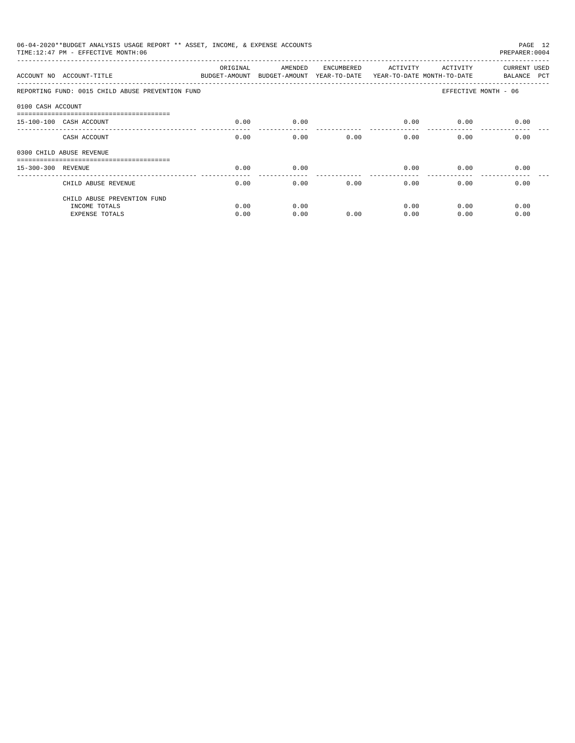|                    | 06-04-2020**BUDGET ANALYSIS USAGE REPORT ** ASSET, INCOME, & EXPENSE ACCOUNTS<br>TIME:12:47 PM - EFFECTIVE MONTH:06 |          |         |            |                                                                   |                                               | PAGE 12<br>PREPARER: 0004   |
|--------------------|---------------------------------------------------------------------------------------------------------------------|----------|---------|------------|-------------------------------------------------------------------|-----------------------------------------------|-----------------------------|
|                    | ACCOUNT NO ACCOUNT-TITLE <b>ACCOUNT ASSESSED AND ACCOUNT</b>                                                        | ORIGINAL | AMENDED | ENCUMBERED | ACTIVITY<br>BUDGET-AMOUNT YEAR-TO-DATE YEAR-TO-DATE MONTH-TO-DATE |                                               | CURRENT USED<br>BALANCE PCT |
|                    | REPORTING FUND: 0015 CHILD ABUSE PREVENTION FUND                                                                    |          |         |            |                                                                   | EFFECTIVE MONTH - 06                          |                             |
| 0100 CASH ACCOUNT  |                                                                                                                     |          |         |            |                                                                   |                                               |                             |
|                    | -------------------------------<br>15-100-100 CASH ACCOUNT                                                          | 0.00     | 0.00    |            | 0.00                                                              | 0.00                                          | 0.00                        |
|                    | CASH ACCOUNT                                                                                                        | 0.00     | 0.00    | 0.00       |                                                                   | 0.00                                          | 0.00                        |
|                    | 0300 CHILD ABUSE REVENUE                                                                                            |          |         |            |                                                                   |                                               |                             |
| 15-300-300 REVENUE |                                                                                                                     | 0.00     | 0.00    |            | 0.00                                                              |                                               | 0.00                        |
|                    | CHILD ABUSE REVENUE                                                                                                 | 0.00     | 0.00    | 0.00       | _______________<br>0.00                                           | 0.00                                          | 0.00                        |
|                    | CHILD ABUSE PREVENTION FUND                                                                                         |          |         |            |                                                                   |                                               |                             |
|                    | INCOME TOTALS                                                                                                       | 0.00     | 0.00    |            | 0.00                                                              | 0.00                                          | 0.00                        |
|                    | <b>EXPENSE TOTALS</b>                                                                                               | 0.00     | 0.00    | 0.00       | 0.00                                                              | ACTIVITY<br>$0.00$ and $0.00$<br>0.00<br>0.00 | 0.00                        |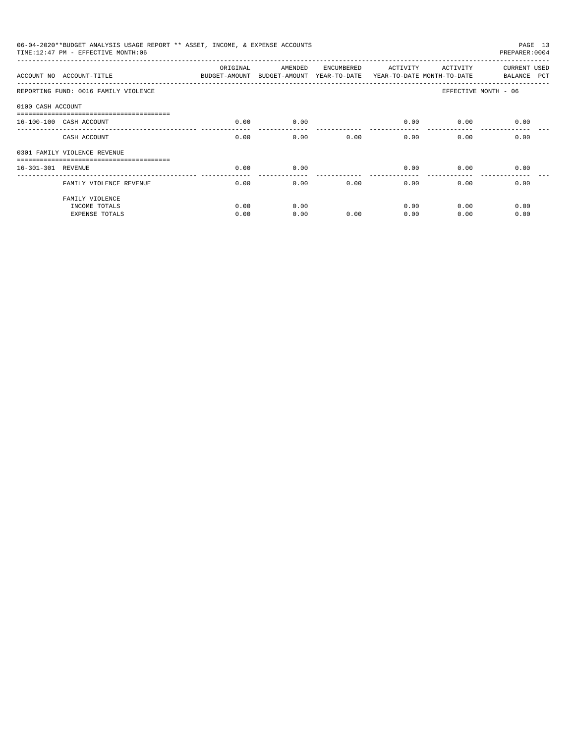|                    | 06-04-2020**BUDGET ANALYSIS USAGE REPORT ** ASSET, INCOME, & EXPENSE ACCOUNTS<br>TIME: 12:47 PM - EFFECTIVE MONTH: 06 |                                                                                 |              |            |                         |              | PAGE 13<br>PREPARER: 0004   |
|--------------------|-----------------------------------------------------------------------------------------------------------------------|---------------------------------------------------------------------------------|--------------|------------|-------------------------|--------------|-----------------------------|
|                    | ACCOUNT NO ACCOUNT-TITLE                                                                                              | ORIGINAL<br>BUDGET-AMOUNT BUDGET-AMOUNT YEAR-TO-DATE YEAR-TO-DATE MONTH-TO-DATE | AMENDED      | ENCUMBERED | ACTIVITY                | ACTIVITY     | CURRENT USED<br>BALANCE PCT |
|                    | REPORTING FUND: 0016 FAMILY VIOLENCE                                                                                  |                                                                                 |              |            |                         |              | EFFECTIVE MONTH - 06        |
| 0100 CASH ACCOUNT  |                                                                                                                       |                                                                                 |              |            |                         |              |                             |
|                    | 16-100-100 CASH ACCOUNT                                                                                               | 0.00                                                                            | 0.00         |            | 0.00                    | 0.00         | 0.00                        |
|                    | CASH ACCOUNT                                                                                                          | 0.00                                                                            | 0.00         | 0.00       | 0.00                    | 0.00         | 0.00                        |
|                    | 0301 FAMILY VIOLENCE REVENUE                                                                                          |                                                                                 |              |            |                         |              |                             |
| 16-301-301 REVENUE |                                                                                                                       | 0.00                                                                            | 0.00         |            | 0.00                    | 0.00         | 0.00                        |
|                    | FAMILY VIOLENCE REVENUE                                                                                               | 0.00                                                                            | 0.00         | 0.00       | _______________<br>0.00 | 0.00         | 0.00                        |
|                    | FAMILY VIOLENCE                                                                                                       |                                                                                 |              |            |                         |              |                             |
|                    | INCOME TOTALS<br><b>EXPENSE TOTALS</b>                                                                                | 0.00<br>0.00                                                                    | 0.00<br>0.00 | 0.00       | 0.00<br>0.00            | 0.00<br>0.00 | 0.00<br>0.00                |
|                    |                                                                                                                       |                                                                                 |              |            |                         |              |                             |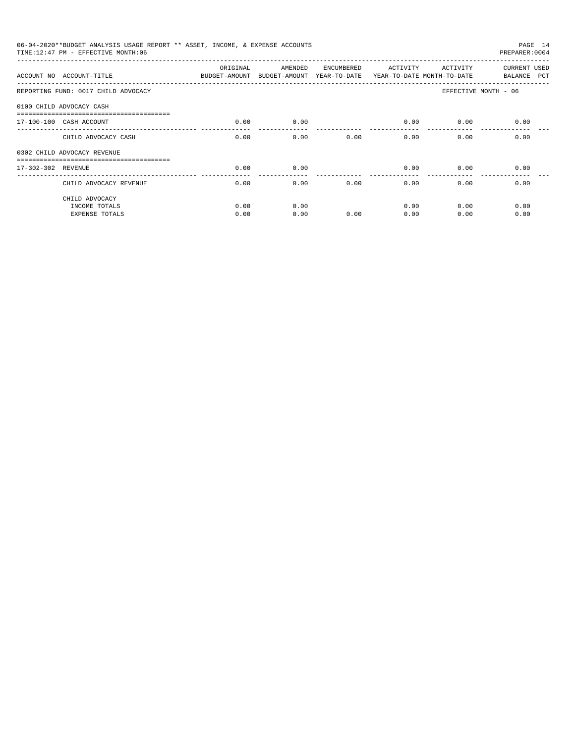| 06-04-2020**BUDGET ANALYSIS USAGE REPORT ** ASSET, INCOME, & EXPENSE ACCOUNTS<br>TIME: 12:47 PM - EFFECTIVE MONTH: 06 |              |              |            |                       |              | PAGE 14<br>PREPARER: 0004   |
|-----------------------------------------------------------------------------------------------------------------------|--------------|--------------|------------|-----------------------|--------------|-----------------------------|
| ACCOUNT NO ACCOUNT-TITLE COMPUT ANOUNT BUDGET-AMOUNT BUDGET-AMOUNT YEAR-TO-DATE YEAR-TO-DATE MONTH-TO-DATE            | ORIGINAL     | AMENDED      | ENCUMBERED | ACTIVITY              | ACTIVITY     | CURRENT USED<br>BALANCE PCT |
| REPORTING FUND: 0017 CHILD ADVOCACY                                                                                   |              |              |            |                       |              | EFFECTIVE MONTH - 06        |
| 0100 CHILD ADVOCACY CASH                                                                                              |              |              |            |                       |              |                             |
| 17-100-100 CASH ACCOUNT                                                                                               | 0.00         | 0.00         |            | 0.00                  | 0.00         | 0.00                        |
| CHILD ADVOCACY CASH                                                                                                   | 0.00         | 0.00         | 0.00       |                       | 0.00<br>0.00 | 0.00                        |
| 0302 CHILD ADVOCACY REVENUE                                                                                           |              |              |            |                       |              |                             |
| 17-302-302 REVENUE                                                                                                    | 0.00         | 0.00         |            | 0.00                  | 0.00         | 0.00                        |
| CHILD ADVOCACY REVENUE                                                                                                | 0.00         | 0.00         | 0.00       | $- - - - - -$<br>0.00 | 0.00         | 0.00                        |
| CHILD ADVOCACY<br>INCOME TOTALS<br><b>EXPENSE TOTALS</b>                                                              | 0.00<br>0.00 | 0.00<br>0.00 | 0.00       | 0.00<br>0.00          | 0.00<br>0.00 | 0.00<br>0.00                |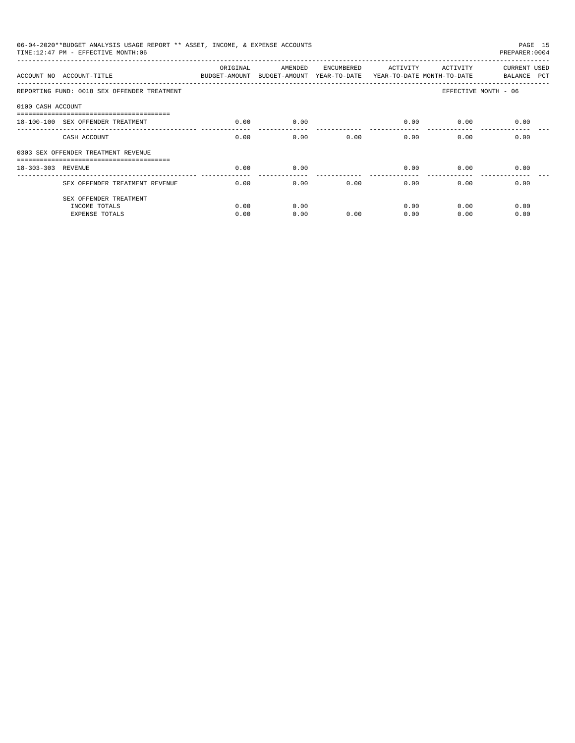|                    | 06-04-2020**BUDGET ANALYSIS USAGE REPORT ** ASSET, INCOME, & EXPENSE ACCOUNTS<br>TIME:12:47 PM - EFFECTIVE MONTH:06 |                           |                                                                  |            |                        |          | PAGE 15<br>PREPARER: 0004   |
|--------------------|---------------------------------------------------------------------------------------------------------------------|---------------------------|------------------------------------------------------------------|------------|------------------------|----------|-----------------------------|
|                    | ACCOUNT NO ACCOUNT-TITLE                                                                                            | ORIGINAL<br>BUDGET-AMOUNT | AMENDED<br>BUDGET-AMOUNT YEAR-TO-DATE YEAR-TO-DATE MONTH-TO-DATE | ENCUMBERED | ACTIVITY               | ACTIVITY | CURRENT USED<br>BALANCE PCT |
|                    | REPORTING FUND: 0018 SEX OFFENDER TREATMENT                                                                         |                           |                                                                  |            |                        |          | EFFECTIVE MONTH - 06        |
| 0100 CASH ACCOUNT  |                                                                                                                     |                           |                                                                  |            |                        |          |                             |
|                    | 18-100-100 SEX OFFENDER TREATMENT                                                                                   | 0.00                      | 0.00                                                             |            | 0.00                   | 0.00     | 0.00                        |
|                    | CASH ACCOUNT                                                                                                        | 0.00                      | 0.00                                                             | 0.00       | 0.00                   | 0.00     | 0.00                        |
|                    | 0303 SEX OFFENDER TREATMENT REVENUE                                                                                 |                           |                                                                  |            |                        |          |                             |
| 18-303-303 REVENUE |                                                                                                                     | 0.00                      | 0.00                                                             |            | 0.00                   | 0.00     | 0.00                        |
|                    | SEX OFFENDER TREATMENT REVENUE                                                                                      | 0.00                      | 0.00                                                             | 0.00       | --------------<br>0.00 | 0.00     | 0.00                        |
|                    | SEX OFFENDER TREATMENT                                                                                              |                           |                                                                  |            |                        |          |                             |
|                    | INCOME TOTALS                                                                                                       | 0.00                      | 0.00                                                             |            | 0.00                   | 0.00     | 0.00                        |
|                    | <b>EXPENSE TOTALS</b>                                                                                               | 0.00                      | 0.00                                                             | 0.00       | 0.00                   | 0.00     | 0.00                        |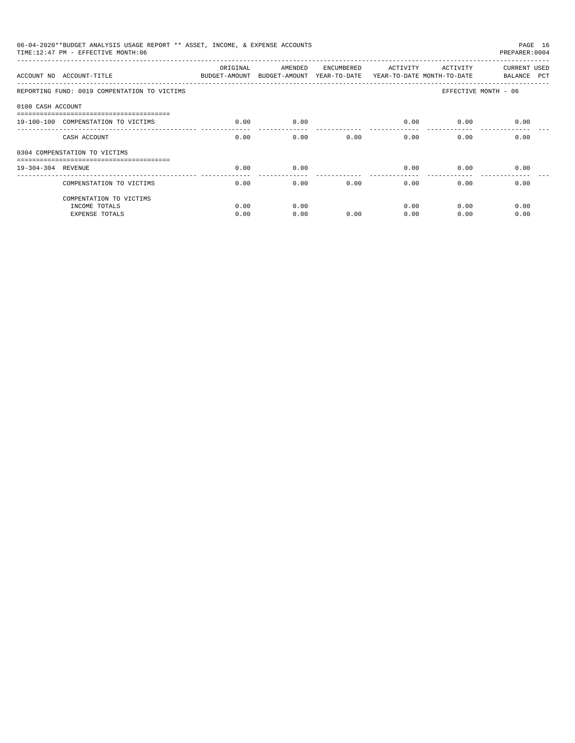|                    | 06-04-2020**BUDGET ANALYSIS USAGE REPORT ** ASSET, INCOME, & EXPENSE ACCOUNTS<br>TIME: 12:47 PM - EFFECTIVE MONTH: 06 |          |         |            |          |          | PAGE 16<br>PREPARER: 0004   |
|--------------------|-----------------------------------------------------------------------------------------------------------------------|----------|---------|------------|----------|----------|-----------------------------|
|                    | ACCOUNT NO ACCOUNT-TITLE<br>BUDGET-AMOUNT BUDGET-AMOUNT YEAR-TO-DATE YEAR-TO-DATE MONTH-TO-DATE                       | ORIGINAL | AMENDED | ENCUMBERED | ACTIVITY | ACTIVITY | CURRENT USED<br>BALANCE PCT |
|                    | REPORTING FUND: 0019 COMPENTATION TO VICTIMS                                                                          |          |         |            |          |          | EFFECTIVE MONTH - 06        |
| 0100 CASH ACCOUNT  |                                                                                                                       |          |         |            |          |          |                             |
|                    | 19-100-100 COMPENSTATION TO VICTIMS                                                                                   | 0.00     | 0.00    |            | 0.00     | 0.00     | 0.00                        |
|                    | CASH ACCOUNT                                                                                                          | 0.00     | 0.00    | 0.00       | 0.00     | 0.00     | 0.00                        |
|                    | 0304 COMPENSTATION TO VICTIMS                                                                                         |          |         |            |          |          |                             |
| 19-304-304 REVENUE |                                                                                                                       | 0.00     | 0.00    |            | 0.00     | 0.00     | 0.00                        |
|                    | COMPENSTATION TO VICTIMS                                                                                              | 0.00     | 0.00    | 0.00       | 0.00     | 0.00     | 0.00                        |
|                    | COMPENTATION TO VICTIMS                                                                                               |          |         |            |          |          |                             |
|                    | INCOME TOTALS                                                                                                         | 0.00     | 0.00    |            | 0.00     | 0.00     | 0.00                        |
|                    | <b>EXPENSE TOTALS</b>                                                                                                 | 0.00     | 0.00    | 0.00       | 0.00     | 0.00     | 0.00                        |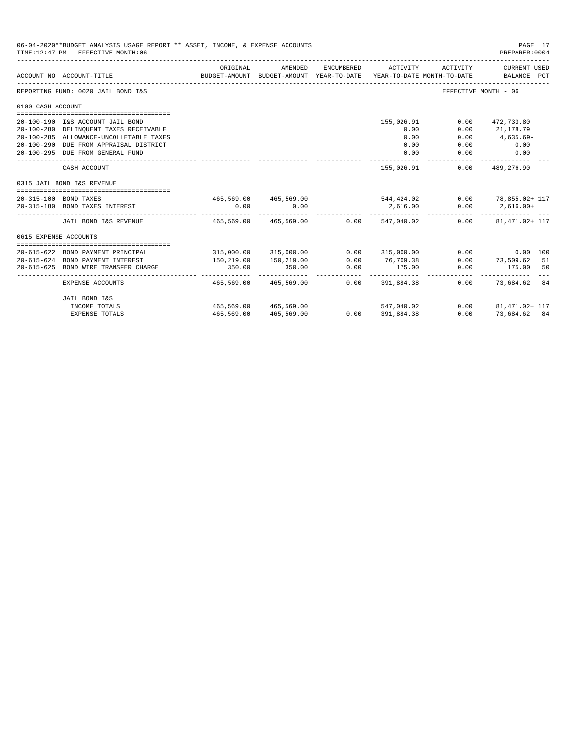|                       | 06-04-2020**BUDGET ANALYSIS USAGE REPORT ** ASSET, INCOME, & EXPENSE ACCOUNTS<br>TIME:12:47 PM - EFFECTIVE MONTH:06 |                        |                                                     |            |                                                     |                      | PAGE 17<br>PREPARER: 0004                                       |
|-----------------------|---------------------------------------------------------------------------------------------------------------------|------------------------|-----------------------------------------------------|------------|-----------------------------------------------------|----------------------|-----------------------------------------------------------------|
|                       | ACCOUNT NO ACCOUNT-TITLE                                                                                            | ORIGINAL               | AMENDED<br>BUDGET-AMOUNT BUDGET-AMOUNT YEAR-TO-DATE | ENCUMBERED | ACTIVITY<br>YEAR-TO-DATE MONTH-TO-DATE              | ACTIVITY             | <b>CURRENT USED</b><br>BALANCE PCT                              |
|                       | REPORTING FUND: 0020 JAIL BOND I&S                                                                                  |                        |                                                     |            |                                                     | EFFECTIVE MONTH - 06 |                                                                 |
| 0100 CASH ACCOUNT     |                                                                                                                     |                        |                                                     |            |                                                     |                      |                                                                 |
|                       |                                                                                                                     |                        |                                                     |            |                                                     |                      |                                                                 |
|                       | 20-100-190 I&S ACCOUNT JAIL BOND                                                                                    |                        |                                                     |            | 155,026.91                                          | 0.00                 | 472,733.80                                                      |
|                       | 20-100-280 DELINQUENT TAXES RECEIVABLE                                                                              |                        |                                                     |            | 0.00                                                | 0.00                 | 21,178.79                                                       |
|                       | 20-100-285 ALLOWANCE-UNCOLLETABLE TAXES                                                                             |                        |                                                     |            | 0.00                                                | 0.00                 | $4,635.69-$                                                     |
|                       | 20-100-290 DUE FROM APPRAISAL DISTRICT                                                                              |                        |                                                     |            | 0.00                                                | 0.00                 | 0.00                                                            |
|                       | 20-100-295 DUE FROM GENERAL FUND                                                                                    |                        |                                                     |            | 0.00                                                | 0.00                 | 0.00                                                            |
|                       | CASH ACCOUNT                                                                                                        |                        |                                                     |            | 155,026.91                                          | 0.00                 | 489,276.90                                                      |
|                       | 0315 JAIL BOND I&S REVENUE                                                                                          |                        |                                                     |            |                                                     |                      |                                                                 |
|                       |                                                                                                                     |                        |                                                     |            |                                                     |                      |                                                                 |
|                       | 20-315-100 BOND TAXES<br>20-315-180 BOND TAXES INTEREST                                                             | 0.00                   | 0.00                                                |            |                                                     | 0.00                 | $465,569.00$ $465,569.00$ $544,424.02$ $0.00$ $78,855.02 + 117$ |
|                       |                                                                                                                     |                        |                                                     |            | 2,616.00<br>. <u>.</u>                              |                      | $2,616.00+$<br>------------                                     |
|                       | JAIL BOND I&S REVENUE                                                                                               | 465,569.00 465,569.00  |                                                     |            | $0.00$ 547,040.02                                   |                      | $0.00$ $81,471.02+117$                                          |
| 0615 EXPENSE ACCOUNTS |                                                                                                                     |                        |                                                     |            |                                                     |                      |                                                                 |
|                       |                                                                                                                     |                        |                                                     |            |                                                     |                      |                                                                 |
|                       | 20-615-622 BOND PAYMENT PRINCIPAL                                                                                   |                        | 315,000.00 315,000.00                               | 0.00       | 315,000.00                                          |                      | 0.00<br>0.00 100                                                |
|                       | 20-615-624 BOND PAYMENT INTEREST                                                                                    | 150,219.00             | 150,219.00                                          | 0.00       | 76,709.38                                           | 0.00                 | 73,509.62 51                                                    |
|                       | 20-615-625 BOND WIRE TRANSFER CHARGE                                                                                | 350.00<br>------------ | 350.00                                              | 0.00       | 175.00                                              | 0.00                 | 175.00<br>50<br>-----------                                     |
|                       | EXPENSE ACCOUNTS                                                                                                    | 465,569.00             | 465,569.00                                          |            | ______________________________<br>$0.00$ 391,884.38 |                      | 0.00 73,684.62 84                                               |
|                       | JAIL BOND I&S                                                                                                       |                        |                                                     |            |                                                     |                      |                                                                 |
|                       | INCOME TOTALS                                                                                                       |                        | 465,569,00 465,569,00                               |            | 547,040.02                                          |                      | $0.00$ $81.471.02 + 117$                                        |
|                       | <b>EXPENSE TOTALS</b>                                                                                               | 465,569.00             | 465,569.00                                          |            | $0.00$ 391,884.38                                   |                      | $0.00$ 73,684.62 84                                             |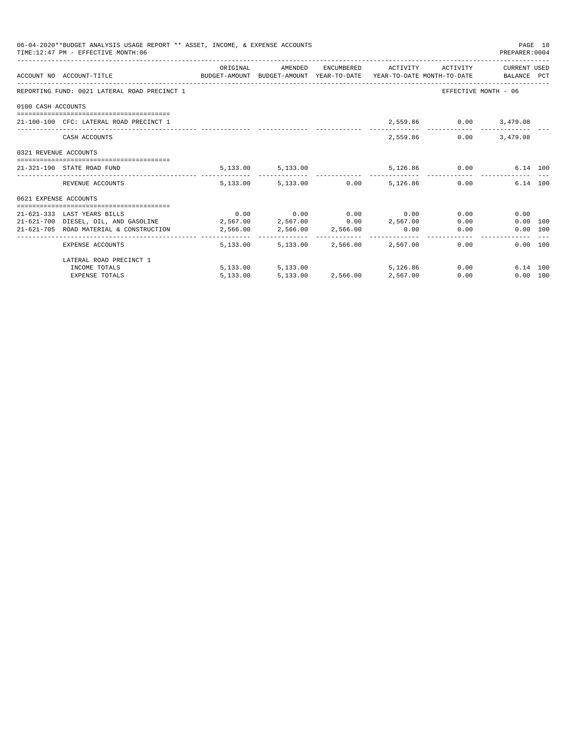|                       | 06-04-2020**BUDGET ANALYSIS USAGE REPORT ** ASSET, INCOME, & EXPENSE ACCOUNTS<br>TIME: 12:47 PM - EFFECTIVE MONTH: 06 |          |                   |                                                    |      | PAGE 18<br>PREPARER: 0004 |  |
|-----------------------|-----------------------------------------------------------------------------------------------------------------------|----------|-------------------|----------------------------------------------------|------|---------------------------|--|
|                       | ACCOUNT NO ACCOUNT-TITLE TO BUDGET-AMOUNT BUDGET-AMOUNT YEAR-TO-DATE YEAR-TO-DATE MONTH-TO-DATE BALANCE PCT           | ORIGINAL | AMENDED           | ENCUMBERED ACTIVITY ACTIVITY CURRENT USED          |      |                           |  |
|                       | REPORTING FUND: 0021 LATERAL ROAD PRECINCT 1                                                                          |          |                   |                                                    |      | EFFECTIVE MONTH - 06      |  |
| 0100 CASH ACCOUNTS    |                                                                                                                       |          |                   |                                                    |      |                           |  |
|                       | 21-100-100 CFC: LATERAL ROAD PRECINCT 1                                                                               |          |                   |                                                    |      | 2,559.86 0.00 3,479.08    |  |
|                       | CASH ACCOUNTS                                                                                                         |          |                   | 2,559.86                                           | 0.00 | 3,479.08                  |  |
| 0321 REVENUE ACCOUNTS |                                                                                                                       |          |                   |                                                    |      |                           |  |
|                       | 21-321-190 STATE ROAD FUND                                                                                            |          |                   | $5,133.00$ $5,133.00$ $5,126.86$ $0.00$ $6.14$ 100 |      |                           |  |
|                       | REVENUE ACCOUNTS                                                                                                      |          |                   | $5,133.00$ $5,133.00$ $0.00$ $5,126.86$ $0.00$     |      | 6.14 100                  |  |
| 0621 EXPENSE ACCOUNTS |                                                                                                                       |          |                   |                                                    |      |                           |  |
|                       | 21-621-333 LAST YEARS BILLS                                                                                           |          |                   | $0.00$ $0.00$ $0.00$ $0.00$ $0.00$                 |      | 0.00<br>0.00              |  |
|                       | 21-621-700 DIESEL, OIL, AND GASOLINE 2,567.00 2,567.00 0.00 2,567.00                                                  |          |                   |                                                    |      | 0.00<br>0.00 100          |  |
|                       | 21-621-705 ROAD MATERIAL & CONSTRUCTION 2,566.00 2,566.00 2,566.00 0.00                                               |          |                   |                                                    |      | 0.00<br>0.00 100          |  |
|                       | EXPENSE ACCOUNTS                                                                                                      |          |                   | 5,133.00 5,133.00 2,566.00 2,567.00                | 0.00 | 0.00 100                  |  |
|                       | LATERAL ROAD PRECINCT 1                                                                                               |          |                   |                                                    |      |                           |  |
|                       | INCOME TOTALS                                                                                                         |          | 5,133.00 5,133.00 | 5,126,86                                           |      | 0.00<br>6.14 100          |  |
|                       | <b>EXPENSE TOTALS</b>                                                                                                 | 5,133.00 |                   | 5,133.00 2,566.00 2,567.00                         | 0.00 | 0.00 100                  |  |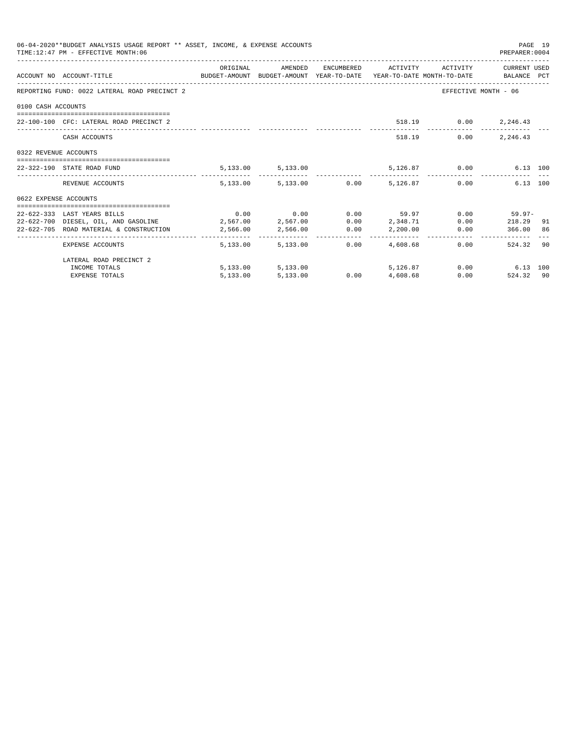|                       | 06-04-2020**BUDGET ANALYSIS USAGE REPORT ** ASSET, INCOME, & EXPENSE ACCOUNTS<br>TIME: 12:47 PM - EFFECTIVE MONTH: 06 |          |                   |      |                                                   |      | PREPARER: 0004       | PAGE 19 |
|-----------------------|-----------------------------------------------------------------------------------------------------------------------|----------|-------------------|------|---------------------------------------------------|------|----------------------|---------|
|                       | ACCOUNT NO ACCOUNT-TITLE CONTROL BUDGET-AMOUNT BUDGET-AMOUNT YEAR-TO-DATE YEAR-TO-DATE MONTH-TO-DATE BALANCE PCT      | ORIGINAL |                   |      | AMENDED ENCUMBERED ACTIVITY ACTIVITY CURRENT USED |      |                      |         |
|                       | REPORTING FUND: 0022 LATERAL ROAD PRECINCT 2                                                                          |          |                   |      |                                                   |      | EFFECTIVE MONTH - 06 |         |
| 0100 CASH ACCOUNTS    |                                                                                                                       |          |                   |      |                                                   |      |                      |         |
|                       | 22-100-100 CFC: LATERAL ROAD PRECINCT 2                                                                               |          |                   |      |                                                   |      | 518.19 0.00 2,246.43 |         |
|                       |                                                                                                                       |          |                   |      |                                                   |      |                      |         |
|                       | CASH ACCOUNTS                                                                                                         |          |                   |      | 518.19                                            | 0.00 | 2,246.43             |         |
| 0322 REVENUE ACCOUNTS |                                                                                                                       |          |                   |      |                                                   |      |                      |         |
|                       | 22-322-190 STATE ROAD FUND                                                                                            |          |                   |      | 5,133.00 5,133.00 5,126.87 0.00                   |      | 6.13 100             |         |
|                       | REVENUE ACCOUNTS                                                                                                      |          |                   |      | 5,133.00 5,133.00 0.00 5,126.87 0.00              |      | 6.13 100             |         |
| 0622 EXPENSE ACCOUNTS |                                                                                                                       |          |                   |      |                                                   |      |                      |         |
|                       | 22-622-333 LAST YEARS BILLS                                                                                           |          |                   |      | $0.00$ $0.00$ $0.00$ $0.00$ $59.97$               |      | $0.00$ 59.97-        |         |
|                       | 22-622-700 DIESEL, OIL, AND GASOLINE 2,567.00 2,567.00                                                                |          |                   |      | $0.00$ 2, 348.71                                  |      | $0.00$ 218.29 91     |         |
|                       | 22-622-705 ROAD MATERIAL & CONSTRUCTION 2,566.00                                                                      |          |                   |      | 2,566.00 0.00 2,200.00                            |      | 0.00 366.00 86       |         |
|                       | EXPENSE ACCOUNTS                                                                                                      |          | 5,133,00 5,133,00 | 0.00 | 4,608.68                                          |      | 524.32 90<br>0.00    |         |
|                       | LATERAL ROAD PRECINCT 2                                                                                               |          |                   |      |                                                   |      |                      |         |
|                       | INCOME TOTALS                                                                                                         |          | 5,133.00 5,133.00 |      | 5,126.87                                          |      | $0.00$ 6.13 100      |         |
|                       | <b>EXPENSE TOTALS</b>                                                                                                 | 5,133.00 | 5,133.00          |      | $0.00$ $4,608.68$                                 |      | 0.00<br>524.32 90    |         |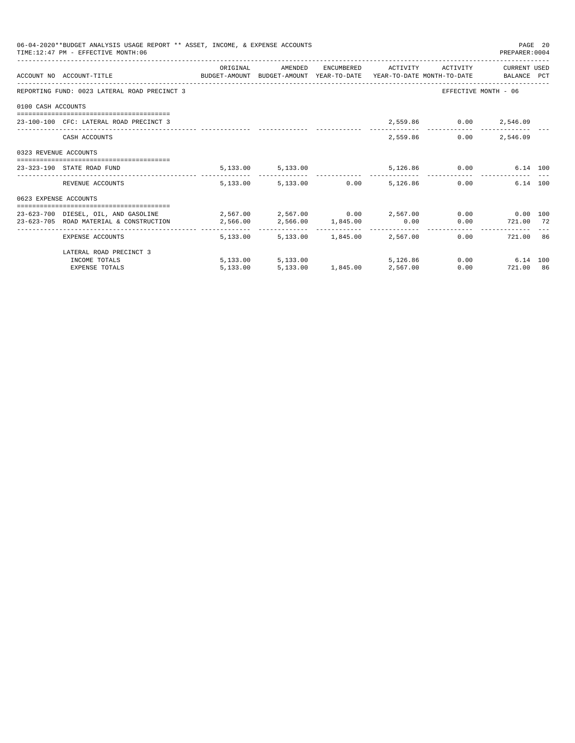|                       | 06-04-2020**BUDGET ANALYSIS USAGE REPORT ** ASSET, INCOME, & EXPENSE ACCOUNTS<br>TIME: 12:47 PM - EFFECTIVE MONTH: 06 |          |                                     |                            |                                |                              | PREPARER: 0004                | PAGE 20 |
|-----------------------|-----------------------------------------------------------------------------------------------------------------------|----------|-------------------------------------|----------------------------|--------------------------------|------------------------------|-------------------------------|---------|
|                       |                                                                                                                       | ORIGINAL | AMENDED                             |                            |                                | ENCUMBERED ACTIVITY ACTIVITY | CURRENT USED                  |         |
|                       | ACCOUNT NO ACCOUNT-TITLE CONTROL SUDGET-AMOUNT BUDGET-AMOUNT YEAR-TO-DATE YEAR-TO-DATE MONTH-TO-DATE BALANCE PCT      |          |                                     |                            |                                |                              |                               |         |
|                       | REPORTING FUND: 0023 LATERAL ROAD PRECINCT 3                                                                          |          |                                     |                            |                                |                              | EFFECTIVE MONTH - 06          |         |
| 0100 CASH ACCOUNTS    |                                                                                                                       |          |                                     |                            |                                |                              |                               |         |
|                       | 23-100-100 CFC: LATERAL ROAD PRECINCT 3                                                                               |          |                                     |                            |                                | 2,559.86 0.00 2,546.09       |                               |         |
|                       | CASH ACCOUNTS                                                                                                         |          |                                     |                            |                                | 2,559.86                     | $0.00$ 2,546.09               |         |
| 0323 REVENUE ACCOUNTS |                                                                                                                       |          |                                     |                            |                                |                              |                               |         |
|                       | 23-323-190 STATE ROAD FUND                                                                                            |          | 5, 133.00 5, 133.00                 |                            |                                | 5,126.86 0.00                | 6.14 100                      |         |
|                       | REVENUE ACCOUNTS                                                                                                      |          | 5,133.00 5,133.00 0.00 5,126.86     |                            |                                |                              | 6.14 100<br>0.00              |         |
| 0623 EXPENSE ACCOUNTS |                                                                                                                       |          |                                     |                            |                                |                              |                               |         |
|                       | 23-623-700 DIESEL, OIL, AND GASOLINE $2,567.00$ $2,567.00$ $0.00$ $2,567.00$ $0.00$ $0.00$ $0.00$                     |          |                                     |                            |                                |                              |                               |         |
|                       | 23-623-705 ROAD MATERIAL & CONSTRUCTION 2,566.00 2,566.00 1,845.00 0.00                                               |          |                                     |                            |                                |                              | $0.00$ $721.00$ $72$          |         |
|                       | EXPENSE ACCOUNTS                                                                                                      |          | 5,133.00 5,133.00 1,845.00 2,567.00 |                            | ______________________________ |                              | 721.00 86<br>0.00             |         |
|                       | LATERAL ROAD PRECINCT 3                                                                                               |          |                                     |                            |                                |                              |                               |         |
|                       | INCOME TOTALS                                                                                                         |          | 5,133.00 5,133.00                   |                            | 5,126,86                       |                              | $0.00$ and $0.00$<br>6.14 100 |         |
|                       | <b>EXPENSE TOTALS</b>                                                                                                 | 5,133.00 |                                     | 5,133,00 1,845,00 2,567,00 |                                |                              | 0.00 721.00 86                |         |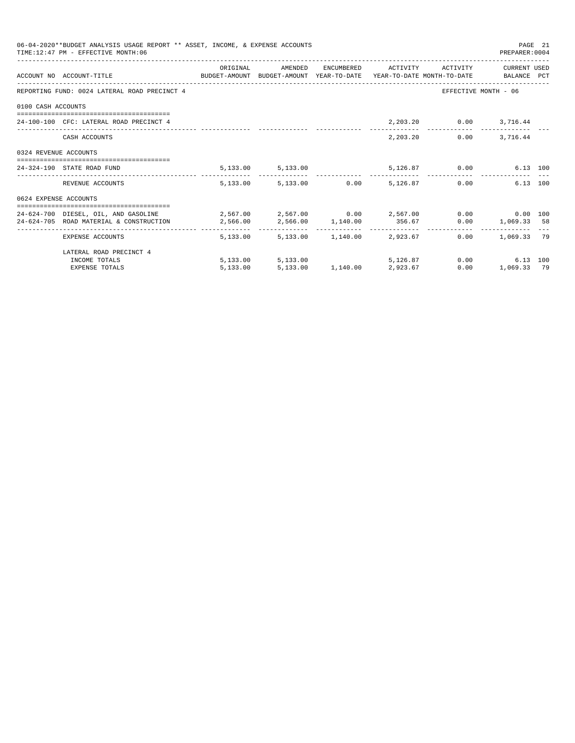|                       | 06-04-2020**BUDGET ANALYSIS USAGE REPORT ** ASSET, INCOME, & EXPENSE ACCOUNTS<br>TIME: 12:47 PM - EFFECTIVE MONTH: 06                                                                 |          |                                     |  |                                      | PREPARER: 0004                                    | PAGE 21 |
|-----------------------|---------------------------------------------------------------------------------------------------------------------------------------------------------------------------------------|----------|-------------------------------------|--|--------------------------------------|---------------------------------------------------|---------|
|                       | ACCOUNT NO ACCOUNT-TITLE COMPUTE SUDGET-AMOUNT BUDGET-AMOUNT YEAR-TO-DATE YEAR-TO-DATE MONTH-TO-DATE BALANCE PCT                                                                      | ORIGINAL |                                     |  | AMENDED ENCUMBERED ACTIVITY ACTIVITY | CURRENT USED                                      |         |
|                       | REPORTING FUND: 0024 LATERAL ROAD PRECINCT 4                                                                                                                                          |          |                                     |  |                                      | EFFECTIVE MONTH - 06                              |         |
| 0100 CASH ACCOUNTS    |                                                                                                                                                                                       |          |                                     |  |                                      |                                                   |         |
|                       | 24-100-100 CFC: LATERAL ROAD PRECINCT 4                                                                                                                                               |          |                                     |  | 2, 203.20   0.00   3, 716.44         |                                                   |         |
|                       | CASH ACCOUNTS                                                                                                                                                                         |          |                                     |  | 2, 203. 20 0.00 3, 716. 44           |                                                   |         |
| 0324 REVENUE ACCOUNTS |                                                                                                                                                                                       |          |                                     |  |                                      |                                                   |         |
|                       | 24-324-190 STATE ROAD FUND                                                                                                                                                            |          | 5, 133.00 5, 133.00                 |  | 5,126.87 0.00                        | 6.13 100                                          |         |
|                       | REVENUE ACCOUNTS                                                                                                                                                                      |          | 5,133.00 5,133.00 0.00 5,126.87     |  |                                      | 6.13 100<br>0.00                                  |         |
| 0624 EXPENSE ACCOUNTS |                                                                                                                                                                                       |          |                                     |  |                                      |                                                   |         |
|                       | 24-624-700 DIESEL, OIL, AND GASOLINE $2,567.00$ $2,567.00$ $0.00$ $2,567.00$ $0.00$ $0.00$ $0.00$ $0.00$<br>24-624-705 ROAD MATERIAL & CONSTRUCTION 2,566.00 2,566.00 1,140.00 356.67 |          |                                     |  |                                      | $0.00$ 1,069.33 58                                |         |
|                       | EXPENSE ACCOUNTS                                                                                                                                                                      |          | 5,133.00 5,133.00 1,140.00 2,923.67 |  |                                      | ------------- -------------<br>$0.00$ 1,069.33 79 |         |
|                       | LATERAL ROAD PRECINCT 4                                                                                                                                                               |          |                                     |  |                                      |                                                   |         |
|                       | INCOME TOTALS                                                                                                                                                                         |          | 5,133.00 5,133.00                   |  | 5.126.87 0.00                        | 6.13 100                                          |         |
|                       | <b>EXPENSE TOTALS</b>                                                                                                                                                                 | 5,133.00 | 5,133,00 1,140,00 2,923,67          |  | 0.00                                 | 1,069.33 79                                       |         |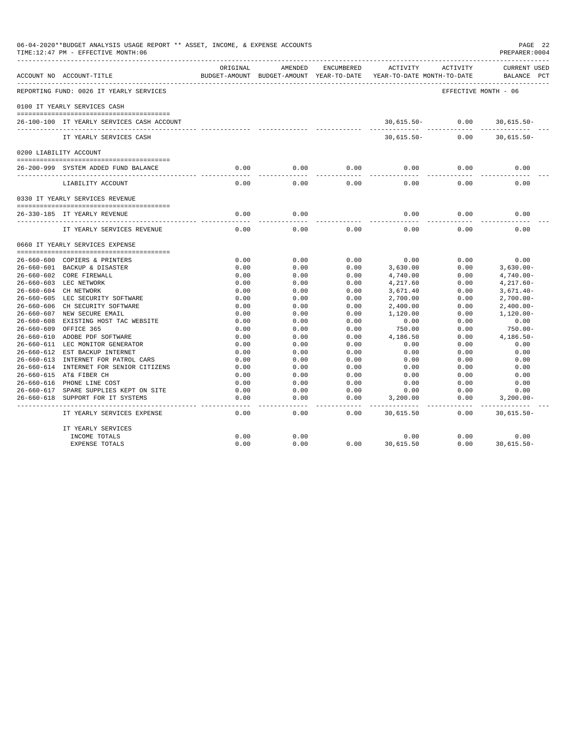|                  | 06-04-2020**BUDGET ANALYSIS USAGE REPORT ** ASSET, INCOME, & EXPENSE ACCOUNTS<br>TIME:12:47 PM - EFFECTIVE MONTH:06 |                     |                       |               |                                                                                 |                      | PAGE 22<br>PREPARER:0004             |
|------------------|---------------------------------------------------------------------------------------------------------------------|---------------------|-----------------------|---------------|---------------------------------------------------------------------------------|----------------------|--------------------------------------|
|                  | ACCOUNT NO ACCOUNT-TITLE                                                                                            | ORIGINAL            | AMENDED               | ENCUMBERED    | ACTIVITY<br>BUDGET-AMOUNT BUDGET-AMOUNT YEAR-TO-DATE YEAR-TO-DATE MONTH-TO-DATE | ACTIVITY             | <b>CURRENT USED</b><br>BALANCE PCT   |
|                  | REPORTING FUND: 0026 IT YEARLY SERVICES                                                                             |                     |                       |               |                                                                                 | EFFECTIVE MONTH - 06 |                                      |
|                  | 0100 IT YEARLY SERVICES CASH                                                                                        |                     |                       |               |                                                                                 |                      |                                      |
|                  | 26-100-100 IT YEARLY SERVICES CASH ACCOUNT                                                                          |                     |                       |               | $30,615.50 - 0.00$<br>------------                                              | .                    | $30,615.50 -$<br>-------------       |
|                  | IT YEARLY SERVICES CASH                                                                                             |                     |                       |               | $30,615.50 -$                                                                   | 0.00                 | $30,615.50 -$                        |
|                  | 0200 LIABILITY ACCOUNT                                                                                              |                     |                       |               |                                                                                 |                      |                                      |
|                  | 26-200-999 SYSTEM ADDED FUND BALANCE                                                                                | 0.00                | 0.00                  | 0.00          | 0.00                                                                            | 0.00                 | 0.00                                 |
|                  | LIABILITY ACCOUNT                                                                                                   | -----<br>0.00       | .<br>0.00             | 0.00          | $- - - -$<br>0.00                                                               | 0.00                 | 0.00                                 |
|                  | 0330 IT YEARLY SERVICES REVENUE                                                                                     |                     |                       |               |                                                                                 |                      |                                      |
|                  |                                                                                                                     |                     |                       |               |                                                                                 |                      |                                      |
|                  | 26-330-185 IT YEARLY REVENUE                                                                                        | 0.00<br>$- - - - -$ | 0.00<br>$- - - - -$   |               | 0.00<br>$\frac{1}{2}$                                                           | 0.00                 | 0.00                                 |
|                  | IT YEARLY SERVICES REVENUE                                                                                          | 0.00                | 0.00                  | 0.00          | 0.00                                                                            | 0.00                 | 0.00                                 |
|                  | 0660 IT YEARLY SERVICES EXPENSE                                                                                     |                     |                       |               |                                                                                 |                      |                                      |
|                  |                                                                                                                     |                     |                       |               |                                                                                 |                      |                                      |
|                  | 26-660-600 COPIERS & PRINTERS                                                                                       | 0.00                | 0.00                  | 0.00          | 0.00                                                                            | 0.00                 | 0.00                                 |
|                  | 26-660-601 BACKUP & DISASTER<br>26-660-602 CORE FIREWALL                                                            | 0.00<br>0.00        | 0.00<br>0.00          | 0.00<br>0.00  | 3,630.00<br>4,740.00                                                            | 0.00<br>0.00         | $3,630.00 -$<br>$4,740.00 -$         |
|                  | 26-660-603 LEC NETWORK                                                                                              | 0.00                | 0.00                  | 0.00          | 4,217.60                                                                        | 0.00                 | $4,217.60-$                          |
|                  | 26-660-604 CH NETWORK                                                                                               | 0.00                | 0.00                  | 0.00          | 3,671.40                                                                        | 0.00                 | $3,671.40-$                          |
|                  | 26-660-605 LEC SECURITY SOFTWARE                                                                                    | 0.00                | 0.00                  | 0.00          | 2,700.00                                                                        | 0.00                 | $2,700.00-$                          |
|                  | 26-660-606 CH SECURITY SOFTWARE                                                                                     | 0.00                | 0.00                  | 0.00          | 2,400.00                                                                        | 0.00                 | $2,400.00-$                          |
|                  | 26-660-607 NEW SECURE EMAIL                                                                                         | 0.00                | 0.00                  | 0.00          | 1,120.00                                                                        | 0.00                 | $1.120.00 -$                         |
|                  | 26-660-608 EXISTING HOST TAC WEBSITE                                                                                | 0.00                | 0.00                  | 0.00          | 0.00                                                                            | 0.00                 | 0.00                                 |
| $26 - 660 - 609$ | OFFICE 365                                                                                                          | 0.00                | 0.00                  | 0.00          | 750.00                                                                          | 0.00                 | 750.00-                              |
|                  | 26-660-610 ADOBE PDF SOFTWARE                                                                                       | 0.00                | 0.00                  | 0.00          | 4,186.50                                                                        | 0.00                 | $4,186.50-$                          |
|                  | 26-660-611 LEC MONITOR GENERATOR                                                                                    | 0.00                | 0.00                  | 0.00          | 0.00                                                                            | 0.00                 | 0.00                                 |
|                  | 26-660-612 EST BACKUP INTERNET                                                                                      | 0.00                | 0.00                  | 0.00          | 0.00                                                                            | 0.00                 | 0.00                                 |
|                  | 26-660-613 INTERNET FOR PATROL CARS                                                                                 | 0.00                | 0.00                  | 0.00          | 0.00                                                                            | 0.00                 | 0.00                                 |
|                  | 26-660-614 INTERNET FOR SENIOR CITIZENS                                                                             | 0.00                | 0.00                  | 0.00          | 0.00                                                                            | 0.00                 | 0.00                                 |
|                  | 26-660-615 AT& FIBER CH                                                                                             | 0.00                | 0.00                  | 0.00          | 0.00                                                                            | 0.00                 | 0.00                                 |
|                  | 26-660-616 PHONE LINE COST                                                                                          | 0.00                | 0.00                  | 0.00          | 0.00                                                                            | 0.00                 | 0.00                                 |
|                  | 26-660-617 SPARE SUPPLIES KEPT ON SITE                                                                              | 0.00                | 0.00                  | 0.00          | 0.00                                                                            | 0.00                 | 0.00                                 |
|                  | 26-660-618 SUPPORT FOR IT SYSTEMS                                                                                   | 0.00                | 0.00                  | 0.00          | 3,200.00                                                                        | 0.00                 | $3,200.00 -$                         |
|                  | IT YEARLY SERVICES EXPENSE                                                                                          | $- - - -$<br>0.00   | $\frac{1}{2}$<br>0.00 | -----<br>0.00 | 30,615.50                                                                       | 0.00                 | . _ _ _ _ _ _ _ _ _<br>$30,615.50 -$ |
|                  | IT YEARLY SERVICES                                                                                                  |                     |                       |               |                                                                                 |                      |                                      |
|                  | INCOME TOTALS                                                                                                       | 0.00                | 0.00                  |               | 0.00                                                                            | 0.00                 | 0.00                                 |
|                  | <b>EXPENSE TOTALS</b>                                                                                               | 0.00                | 0.00                  | 0.00          | 30,615.50                                                                       | 0.00                 | $30,615.50 -$                        |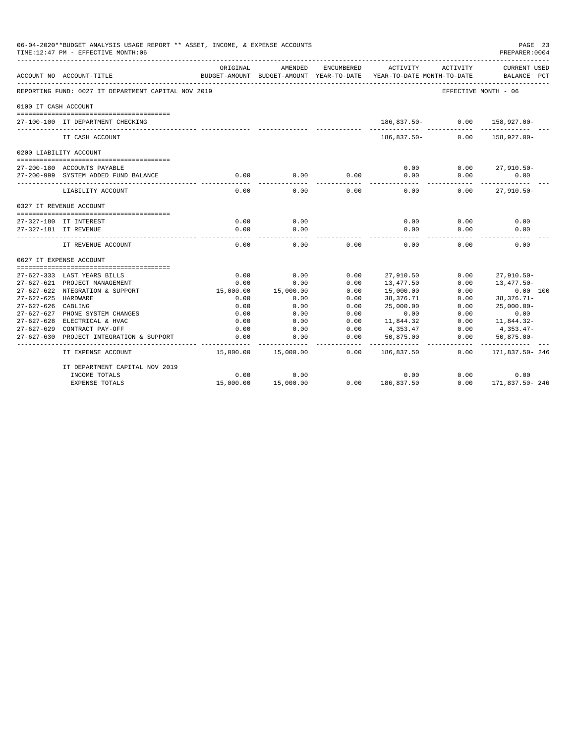|                      | 06-04-2020**BUDGET ANALYSIS USAGE REPORT ** ASSET, INCOME, & EXPENSE ACCOUNTS<br>TIME:12:47 PM - EFFECTIVE MONTH:06 |           |                                        |                            |                                        |          | PAGE 23<br>PREPARER: 0004          |  |
|----------------------|---------------------------------------------------------------------------------------------------------------------|-----------|----------------------------------------|----------------------------|----------------------------------------|----------|------------------------------------|--|
|                      | ACCOUNT NO ACCOUNT-TITLE                                                                                            | ORIGINAL  | AMENDED<br>BUDGET-AMOUNT BUDGET-AMOUNT | ENCUMBERED<br>YEAR-TO-DATE | ACTIVITY<br>YEAR-TO-DATE MONTH-TO-DATE | ACTIVITY | <b>CURRENT USED</b><br>BALANCE PCT |  |
|                      | REPORTING FUND: 0027 IT DEPARTMENT CAPITAL NOV 2019                                                                 |           |                                        |                            |                                        |          | EFFECTIVE MONTH - 06               |  |
| 0100 IT CASH ACCOUNT |                                                                                                                     |           |                                        |                            |                                        |          |                                    |  |
|                      | 27-100-100 IT DEPARTMENT CHECKING                                                                                   |           |                                        |                            | 186,837.50-                            | 0.00     | $158.927.00 -$                     |  |
|                      | IT CASH ACCOUNT                                                                                                     |           |                                        |                            | 186,837.50-                            | 0.00     | 158,927.00-                        |  |
|                      | 0200 LIABILITY ACCOUNT                                                                                              |           |                                        |                            |                                        |          |                                    |  |
|                      |                                                                                                                     |           |                                        |                            |                                        |          |                                    |  |
|                      | 27-200-180 ACCOUNTS PAYABLE                                                                                         |           |                                        |                            | 0.00                                   | 0.00     | $27,910.50 -$                      |  |
|                      | 27-200-999 SYSTEM ADDED FUND BALANCE                                                                                | 0.00      | 0.00                                   | 0.00                       | 0.00<br>$- - - -$                      | 0.00     | 0.00                               |  |
|                      | LIABILITY ACCOUNT                                                                                                   | 0.00      | 0.00                                   | 0.00                       | 0.00                                   | 0.00     | $27,910.50 -$                      |  |
|                      | 0327 IT REVENUE ACCOUNT                                                                                             |           |                                        |                            |                                        |          |                                    |  |
|                      |                                                                                                                     |           |                                        |                            |                                        |          |                                    |  |
|                      | 27-327-180 IT INTEREST                                                                                              | 0.00      | 0.00                                   |                            | 0.00                                   | 0.00     | 0.00                               |  |
|                      | 27-327-181 IT REVENUE                                                                                               | 0.00      | 0.00                                   |                            | 0.00                                   | 0.00     | 0.00                               |  |
|                      | IT REVENUE ACCOUNT                                                                                                  | 0.00      | 0.00                                   | 0.00                       | 0.00                                   | 0.00     | 0.00                               |  |
|                      | 0627 IT EXPENSE ACCOUNT                                                                                             |           |                                        |                            |                                        |          |                                    |  |
|                      | 27-627-333 LAST YEARS BILLS                                                                                         | 0.00      | 0.00                                   | 0.00                       |                                        | 0.00     |                                    |  |
|                      | 27-627-621 PROJECT MANAGEMENT                                                                                       | 0.00      | 0.00                                   | 0.00                       | 27,910.50<br>13,477.50                 | 0.00     | $27,910.50 -$<br>13,477.50-        |  |
|                      | 27-627-622 NTEGRATION & SUPPORT                                                                                     | 15,000.00 | 15,000.00                              | 0.00                       | 15,000.00                              | 0.00     | 0.00 100                           |  |
| 27-627-625 HARDWARE  |                                                                                                                     | 0.00      | 0.00                                   | 0.00                       | 38,376.71                              | 0.00     | $38,376.71-$                       |  |
| $27 - 627 - 626$     | CABLING                                                                                                             | 0.00      | 0.00                                   | 0.00                       | 25,000.00                              | 0.00     | $25.000.00 -$                      |  |
|                      | 27-627-627 PHONE SYSTEM CHANGES                                                                                     | 0.00      | 0.00                                   | 0.00                       | 0.00                                   | 0.00     | 0.00                               |  |
|                      | 27-627-628 ELECTRICAL & HVAC                                                                                        | 0.00      | 0.00                                   | 0.00                       | 11,844.32                              | 0.00     | 11,844.32-                         |  |
|                      | 27-627-629 CONTRACT PAY-OFF                                                                                         | 0.00      | 0.00                                   | 0.00                       | 4,353.47                               | 0.00     | 4,353.47-                          |  |
| $27 - 627 - 630$     | PROJECT INTEGRATION & SUPPORT                                                                                       | 0.00      | 0.00                                   | 0.00                       | 50,875.00                              | 0.00     | $50,875.00 -$                      |  |
|                      | IT EXPENSE ACCOUNT                                                                                                  | 15,000.00 | 15,000.00                              | 0.00                       | 186,837.50                             | 0.00     | -----------<br>171,837.50-246      |  |
|                      | IT DEPARTMENT CAPITAL NOV 2019                                                                                      |           |                                        |                            |                                        |          |                                    |  |
|                      | INCOME TOTALS                                                                                                       | 0.00      | 0.00                                   |                            | 0.00                                   | 0.00     | 0.00                               |  |
|                      | <b>EXPENSE TOTALS</b>                                                                                               | 15,000.00 | 15,000.00                              | 0.00                       | 186,837.50                             | 0.00     | 171,837.50-246                     |  |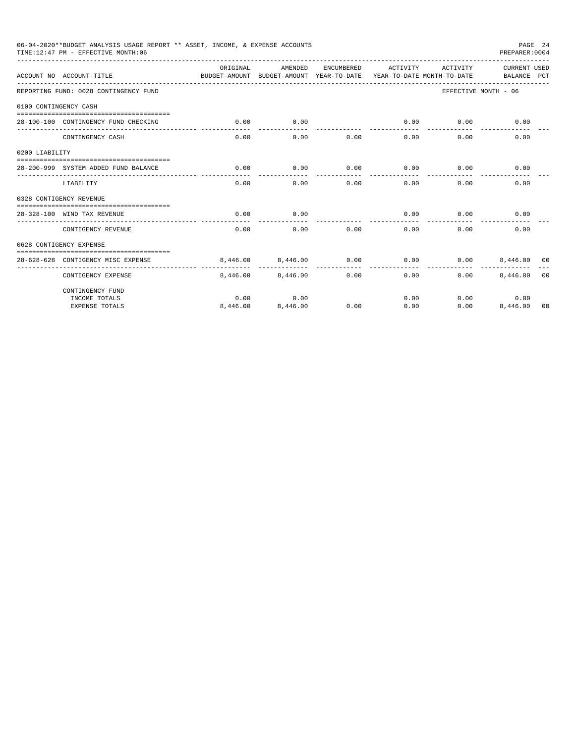|                       | 06-04-2020**BUDGET ANALYSIS USAGE REPORT ** ASSET, INCOME, & EXPENSE ACCOUNTS<br>TIME:12:47 PM - EFFECTIVE MONTH:06 |                                                                                 |          |            |                     |          | PREPARER: 0004              | PAGE 24        |
|-----------------------|---------------------------------------------------------------------------------------------------------------------|---------------------------------------------------------------------------------|----------|------------|---------------------|----------|-----------------------------|----------------|
|                       | ACCOUNT NO ACCOUNT-TITLE                                                                                            | ORTGINAL<br>BUDGET-AMOUNT BUDGET-AMOUNT YEAR-TO-DATE YEAR-TO-DATE MONTH-TO-DATE | AMENDED  | ENCUMBERED | ACTIVITY            | ACTIVITY | CURRENT USED<br>BALANCE PCT |                |
|                       | REPORTING FUND: 0028 CONTINGENCY FUND                                                                               |                                                                                 |          |            |                     |          | EFFECTIVE MONTH - 06        |                |
| 0100 CONTINGENCY CASH |                                                                                                                     |                                                                                 |          |            |                     |          |                             |                |
|                       | 28-100-100 CONTINGENCY FUND CHECKING                                                                                | 0.00                                                                            | 0.00     |            | 0.00<br>----------- | 0.00     | 0.00                        |                |
|                       | CONTINGENCY CASH                                                                                                    | 0.00                                                                            | 0.00     | 0.00       | 0.00                | 0.00     | 0.00                        |                |
| 0200 LIABILITY        |                                                                                                                     |                                                                                 |          |            |                     |          |                             |                |
|                       | 28-200-999 SYSTEM ADDED FUND BALANCE                                                                                | 0.00                                                                            | 0.00     | 0.00       | 0.00                | 0.00     | 0.00                        |                |
|                       | LIABILITY                                                                                                           | 0.00                                                                            | 0.00     | 0.00       | 0.00                | 0.00     | 0.00                        |                |
|                       | 0328 CONTIGENCY REVENUE                                                                                             |                                                                                 |          |            |                     |          |                             |                |
|                       | 28-328-100 WIND TAX REVENUE                                                                                         | 0.00                                                                            | 0.00     |            | 0.00                | 0.00     | 0.00                        |                |
|                       | CONTIGENCY REVENUE                                                                                                  | 0.00                                                                            | 0.00     | 0.00       | 0.00                | 0.00     | 0.00                        |                |
|                       | 0628 CONTIGENCY EXPENSE                                                                                             |                                                                                 |          |            |                     |          |                             |                |
|                       | 28-628-628 CONTIGENCY MISC EXPENSE                                                                                  | 8,446,00                                                                        | 8,446.00 | 0.00       | 0.00                | 0.00     | 8,446,00 00                 |                |
|                       | CONTIGENCY EXPENSE                                                                                                  | 8,446.00                                                                        | 8,446.00 | 0.00       | 0.00                | 0.00     | 8,446.00                    | 0 <sub>0</sub> |
|                       | CONTINGENCY FUND                                                                                                    |                                                                                 |          |            |                     |          |                             |                |
|                       | INCOME TOTALS                                                                                                       | 0.00                                                                            | 0.00     |            | 0.00                |          | 0.00<br>0.00                |                |
|                       | <b>EXPENSE TOTALS</b>                                                                                               | 8,446.00                                                                        | 8,446.00 | 0.00       | 0.00                | 0.00     | 8,446.00                    | 00             |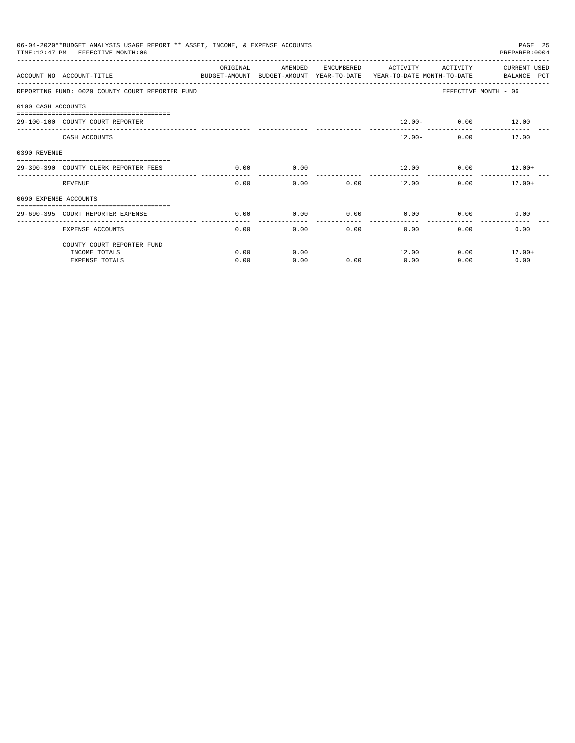|                       | 06-04-2020**BUDGET ANALYSIS USAGE REPORT ** ASSET, INCOME, & EXPENSE ACCOUNTS<br>TIME: 12:47 PM - EFFECTIVE MONTH: 06 |           |                                                     |            |              |                                        | PAGE 25<br>PREPARER: 0004          |
|-----------------------|-----------------------------------------------------------------------------------------------------------------------|-----------|-----------------------------------------------------|------------|--------------|----------------------------------------|------------------------------------|
|                       | ACCOUNT NO ACCOUNT-TITLE                                                                                              | OR TGTNAL | AMENDED<br>BUDGET-AMOUNT BUDGET-AMOUNT YEAR-TO-DATE | ENCUMBERED | ACTIVITY     | ACTIVITY<br>YEAR-TO-DATE MONTH-TO-DATE | <b>CURRENT USED</b><br>BALANCE PCT |
|                       | REPORTING FUND: 0029 COUNTY COURT REPORTER FUND                                                                       |           |                                                     |            |              |                                        | EFFECTIVE MONTH - 06               |
| 0100 CASH ACCOUNTS    |                                                                                                                       |           |                                                     |            |              |                                        |                                    |
|                       | 29-100-100 COUNTY COURT REPORTER                                                                                      |           |                                                     |            |              | $12.00 - 0.00$ 12.00                   |                                    |
|                       | CASH ACCOUNTS                                                                                                         |           |                                                     |            | $12.00 -$    | 0.00                                   | 12.00                              |
| 0390 REVENUE          |                                                                                                                       |           |                                                     |            |              |                                        |                                    |
|                       | 29-390-390 COUNTY CLERK REPORTER FEES                                                                                 | 0.00      | 0.00                                                |            | 12.00        |                                        | $0.00$ 12.00+                      |
|                       | REVENUE                                                                                                               | 0.00      | 0.00                                                | 0.00       | 12.00        |                                        | 0.00<br>$12.00+$                   |
| 0690 EXPENSE ACCOUNTS |                                                                                                                       |           |                                                     |            |              |                                        |                                    |
|                       | 29-690-395 COURT REPORTER EXPENSE                                                                                     | 0.00      | 0.00                                                | 0.00       | 0.00         | 0.00                                   | 0.00                               |
|                       | <b>EXPENSE ACCOUNTS</b>                                                                                               | 0.00      | 0.00                                                |            | 0.00<br>0.00 | 0.00                                   | 0.00                               |
|                       | COUNTY COURT REPORTER FUND                                                                                            |           |                                                     |            |              |                                        |                                    |
|                       | INCOME TOTALS                                                                                                         | 0.00      | 0.00                                                |            | 12.00        | 0.00                                   | $12.00+$                           |
|                       | <b>EXPENSE TOTALS</b>                                                                                                 | 0.00      | 0.00                                                | 0.00       | 0.00         | 0.00                                   | 0.00                               |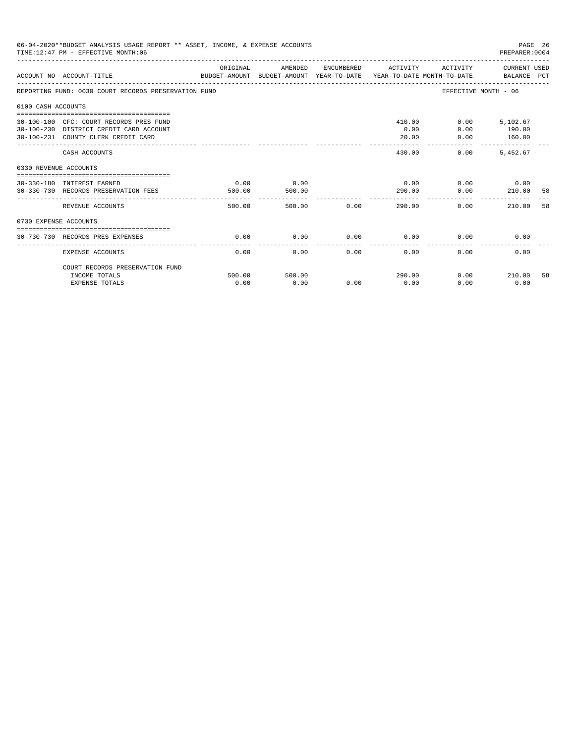|                       | 06-04-2020**BUDGET ANALYSIS USAGE REPORT ** ASSET, INCOME, & EXPENSE ACCOUNTS<br>TIME: 12:47 PM - EFFECTIVE MONTH: 06     |                |                |      |                         |                                           | PAGE 26<br>PREPARER: 0004           |     |
|-----------------------|---------------------------------------------------------------------------------------------------------------------------|----------------|----------------|------|-------------------------|-------------------------------------------|-------------------------------------|-----|
|                       | ACCOUNT NO ACCOUNT-TITLE COMPUTE SUDGET-AMOUNT BUDGET-AMOUNT YEAR-TO-DATE YEAR-TO-DATE MONTH-TO-DATE BALANCE PCT          | ORIGINAL       | AMENDED        |      | ENCUMBERED ACTIVITY     | ACTIVITY                                  | CURRENT USED                        |     |
|                       | REPORTING FUND: 0030 COURT RECORDS PRESERVATION FUND                                                                      |                |                |      |                         | EFFECTIVE MONTH - 06                      |                                     |     |
| 0100 CASH ACCOUNTS    |                                                                                                                           |                |                |      |                         |                                           |                                     |     |
|                       | 30-100-100 CFC: COURT RECORDS PRES FUND<br>30-100-230 DISTRICT CREDIT CARD ACCOUNT<br>30-100-231 COUNTY CLERK CREDIT CARD |                |                |      | 410.00<br>0.00<br>20.00 | 0.00<br>0.00                              | $0.00$ 5,102.67<br>190.00<br>160.00 |     |
|                       | CASH ACCOUNTS                                                                                                             |                |                |      | 430.00                  | _________________________________<br>0.00 | 5.452.67                            |     |
| 0330 REVENUE ACCOUNTS |                                                                                                                           |                |                |      |                         |                                           |                                     |     |
|                       | 30-330-180 INTEREST EARNED<br>30-330-730 RECORDS PRESERVATION FEES                                                        | 0.00<br>500.00 | 0.00<br>500.00 |      | 0.00<br>290.00          | 0.00                                      | $0.00$ 0.00<br>210.00               | -58 |
|                       | REVENUE ACCOUNTS                                                                                                          | 500.00         | 500.00         | 0.00 | ----------<br>290.00    | 0.00                                      | 210.00                              | 58  |
| 0730 EXPENSE ACCOUNTS |                                                                                                                           |                |                |      |                         |                                           |                                     |     |
|                       | 30-730-730 RECORDS PRES EXPENSES                                                                                          | 0.00           | 0.00           | 0.00 | 0.00                    | 0.00                                      | 0.00                                |     |
|                       | <b>EXPENSE ACCOUNTS</b>                                                                                                   | 0.00           | 0.00           | 0.00 | 0.00                    | 0.00                                      | 0.00                                |     |
|                       | COURT RECORDS PRESERVATION FUND<br>INCOME TOTALS                                                                          | 500.00         | 500.00         |      | 290.00                  |                                           | $0.00$ 210.00                       | 58  |
|                       | <b>EXPENSE TOTALS</b>                                                                                                     | 0.00           | 0.00           | 0.00 | 0.00                    | 0.00                                      | 0.00                                |     |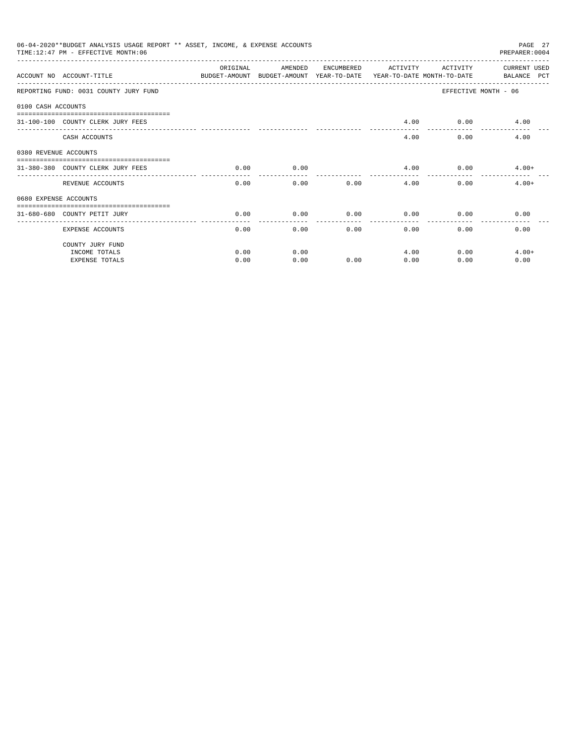|                       | 06-04-2020**BUDGET ANALYSIS USAGE REPORT ** ASSET, INCOME, & EXPENSE ACCOUNTS<br>TIME: 12:47 PM - EFFECTIVE MONTH: 06 |                    |                                                                                |            |          |              | PAGE 27<br>PREPARER: 0004   |
|-----------------------|-----------------------------------------------------------------------------------------------------------------------|--------------------|--------------------------------------------------------------------------------|------------|----------|--------------|-----------------------------|
|                       | ACCOUNT NO ACCOUNT-TITLE                                                                                              | ORIGINAL           | AMENDED<br>BUDGET-AMOUNT BUDGET-AMOUNT YEAR-TO-DATE YEAR-TO-DATE MONTH-TO-DATE | ENCUMBERED | ACTIVITY | ACTIVITY     | CURRENT USED<br>BALANCE PCT |
|                       | REPORTING FUND: 0031 COUNTY JURY FUND                                                                                 |                    |                                                                                |            |          |              | EFFECTIVE MONTH - 06        |
| 0100 CASH ACCOUNTS    |                                                                                                                       |                    |                                                                                |            |          |              |                             |
|                       | 31-100-100 COUNTY CLERK JURY FEES                                                                                     |                    |                                                                                |            | 4.00     |              | $0.00$ 4.00                 |
|                       | CASH ACCOUNTS                                                                                                         |                    |                                                                                |            | 4.00     | 0.00         | 4.00                        |
| 0380 REVENUE ACCOUNTS |                                                                                                                       |                    |                                                                                |            |          |              |                             |
|                       | 31-380-380 COUNTY CLERK JURY FEES                                                                                     | 0.00               | 0.00                                                                           |            | 4.00     |              | $0.00$ 4.00+                |
|                       | REVENUE ACCOUNTS                                                                                                      | ----------<br>0.00 | 0.00                                                                           | 0.00       | 4.00     | 0.00         | $4.00+$                     |
| 0680 EXPENSE ACCOUNTS |                                                                                                                       |                    |                                                                                |            |          |              |                             |
|                       | 31-680-680 COUNTY PETIT JURY                                                                                          | 0.00               | 0.00                                                                           | 0.00       | 0.00     | 0.00         | 0.00                        |
|                       | <b>EXPENSE ACCOUNTS</b>                                                                                               | 0.00               | 0.00                                                                           |            | 0.00     | 0.00<br>0.00 | 0.00                        |
|                       | COUNTY JURY FUND                                                                                                      |                    |                                                                                |            |          |              |                             |
|                       | INCOME TOTALS                                                                                                         | 0.00               | 0.00                                                                           |            | 4.00     | 0.00         | $4.00+$                     |
|                       | <b>EXPENSE TOTALS</b>                                                                                                 | 0.00               | 0.00                                                                           | 0.00       | 0.00     | 0.00         | 0.00                        |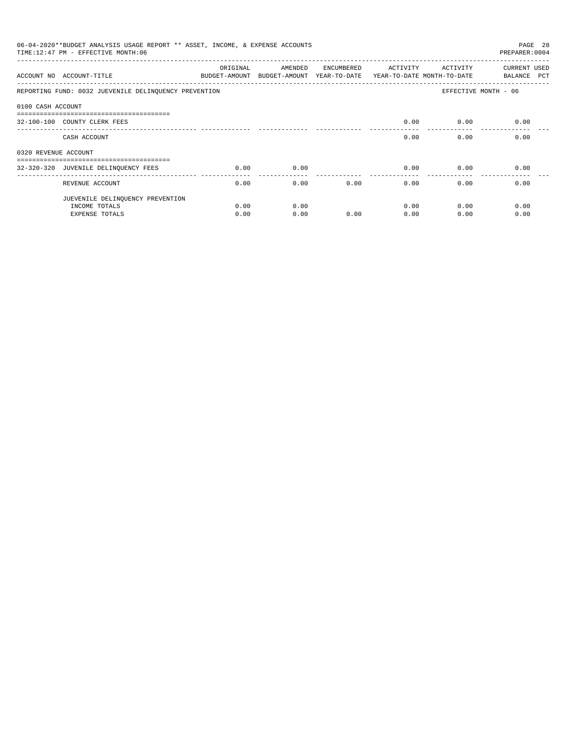|                      | 06-04-2020**BUDGET ANALYSIS USAGE REPORT ** ASSET, INCOME, & EXPENSE ACCOUNTS<br>TIME: 12:47 PM - EFFECTIVE MONTH: 06 |                           |                                       |            |          |                                        | PAGE 28<br>PREPARER: 0004   |
|----------------------|-----------------------------------------------------------------------------------------------------------------------|---------------------------|---------------------------------------|------------|----------|----------------------------------------|-----------------------------|
|                      | ACCOUNT NO ACCOUNT-TITLE                                                                                              | ORIGINAL<br>BUDGET-AMOUNT | AMENDED<br>BUDGET-AMOUNT YEAR-TO-DATE | ENCUMBERED | ACTIVITY | ACTIVITY<br>YEAR-TO-DATE MONTH-TO-DATE | CURRENT USED<br>BALANCE PCT |
|                      | REPORTING FUND: 0032 JUEVENILE DELINQUENCY PREVENTION                                                                 |                           |                                       |            |          |                                        | EFFECTIVE MONTH - 06        |
| 0100 CASH ACCOUNT    |                                                                                                                       |                           |                                       |            |          |                                        |                             |
|                      | -------------------------------------<br>32-100-100 COUNTY CLERK FEES                                                 |                           |                                       |            | 0.00     | 0.00                                   | 0.00                        |
|                      | CASH ACCOUNT                                                                                                          |                           |                                       |            | 0.00     | 0.00                                   | 0.00                        |
| 0320 REVENUE ACCOUNT |                                                                                                                       |                           |                                       |            |          |                                        |                             |
|                      | ------------------------------------                                                                                  |                           |                                       |            |          |                                        |                             |
|                      | 32-320-320 JUVENILE DELINQUENCY FEES                                                                                  | 0.00                      | 0.00                                  |            | 0.00     | 0.00                                   | 0.00                        |
|                      | REVENUE ACCOUNT                                                                                                       | 0.00                      | 0.00                                  | 0.00       | 0.00     | 0.00                                   | 0.00                        |
|                      | JUEVENILE DELINQUENCY PREVENTION                                                                                      |                           |                                       |            |          |                                        |                             |
|                      | INCOME TOTALS                                                                                                         | 0.00                      | 0.00                                  |            | 0.00     | 0.00                                   | 0.00                        |
|                      | EXPENSE TOTALS                                                                                                        | 0.00                      | 0.00                                  | 0.00       | 0.00     | 0.00                                   | 0.00                        |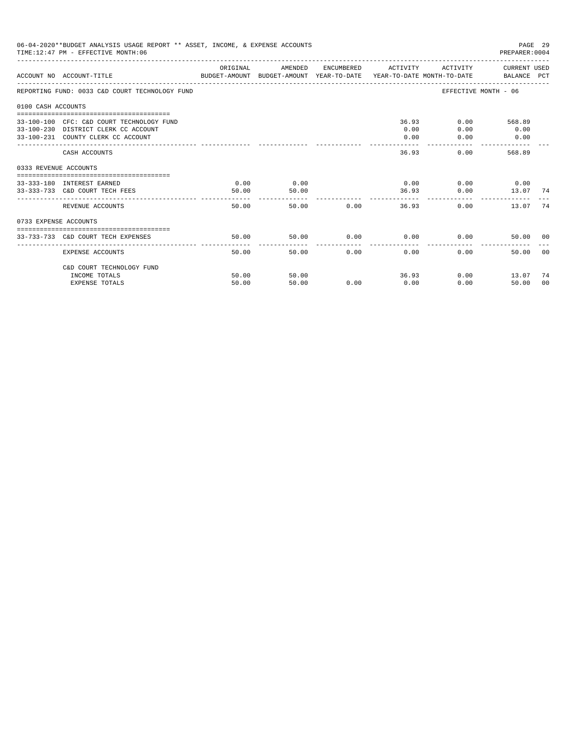| 06-04-2020**BUDGET ANALYSIS USAGE REPORT ** ASSET, INCOME, & EXPENSE ACCOUNTS<br>PAGE 29<br>TIME: 12:47 PM - EFFECTIVE MONTH: 06<br>PREPARER: 0004<br>ORIGINAL<br>ACTIVITY CURRENT USED<br>AMENDED<br>ENCUMBERED ACTIVITY<br>ACCOUNT NO ACCOUNT-TITLE COMPUTE SUDGET-AMOUNT BUDGET-AMOUNT VEAR-TO-DATE VEAR-TO-DATE MONTH-TO-DATE BALANCE PCT<br>EFFECTIVE MONTH - 06<br>REPORTING FUND: 0033 C&D COURT TECHNOLOGY FUND<br>0100 CASH ACCOUNTS<br>36.93<br>0.00<br>568.89<br>33-100-100 CFC: C&D COURT TECHNOLOGY FUND<br>33-100-230 DISTRICT CLERK CC ACCOUNT<br>0.00<br>0.00<br>0.00<br>0.00<br>33-100-231 COUNTY CLERK CC ACCOUNT<br>0.00<br>0.00<br>-------<br>-----------<br>-------------<br>36.93<br>0.00<br>568.89<br>CASH ACCOUNTS<br>0333 REVENUE ACCOUNTS<br>0.00<br>$0.00$ $0.00$ $0.00$ $0.00$<br>0.00<br>33-333-180 INTEREST EARNED<br>33-333-733 C&D COURT TECH FEES<br>50.00<br>50.00<br>36.93<br>$0.00$ 13.07 74<br>------------<br>50.00<br>0.00<br>36.93<br>REVENUE ACCOUNTS<br>50.00<br>0.00<br>13.07<br>0733 EXPENSE ACCOUNTS<br>50.00<br>$0.00$ 0.00<br>0.00<br>50.00<br>33-733-733 C&D COURT TECH EXPENSES<br>50.00 00 |                           |       |       |      |      |       |              |    |
|----------------------------------------------------------------------------------------------------------------------------------------------------------------------------------------------------------------------------------------------------------------------------------------------------------------------------------------------------------------------------------------------------------------------------------------------------------------------------------------------------------------------------------------------------------------------------------------------------------------------------------------------------------------------------------------------------------------------------------------------------------------------------------------------------------------------------------------------------------------------------------------------------------------------------------------------------------------------------------------------------------------------------------------------------------------------------------------------------------------------------------------------|---------------------------|-------|-------|------|------|-------|--------------|----|
|                                                                                                                                                                                                                                                                                                                                                                                                                                                                                                                                                                                                                                                                                                                                                                                                                                                                                                                                                                                                                                                                                                                                              |                           |       |       |      |      |       |              |    |
|                                                                                                                                                                                                                                                                                                                                                                                                                                                                                                                                                                                                                                                                                                                                                                                                                                                                                                                                                                                                                                                                                                                                              |                           |       |       |      |      |       |              |    |
|                                                                                                                                                                                                                                                                                                                                                                                                                                                                                                                                                                                                                                                                                                                                                                                                                                                                                                                                                                                                                                                                                                                                              |                           |       |       |      |      |       |              |    |
|                                                                                                                                                                                                                                                                                                                                                                                                                                                                                                                                                                                                                                                                                                                                                                                                                                                                                                                                                                                                                                                                                                                                              |                           |       |       |      |      |       |              |    |
|                                                                                                                                                                                                                                                                                                                                                                                                                                                                                                                                                                                                                                                                                                                                                                                                                                                                                                                                                                                                                                                                                                                                              |                           |       |       |      |      |       |              |    |
|                                                                                                                                                                                                                                                                                                                                                                                                                                                                                                                                                                                                                                                                                                                                                                                                                                                                                                                                                                                                                                                                                                                                              |                           |       |       |      |      |       |              |    |
|                                                                                                                                                                                                                                                                                                                                                                                                                                                                                                                                                                                                                                                                                                                                                                                                                                                                                                                                                                                                                                                                                                                                              |                           |       |       |      |      |       |              |    |
|                                                                                                                                                                                                                                                                                                                                                                                                                                                                                                                                                                                                                                                                                                                                                                                                                                                                                                                                                                                                                                                                                                                                              |                           |       |       |      |      |       |              | 74 |
|                                                                                                                                                                                                                                                                                                                                                                                                                                                                                                                                                                                                                                                                                                                                                                                                                                                                                                                                                                                                                                                                                                                                              |                           |       |       |      |      |       |              |    |
|                                                                                                                                                                                                                                                                                                                                                                                                                                                                                                                                                                                                                                                                                                                                                                                                                                                                                                                                                                                                                                                                                                                                              |                           |       |       |      |      |       |              |    |
|                                                                                                                                                                                                                                                                                                                                                                                                                                                                                                                                                                                                                                                                                                                                                                                                                                                                                                                                                                                                                                                                                                                                              | <b>EXPENSE ACCOUNTS</b>   | 50.00 | 50.00 | 0.00 | 0.00 | 0.00  | 50.00        | 00 |
|                                                                                                                                                                                                                                                                                                                                                                                                                                                                                                                                                                                                                                                                                                                                                                                                                                                                                                                                                                                                                                                                                                                                              | C&D COURT TECHNOLOGY FUND |       |       |      |      |       |              |    |
|                                                                                                                                                                                                                                                                                                                                                                                                                                                                                                                                                                                                                                                                                                                                                                                                                                                                                                                                                                                                                                                                                                                                              | INCOME TOTALS             | 50.00 | 50.00 |      |      | 36.93 | $0.00$ 13.07 | 74 |
|                                                                                                                                                                                                                                                                                                                                                                                                                                                                                                                                                                                                                                                                                                                                                                                                                                                                                                                                                                                                                                                                                                                                              | <b>EXPENSE TOTALS</b>     | 50.00 | 50.00 | 0.00 | 0.00 | 0.00  | 50.00        | 00 |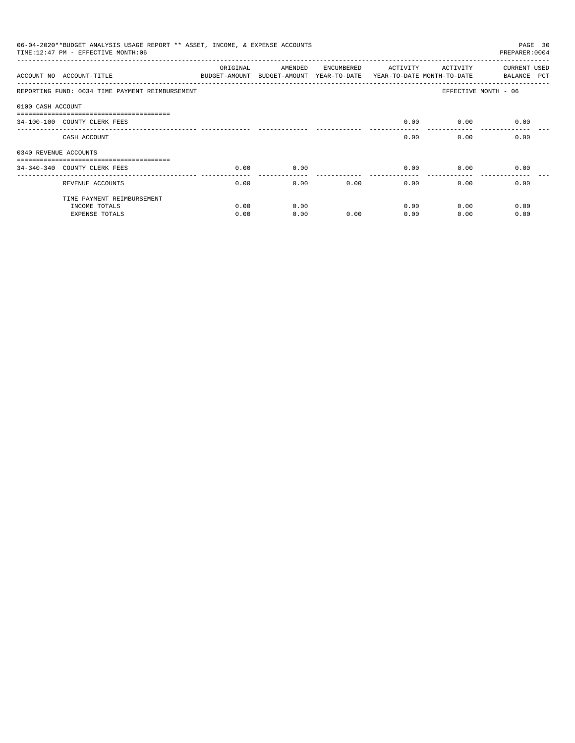|                       | 06-04-2020**BUDGET ANALYSIS USAGE REPORT ** ASSET, INCOME, & EXPENSE ACCOUNTS<br>TIME: 12:47 PM - EFFECTIVE MONTH: 06 |                           |                                       |            |                                        |          | PAGE 30<br>PREPARER: 0004          |
|-----------------------|-----------------------------------------------------------------------------------------------------------------------|---------------------------|---------------------------------------|------------|----------------------------------------|----------|------------------------------------|
|                       | ACCOUNT NO ACCOUNT-TITLE                                                                                              | ORIGINAL<br>BUDGET-AMOUNT | AMENDED<br>BUDGET-AMOUNT YEAR-TO-DATE | ENCUMBERED | ACTIVITY<br>YEAR-TO-DATE MONTH-TO-DATE | ACTIVITY | <b>CURRENT USED</b><br>BALANCE PCT |
|                       | REPORTING FUND: 0034 TIME PAYMENT REIMBURSEMENT                                                                       |                           |                                       |            |                                        |          | EFFECTIVE MONTH - 06               |
| 0100 CASH ACCOUNT     |                                                                                                                       |                           |                                       |            |                                        |          |                                    |
|                       | ------------------------------<br>34-100-100 COUNTY CLERK FEES                                                        |                           |                                       |            | 0.00                                   | 0.00     | 0.00                               |
|                       | CASH ACCOUNT                                                                                                          |                           |                                       |            | 0.00                                   | 0.00     | 0.00                               |
| 0340 REVENUE ACCOUNTS |                                                                                                                       |                           |                                       |            |                                        |          |                                    |
|                       | 34-340-340 COUNTY CLERK FEES                                                                                          | 0.00                      | 0.00                                  |            | 0.00                                   | 0.00     | 0.00                               |
|                       | REVENUE ACCOUNTS                                                                                                      | 0.00                      | 0.00                                  | 0.00       | 0.00                                   | 0.00     | 0.00                               |
|                       | TIME PAYMENT REIMBURSEMENT                                                                                            |                           |                                       |            |                                        |          |                                    |
|                       | INCOME TOTALS                                                                                                         | 0.00                      | 0.00                                  |            | 0.00                                   | 0.00     | 0.00                               |
|                       | <b>EXPENSE TOTALS</b>                                                                                                 | 0.00                      | 0.00                                  | 0.00       | 0.00                                   | 0.00     | 0.00                               |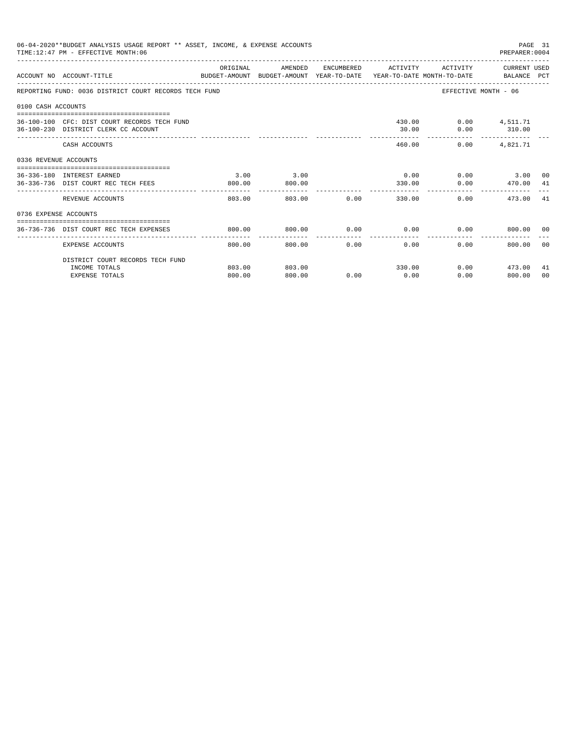|                       | 06-04-2020**BUDGET ANALYSIS USAGE REPORT ** ASSET, INCOME, & EXPENSE ACCOUNTS<br>TIME: 12:47 PM - EFFECTIVE MONTH: 06 |                          |                                                                                            |                     |                     |                          | PAGE 31<br>PREPARER: 0004                 |                |
|-----------------------|-----------------------------------------------------------------------------------------------------------------------|--------------------------|--------------------------------------------------------------------------------------------|---------------------|---------------------|--------------------------|-------------------------------------------|----------------|
|                       | ACCOUNT NO ACCOUNT-TITLE                                                                                              | ORIGINAL                 | AMENDED<br>BUDGET-AMOUNT BUDGET-AMOUNT YEAR-TO-DATE YEAR-TO-DATE MONTH-TO-DATE BALANCE PCT |                     |                     |                          | ENCUMBERED ACTIVITY ACTIVITY CURRENT USED |                |
|                       | REPORTING FUND: 0036 DISTRICT COURT RECORDS TECH FUND                                                                 |                          |                                                                                            |                     |                     |                          | EFFECTIVE MONTH - 06                      |                |
| 0100 CASH ACCOUNTS    |                                                                                                                       |                          |                                                                                            |                     |                     |                          |                                           |                |
|                       | 36-100-100 CFC: DIST COURT RECORDS TECH FUND<br>36-100-230 DISTRICT CLERK CC ACCOUNT                                  |                          |                                                                                            |                     | 30.00               | 430.00   0.00   4,511.71 | $0.00$ 310.00                             |                |
|                       | CASH ACCOUNTS                                                                                                         |                          |                                                                                            |                     | 460.00              | 0.00                     | 4,821.71                                  |                |
| 0336 REVENUE ACCOUNTS |                                                                                                                       |                          |                                                                                            |                     |                     |                          |                                           |                |
|                       | 36-336-180 INTEREST EARNED<br>36-336-736 DIST COURT REC TECH FEES                                                     | 3.00<br>800.00           | 3.00<br>800.00                                                                             |                     | 0.00<br>330.00      | 0.00                     | $0.00$ 3.00 00<br>470.00 41               |                |
|                       | REVENUE ACCOUNTS                                                                                                      | 803.00                   | 803.00                                                                                     |                     | 0.00                | 330.00                   | 0.00<br>473.00 41                         |                |
| 0736 EXPENSE ACCOUNTS |                                                                                                                       |                          |                                                                                            |                     |                     |                          |                                           |                |
|                       | 36-736-736 DIST COURT REC TECH EXPENSES                                                                               | 800.00                   | 800.00                                                                                     | 0.00                |                     |                          | $0.00$ $0.00$ $800.00$ 00                 |                |
|                       | EXPENSE ACCOUNTS                                                                                                      | --------------<br>800.00 | 800.00                                                                                     | -----------<br>0.00 | -----------<br>0.00 | 0.00                     | 800.00                                    | 00             |
|                       | DISTRICT COURT RECORDS TECH FUND                                                                                      |                          |                                                                                            |                     |                     |                          |                                           |                |
|                       | INCOME TOTALS                                                                                                         | 803.00                   | 803.00                                                                                     |                     | 330.00              |                          | $0.00$ $473.00$                           | -41            |
|                       | <b>EXPENSE TOTALS</b>                                                                                                 | 800.00                   | 800.00                                                                                     | 0.00                | 0.00                | 0.00                     | 800.00                                    | 0 <sub>0</sub> |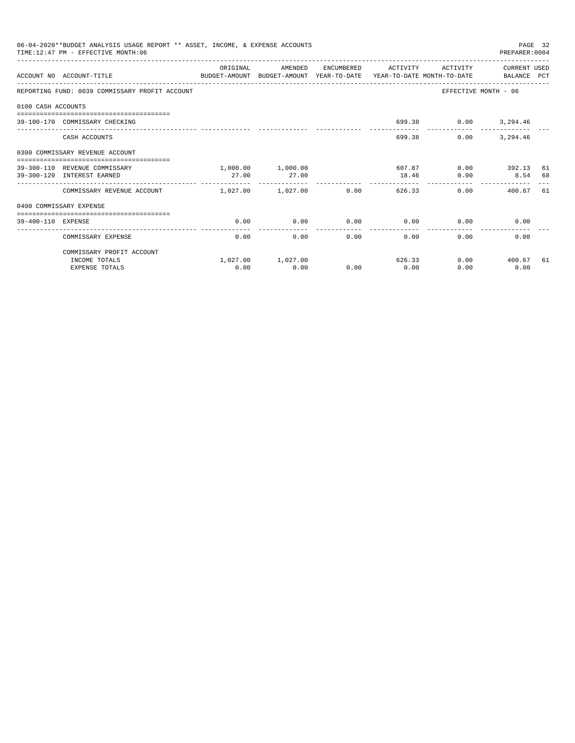|                    | 06-04-2020**BUDGET ANALYSIS USAGE REPORT ** ASSET, INCOME, & EXPENSE ACCOUNTS<br>TIME:12:47 PM - EFFECTIVE MONTH:06 |                       |                   |                        |                     |          | PREPARER: 0004              | PAGE 32 |
|--------------------|---------------------------------------------------------------------------------------------------------------------|-----------------------|-------------------|------------------------|---------------------|----------|-----------------------------|---------|
|                    | ACCOUNT NO ACCOUNT-TITLE CONTROL SUDGET-AMOUNT BUDGET-AMOUNT YEAR-TO-DATE YEAR-TO-DATE MONTH-TO-DATE BALANCE PCT    | ORIGINAL              | AMENDED           |                        | ENCUMBERED ACTIVITY | ACTIVITY | CURRENT USED                |         |
|                    | REPORTING FUND: 0039 COMMISSARY PROFIT ACCOUNT                                                                      |                       |                   |                        |                     |          | EFFECTIVE MONTH - 06        |         |
| 0100 CASH ACCOUNTS |                                                                                                                     |                       |                   |                        |                     |          |                             |         |
|                    | 39-100-170 COMMISSARY CHECKING                                                                                      |                       |                   |                        |                     |          | 699.38 0.00 3,294.46        |         |
|                    | CASH ACCOUNTS                                                                                                       |                       |                   |                        | 699.38              | 0.00     | 3,294.46                    |         |
|                    | 0300 COMMISSARY REVENUE ACCOUNT<br>-----------------------------------                                              |                       |                   |                        |                     |          |                             |         |
|                    | 39-300-110 REVENUE COMMISSARY                                                                                       |                       | 1,000.00 1,000.00 |                        | 607.87              |          | $0.00$ 392.13               | 61      |
|                    | 39-300-120 INTEREST EARNED                                                                                          | 27.00                 | 27.00             |                        | 18.46               | 0.00     | 8.54 68                     |         |
|                    | COMMISSARY REVENUE ACCOUNT                                                                                          | $1,027,00$ $1,027,00$ |                   | 0.00                   | 626.33              |          | $0.00$ and $0.00$<br>400.67 | 61      |
|                    | 0400 COMMISSARY EXPENSE                                                                                             |                       |                   |                        |                     |          |                             |         |
| 39-400-110 EXPENSE |                                                                                                                     | 0.00                  | 0.00              | 0.00                   | 0.00                | 0.00     | 0.00                        |         |
|                    | COMMISSARY EXPENSE                                                                                                  | 0.00                  | 0.00              | --------------<br>0.00 | 0.00                | 0.00     | 0.00                        |         |
|                    | COMMISSARY PROFIT ACCOUNT                                                                                           |                       |                   |                        |                     |          |                             |         |
|                    | INCOME TOTALS                                                                                                       |                       | 1,027.00 1,027.00 |                        | 626.33              |          | $0.00$ 400.67               | 61      |
|                    | <b>EXPENSE TOTALS</b>                                                                                               | 0.00                  | 0.00              | 0.00                   | 0.00                | 0.00     | 0.00                        |         |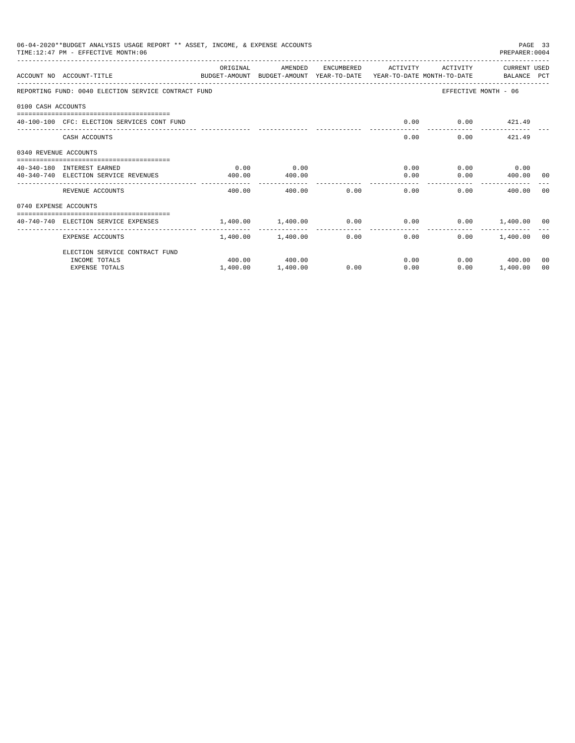|                       | 06-04-2020**BUDGET ANALYSIS USAGE REPORT ** ASSET, INCOME, & EXPENSE ACCOUNTS<br>TIME: 12:47 PM - EFFECTIVE MONTH: 06 |                                                                    |                   |      |                                      |                      | PREPARER: 0004       | PAGE 33 |
|-----------------------|-----------------------------------------------------------------------------------------------------------------------|--------------------------------------------------------------------|-------------------|------|--------------------------------------|----------------------|----------------------|---------|
|                       | ACCOUNT NO ACCOUNT-TITLE<br>BUDGET-AMOUNT BUDGET-AMOUNT YEAR-TO-DATE YEAR-TO-DATE MONTH-TO-DATE   BALANCE PCT         | ORIGINAL                                                           | AMENDED           |      | ENCUMBERED ACTIVITY                  | ACTIVITY             | CURRENT USED         |         |
|                       | REPORTING FUND: 0040 ELECTION SERVICE CONTRACT FUND                                                                   |                                                                    |                   |      |                                      |                      | EFFECTIVE MONTH - 06 |         |
| 0100 CASH ACCOUNTS    |                                                                                                                       |                                                                    |                   |      |                                      |                      |                      |         |
|                       | 40-100-100 CFC: ELECTION SERVICES CONT FUND                                                                           |                                                                    |                   |      | 0.00                                 |                      | $0.00$ $421.49$      |         |
|                       | CASH ACCOUNTS                                                                                                         |                                                                    |                   |      |                                      | 0.00                 | $0.00$ $421.49$      |         |
| 0340 REVENUE ACCOUNTS |                                                                                                                       |                                                                    |                   |      |                                      |                      |                      |         |
|                       | 40-340-180 INTEREST EARNED                                                                                            | 0.00                                                               | 0.00              |      |                                      | $0.00$ $0.00$ $0.00$ |                      |         |
|                       | 40-340-740 ELECTION SERVICE REVENUES                                                                                  | 400.00                                                             | 400.00            |      | . <u>.</u>                           | 0.00                 | $0.00$ 400.00 00     |         |
|                       | REVENUE ACCOUNTS                                                                                                      | 400.00                                                             | 400.00            | 0.00 | 0.00                                 |                      | 0.00<br>400.00       | - 0.0   |
| 0740 EXPENSE ACCOUNTS |                                                                                                                       |                                                                    |                   |      |                                      |                      |                      |         |
|                       | 40-740-740 ELECTION SERVICE EXPENSES                                                                                  | $1.400.00$ $1.400.00$ $0.00$ $0.00$ $0.00$ $0.00$ $1.400.00$ $0.0$ |                   |      |                                      |                      |                      |         |
|                       | EXPENSE ACCOUNTS                                                                                                      |                                                                    | 1,400.00 1,400.00 |      | ---------------<br>$0.00$ and $0.00$ | 0.00                 | $0.00$ 1.400.00 00   |         |
|                       | ELECTION SERVICE CONTRACT FUND                                                                                        |                                                                    |                   |      |                                      |                      |                      |         |
|                       | INCOME TOTALS                                                                                                         |                                                                    | 400.00 400.00     |      |                                      | 0.00                 | $0.00$ 400.00        | 00      |
|                       | <b>EXPENSE TOTALS</b>                                                                                                 | 1,400.00                                                           | 1,400.00          | 0.00 | 0.00                                 | 0.00                 | 1,400.00             | 00      |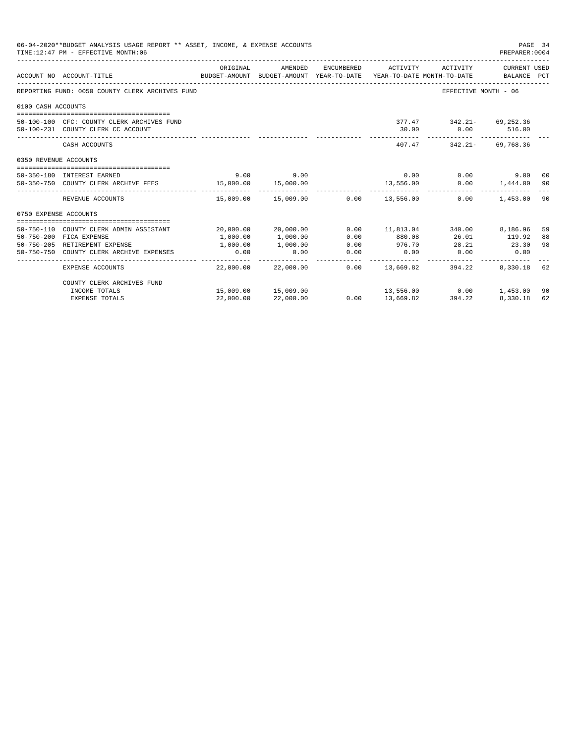| 06-04-2020**BUDGET ANALYSIS USAGE REPORT ** ASSET, INCOME, & EXPENSE ACCOUNTS<br>PAGE 34<br>TIME: 12:47 PM - EFFECTIVE MONTH: 06<br>PREPARER: 0004<br>ORIGINAL<br>AMENDED<br>ENCUMBERED ACTIVITY<br>ACTIVITY<br>CURRENT USED<br>BUDGET-AMOUNT BUDGET-AMOUNT YEAR-TO-DATE YEAR-TO-DATE MONTH-TO-DATE BALANCE PCT<br>ACCOUNT NO ACCOUNT-TITLE<br>REPORTING FUND: 0050 COUNTY CLERK ARCHIVES FUND<br>EFFECTIVE MONTH - 06<br>0100 CASH ACCOUNTS<br>377.47 342.21- 69,252.36<br>50-100-100 CFC: COUNTY CLERK ARCHIVES FUND<br>50-100-231 COUNTY CLERK CC ACCOUNT<br>30.00<br>$0.00$ 516.00<br>------------<br>------------ --------------<br>407.47 342.21- 69.768.36<br>CASH ACCOUNTS<br>0350 REVENUE ACCOUNTS<br>9.00<br>0.00<br>50-350-180 INTEREST EARNED<br>9.00<br>0.00<br>9.00 00<br>50-350-750 COUNTY CLERK ARCHIVE FEES 300 15,000.00<br>15,000.00<br>13,556.00<br>$0.00$ 1,444.00<br>15,009.00 15,009.00<br>$0.00$ 13,556.00<br>0.00<br>REVENUE ACCOUNTS<br>1,453.00<br>0750 EXPENSE ACCOUNTS<br>50-750-110 COUNTY CLERK ADMIN ASSISTANT<br>20,000.00 20,000.00<br>$0.00$ 11,813.04 340.00 8,186.96<br>50-750-200 FICA EXPENSE<br>1,000.00<br>1,000.00<br>0.00<br>880.08<br>26.01<br>119.92<br>50-750-205 RETIREMENT EXPENSE<br>1,000.00<br>0.00<br>976.70<br>28.21 23.30<br>1,000.00<br>0.00<br>$0.00$ 0.00<br>0.00<br>50-750-750 COUNTY CLERK ARCHIVE EXPENSES<br>0.00<br>0.00<br>.<br>-------------<br>-------------<br>22,000.00 22,000.00<br>$0.00$ 13,669.82 394.22<br><b>EXPENSE ACCOUNTS</b><br>8,330.18<br>COUNTY CLERK ARCHIVES FUND<br>$13,556.00$ 0.00 1,453.00 |                       |           |                     |      |           |        |          |          |
|-----------------------------------------------------------------------------------------------------------------------------------------------------------------------------------------------------------------------------------------------------------------------------------------------------------------------------------------------------------------------------------------------------------------------------------------------------------------------------------------------------------------------------------------------------------------------------------------------------------------------------------------------------------------------------------------------------------------------------------------------------------------------------------------------------------------------------------------------------------------------------------------------------------------------------------------------------------------------------------------------------------------------------------------------------------------------------------------------------------------------------------------------------------------------------------------------------------------------------------------------------------------------------------------------------------------------------------------------------------------------------------------------------------------------------------------------------------------------------------------------------------------------------------------------------------------------------------|-----------------------|-----------|---------------------|------|-----------|--------|----------|----------|
|                                                                                                                                                                                                                                                                                                                                                                                                                                                                                                                                                                                                                                                                                                                                                                                                                                                                                                                                                                                                                                                                                                                                                                                                                                                                                                                                                                                                                                                                                                                                                                                   |                       |           |                     |      |           |        |          |          |
|                                                                                                                                                                                                                                                                                                                                                                                                                                                                                                                                                                                                                                                                                                                                                                                                                                                                                                                                                                                                                                                                                                                                                                                                                                                                                                                                                                                                                                                                                                                                                                                   |                       |           |                     |      |           |        |          |          |
|                                                                                                                                                                                                                                                                                                                                                                                                                                                                                                                                                                                                                                                                                                                                                                                                                                                                                                                                                                                                                                                                                                                                                                                                                                                                                                                                                                                                                                                                                                                                                                                   |                       |           |                     |      |           |        |          |          |
|                                                                                                                                                                                                                                                                                                                                                                                                                                                                                                                                                                                                                                                                                                                                                                                                                                                                                                                                                                                                                                                                                                                                                                                                                                                                                                                                                                                                                                                                                                                                                                                   |                       |           |                     |      |           |        |          |          |
|                                                                                                                                                                                                                                                                                                                                                                                                                                                                                                                                                                                                                                                                                                                                                                                                                                                                                                                                                                                                                                                                                                                                                                                                                                                                                                                                                                                                                                                                                                                                                                                   |                       |           |                     |      |           |        |          |          |
|                                                                                                                                                                                                                                                                                                                                                                                                                                                                                                                                                                                                                                                                                                                                                                                                                                                                                                                                                                                                                                                                                                                                                                                                                                                                                                                                                                                                                                                                                                                                                                                   |                       |           |                     |      |           |        |          |          |
|                                                                                                                                                                                                                                                                                                                                                                                                                                                                                                                                                                                                                                                                                                                                                                                                                                                                                                                                                                                                                                                                                                                                                                                                                                                                                                                                                                                                                                                                                                                                                                                   |                       |           |                     |      |           |        |          |          |
|                                                                                                                                                                                                                                                                                                                                                                                                                                                                                                                                                                                                                                                                                                                                                                                                                                                                                                                                                                                                                                                                                                                                                                                                                                                                                                                                                                                                                                                                                                                                                                                   |                       |           |                     |      |           |        |          |          |
|                                                                                                                                                                                                                                                                                                                                                                                                                                                                                                                                                                                                                                                                                                                                                                                                                                                                                                                                                                                                                                                                                                                                                                                                                                                                                                                                                                                                                                                                                                                                                                                   |                       |           |                     |      |           |        |          |          |
|                                                                                                                                                                                                                                                                                                                                                                                                                                                                                                                                                                                                                                                                                                                                                                                                                                                                                                                                                                                                                                                                                                                                                                                                                                                                                                                                                                                                                                                                                                                                                                                   |                       |           |                     |      |           |        |          | -90      |
|                                                                                                                                                                                                                                                                                                                                                                                                                                                                                                                                                                                                                                                                                                                                                                                                                                                                                                                                                                                                                                                                                                                                                                                                                                                                                                                                                                                                                                                                                                                                                                                   |                       |           |                     |      |           |        |          | 90       |
|                                                                                                                                                                                                                                                                                                                                                                                                                                                                                                                                                                                                                                                                                                                                                                                                                                                                                                                                                                                                                                                                                                                                                                                                                                                                                                                                                                                                                                                                                                                                                                                   |                       |           |                     |      |           |        |          |          |
|                                                                                                                                                                                                                                                                                                                                                                                                                                                                                                                                                                                                                                                                                                                                                                                                                                                                                                                                                                                                                                                                                                                                                                                                                                                                                                                                                                                                                                                                                                                                                                                   |                       |           |                     |      |           |        |          |          |
|                                                                                                                                                                                                                                                                                                                                                                                                                                                                                                                                                                                                                                                                                                                                                                                                                                                                                                                                                                                                                                                                                                                                                                                                                                                                                                                                                                                                                                                                                                                                                                                   |                       |           |                     |      |           |        |          | 59<br>88 |
|                                                                                                                                                                                                                                                                                                                                                                                                                                                                                                                                                                                                                                                                                                                                                                                                                                                                                                                                                                                                                                                                                                                                                                                                                                                                                                                                                                                                                                                                                                                                                                                   |                       |           |                     |      |           |        |          | 98       |
|                                                                                                                                                                                                                                                                                                                                                                                                                                                                                                                                                                                                                                                                                                                                                                                                                                                                                                                                                                                                                                                                                                                                                                                                                                                                                                                                                                                                                                                                                                                                                                                   |                       |           |                     |      |           |        |          |          |
|                                                                                                                                                                                                                                                                                                                                                                                                                                                                                                                                                                                                                                                                                                                                                                                                                                                                                                                                                                                                                                                                                                                                                                                                                                                                                                                                                                                                                                                                                                                                                                                   |                       |           |                     |      |           |        |          | 62       |
|                                                                                                                                                                                                                                                                                                                                                                                                                                                                                                                                                                                                                                                                                                                                                                                                                                                                                                                                                                                                                                                                                                                                                                                                                                                                                                                                                                                                                                                                                                                                                                                   |                       |           |                     |      |           |        |          |          |
|                                                                                                                                                                                                                                                                                                                                                                                                                                                                                                                                                                                                                                                                                                                                                                                                                                                                                                                                                                                                                                                                                                                                                                                                                                                                                                                                                                                                                                                                                                                                                                                   | INCOME TOTALS         |           | 15,009.00 15,009.00 |      |           |        |          | -90      |
|                                                                                                                                                                                                                                                                                                                                                                                                                                                                                                                                                                                                                                                                                                                                                                                                                                                                                                                                                                                                                                                                                                                                                                                                                                                                                                                                                                                                                                                                                                                                                                                   | <b>EXPENSE TOTALS</b> | 22,000.00 | 22,000.00           | 0.00 | 13,669.82 | 394.22 | 8,330.18 | 62       |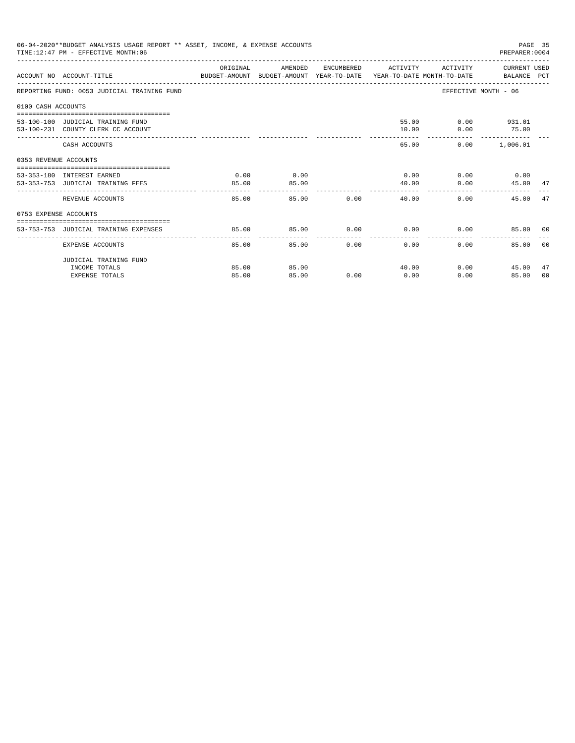|                       | 06-04-2020**BUDGET ANALYSIS USAGE REPORT ** ASSET, INCOME, & EXPENSE ACCOUNTS<br>TIME:12:47 PM - EFFECTIVE MONTH:06 |          |                         |               |                                              |                       | PAGE 35<br>PREPARER: 0004 |                |
|-----------------------|---------------------------------------------------------------------------------------------------------------------|----------|-------------------------|---------------|----------------------------------------------|-----------------------|---------------------------|----------------|
|                       | ACCOUNT NO ACCOUNT-TITLE CONTROL SUDGET-AMOUNT BUDGET-AMOUNT YEAR-TO-DATE YEAR-TO-DATE MONTH-TO-DATE BALANCE PCT    | ORIGINAL | AMENDED                 |               | ENCUMBERED ACTIVITY                          | ACTIVITY CURRENT USED |                           |                |
|                       | REPORTING FUND: 0053 JUDICIAL TRAINING FUND                                                                         |          |                         |               |                                              | EFFECTIVE MONTH - 06  |                           |                |
| 0100 CASH ACCOUNTS    |                                                                                                                     |          |                         |               |                                              |                       |                           |                |
|                       | 53-100-100 JUDICIAL TRAINING FUND                                                                                   |          |                         |               |                                              | 55.00   0.00   931.01 |                           |                |
|                       | 53-100-231 COUNTY CLERK CC ACCOUNT                                                                                  |          |                         |               | 10.00                                        | $0.00$ 75.00          |                           |                |
|                       | CASH ACCOUNTS                                                                                                       |          |                         |               | 65.00                                        |                       | 0.00 1,006.01             |                |
| 0353 REVENUE ACCOUNTS |                                                                                                                     |          |                         |               |                                              |                       |                           |                |
|                       | 53-353-180 INTEREST EARNED                                                                                          | 0.00     | 0.00                    |               | $0.00$ 0.00 0.00 0.00                        |                       |                           |                |
|                       | 53-353-753 JUDICIAL TRAINING FEES                                                                                   | 85.00    | 85.00                   |               | 40.00                                        | 0.00                  | 45.00 47                  |                |
|                       | REVENUE ACCOUNTS                                                                                                    | 85.00    | _______________________ | 85.00         | --------------<br>$0.00$ and $0.00$<br>40.00 | 0.00                  | 45.00 47                  |                |
| 0753 EXPENSE ACCOUNTS |                                                                                                                     |          |                         |               |                                              |                       |                           |                |
|                       | 53-753-753 JUDICIAL TRAINING EXPENSES                                                                               | 85.00    | 85.00                   |               | $0.00$ $0.00$ $0.00$ $0.00$                  |                       | 85.00 00                  |                |
|                       |                                                                                                                     |          |                         |               |                                              |                       |                           |                |
|                       | EXPENSE ACCOUNTS                                                                                                    | 85.00    |                         | 0.00<br>85.00 | 0.00                                         | 0.00                  | 85.00                     | 0 <sub>0</sub> |
|                       | JUDICIAL TRAINING FUND                                                                                              |          |                         |               |                                              |                       |                           |                |
|                       | INCOME TOTALS                                                                                                       | 85.00    | 85.00                   |               | 40.00                                        | 0.00                  | 45.00                     | 47             |
|                       | <b>EXPENSE TOTALS</b>                                                                                               | 85.00    | 85.00                   | 0.00          | 0.00                                         | 0.00                  | 85.00                     | 00             |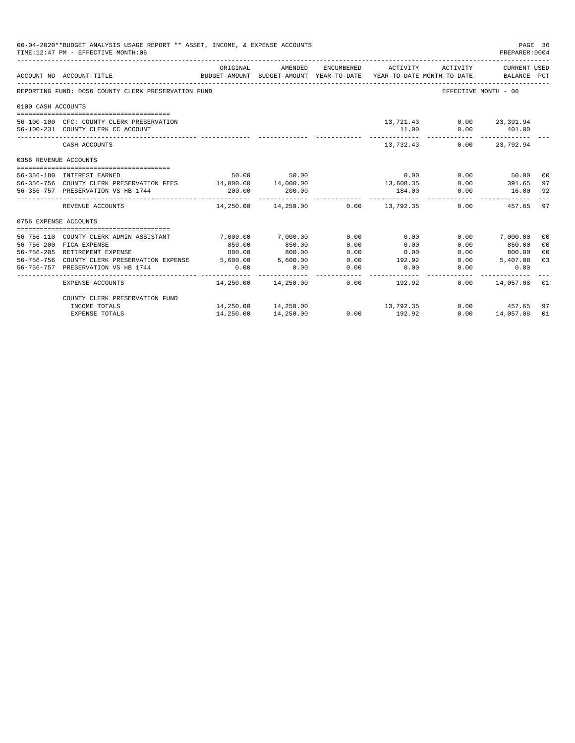|                       | 06-04-2020**BUDGET ANALYSIS USAGE REPORT ** ASSET, INCOME, & EXPENSE ACCOUNTS<br>PAGE 36<br>TIME: 12:47 PM - EFFECTIVE MONTH: 06<br>PREPARER: 0004<br>ORIGINAL<br>AMENDED<br>ENCUMBERED ACTIVITY<br>CURRENT USED<br>ACTIVITY |             |                                               |      |                           |                          |                                                                                 |                |
|-----------------------|------------------------------------------------------------------------------------------------------------------------------------------------------------------------------------------------------------------------------|-------------|-----------------------------------------------|------|---------------------------|--------------------------|---------------------------------------------------------------------------------|----------------|
|                       | ACCOUNT NO ACCOUNT-TITLE                                                                                                                                                                                                     |             |                                               |      |                           |                          | BUDGET-AMOUNT BUDGET-AMOUNT YEAR-TO-DATE YEAR-TO-DATE MONTH-TO-DATE BALANCE PCT |                |
|                       | REPORTING FUND: 0056 COUNTY CLERK PRESERVATION FUND                                                                                                                                                                          |             |                                               |      |                           |                          | EFFECTIVE MONTH - 06                                                            |                |
| 0100 CASH ACCOUNTS    |                                                                                                                                                                                                                              |             |                                               |      |                           |                          |                                                                                 |                |
|                       |                                                                                                                                                                                                                              |             |                                               |      |                           |                          |                                                                                 |                |
|                       | 56-100-100 CFC: COUNTY CLERK PRESERVATION                                                                                                                                                                                    |             |                                               |      |                           | 13,721.43 0.00 23,391.94 |                                                                                 |                |
|                       | 56-100-231 COUNTY CLERK CC ACCOUNT                                                                                                                                                                                           |             |                                               |      | 11.00                     |                          | $0.00$ 401.00                                                                   |                |
|                       | CASH ACCOUNTS                                                                                                                                                                                                                |             |                                               |      | -----------<br>13,732.43  |                          | $0.00$ 23.792.94                                                                |                |
| 0356 REVENUE ACCOUNTS |                                                                                                                                                                                                                              |             |                                               |      |                           |                          |                                                                                 |                |
|                       | 56-356-180 INTEREST EARNED                                                                                                                                                                                                   |             | 50.00 50.00                                   |      | 0.00                      |                          | $0.00$ 50.00                                                                    | - 00           |
|                       | 56-356-756 COUNTY CLERK PRESERVATION FEES 14,000.00 14,000.00                                                                                                                                                                |             |                                               |      | 13,608.35                 |                          | $0.00$ 391.65                                                                   | 97             |
|                       | 56-356-757 PRESERVATION VS HB 1744                                                                                                                                                                                           | 200.00      | 200.00                                        |      | 184.00                    | 0.00                     | 16.00                                                                           | 92             |
|                       | REVENUE ACCOUNTS                                                                                                                                                                                                             | ----------- | $14,250.00$ $14,250.00$ $0.00$ $13,792.35$    |      |                           |                          | 0.00 457.65 97                                                                  |                |
| 0756 EXPENSE ACCOUNTS |                                                                                                                                                                                                                              |             |                                               |      |                           |                          |                                                                                 |                |
|                       |                                                                                                                                                                                                                              |             |                                               |      |                           |                          |                                                                                 |                |
|                       | 56-756-110 COUNTY CLERK ADMIN ASSISTANT                                                                                                                                                                                      | 7,000.00    | 7,000.00                                      | 0.00 | 0.00                      |                          | $0.00$ 7,000.00                                                                 | 00             |
|                       | 56-756-200 FICA EXPENSE                                                                                                                                                                                                      | 850.00      | 850.00                                        | 0.00 | 0.00                      | 0.00                     | 850.00                                                                          | 0 <sub>0</sub> |
|                       | 56-756-205 RETIREMENT EXPENSE                                                                                                                                                                                                | 800.00      | 800.00                                        | 0.00 | 0.00                      |                          | $0.00$ 800.00                                                                   | 0 <sup>0</sup> |
|                       | 56-756-756 COUNTY CLERK PRESERVATION EXPENSE 5.600.00 5.600.00                                                                                                                                                               |             |                                               | 0.00 | 192.92                    |                          | $0.00$ 5,407.08                                                                 | 03             |
|                       | 56-756-757 PRESERVATION VS HB 1744                                                                                                                                                                                           | 0.00        | 0.00                                          | 0.00 | 0.00                      | 0.00                     | 0.00                                                                            |                |
|                       | EXPENSE ACCOUNTS                                                                                                                                                                                                             |             | - - - - - - - - - - -<br>14,250.00  14,250.00 |      | --------<br>$0.00$ 192.92 |                          | $0.00$ $14.057.08$ 01                                                           |                |
|                       | COUNTY CLERK PRESERVATION FUND                                                                                                                                                                                               |             |                                               |      |                           |                          |                                                                                 |                |
|                       | INCOME TOTALS                                                                                                                                                                                                                |             | 14,250.00 14,250.00                           |      | 13,792.35                 |                          | $0.00$ 457.65                                                                   | 97             |
|                       | <b>EXPENSE TOTALS</b>                                                                                                                                                                                                        | 14,250.00   | 14,250.00                                     | 0.00 | 192.92                    | 0.00                     | 14,057.08                                                                       | 01             |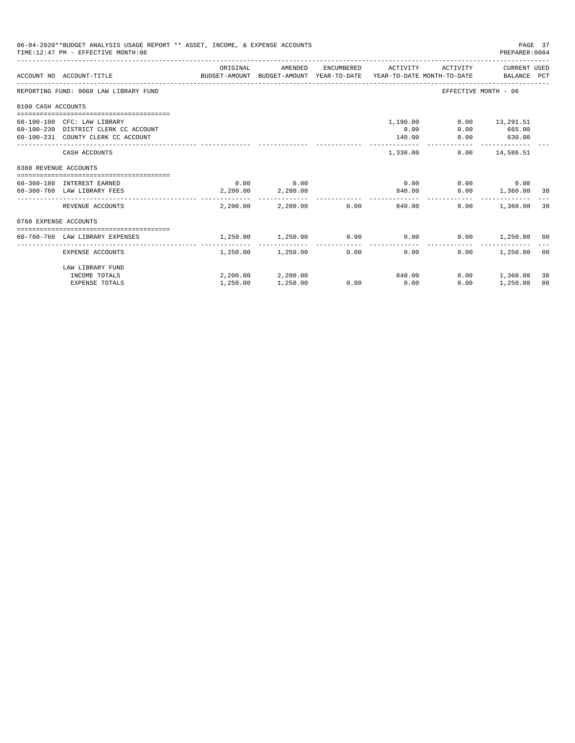|                       | 06-04-2020**BUDGET ANALYSIS USAGE REPORT ** ASSET, INCOME, & EXPENSE ACCOUNTS<br>TIME: 12:47 PM - EFFECTIVE MONTH: 06 |                                                                                             |                            |      |                          |                      | PAGE 37<br>PREPARER: 0004      |                |
|-----------------------|-----------------------------------------------------------------------------------------------------------------------|---------------------------------------------------------------------------------------------|----------------------------|------|--------------------------|----------------------|--------------------------------|----------------|
|                       | ACCOUNT NO ACCOUNT-TITLE                                                                                              | ORIGINAL<br>BUDGET-AMOUNT BUDGET-AMOUNT YEAR-TO-DATE YEAR-TO-DATE MONTH-TO-DATE BALANCE PCT | AMENDED                    |      | ENCUMBERED ACTIVITY      |                      | ACTIVITY CURRENT USED          |                |
|                       | REPORTING FUND: 0060 LAW LIBRARY FUND                                                                                 |                                                                                             |                            |      |                          | EFFECTIVE MONTH - 06 |                                |                |
| 0100 CASH ACCOUNTS    |                                                                                                                       |                                                                                             |                            |      |                          |                      |                                |                |
|                       |                                                                                                                       |                                                                                             |                            |      |                          |                      |                                |                |
|                       | 60-100-100 CFC: LAW LIBRARY                                                                                           |                                                                                             |                            |      | 1,190.00                 |                      | $0.00$ 13,291.51               |                |
|                       | 60-100-230 DISTRICT CLERK CC ACCOUNT                                                                                  |                                                                                             |                            |      | 0.00                     | 0.00                 | 665.00                         |                |
|                       | 60-100-231 COUNTY CLERK CC ACCOUNT                                                                                    |                                                                                             |                            |      | 140.00<br>-------------- | --------------       | $0.00$ 630.00<br>------------- |                |
|                       | CASH ACCOUNTS                                                                                                         |                                                                                             |                            |      | 1,330.00                 |                      | $0.00$ 14,586.51               |                |
| 0360 REVENUE ACCOUNTS |                                                                                                                       |                                                                                             |                            |      |                          |                      |                                |                |
|                       |                                                                                                                       |                                                                                             |                            |      |                          |                      |                                |                |
|                       | 60-360-180 INTEREST EARNED                                                                                            | 0.00                                                                                        | 0.00                       |      | 0.00                     |                      | $0.00$ 0.00                    |                |
|                       | 60-360-760 LAW LIBRARY FEES                                                                                           |                                                                                             | 2,200.00 2,200.00          |      | 840.00                   |                      | $0.00$ 1,360.00 38             |                |
|                       | REVENUE ACCOUNTS                                                                                                      |                                                                                             | $2.200.00$ $2.200.00$ 0.00 |      | 840.00                   | 0.00                 | 1,360.00                       | 38             |
| 0760 EXPENSE ACCOUNTS |                                                                                                                       |                                                                                             |                            |      |                          |                      |                                |                |
|                       |                                                                                                                       |                                                                                             |                            |      |                          |                      |                                |                |
|                       | 60-760-760 LAW LIBRARY EXPENSES                                                                                       | 1,250.00                                                                                    | 1,250.00                   |      | $0.00$ 0.00              |                      | $0.00$ 1,250.00 00             |                |
|                       | EXPENSE ACCOUNTS                                                                                                      |                                                                                             | 1,250.00 1,250.00          | 0.00 | 0.00                     | 0.00                 | 1,250.00                       | 0 <sup>0</sup> |
|                       | LAW LIBRARY FUND                                                                                                      |                                                                                             |                            |      |                          |                      |                                |                |
|                       | INCOME TOTALS                                                                                                         |                                                                                             | 2,200.00 2,200.00          |      | 840.00                   | 0.00                 | 1,360.00                       | 38             |
|                       | <b>EXPENSE TOTALS</b>                                                                                                 | 1,250.00                                                                                    | 1,250.00                   | 0.00 | 0.00                     | 0.00                 | 1,250.00                       | 00             |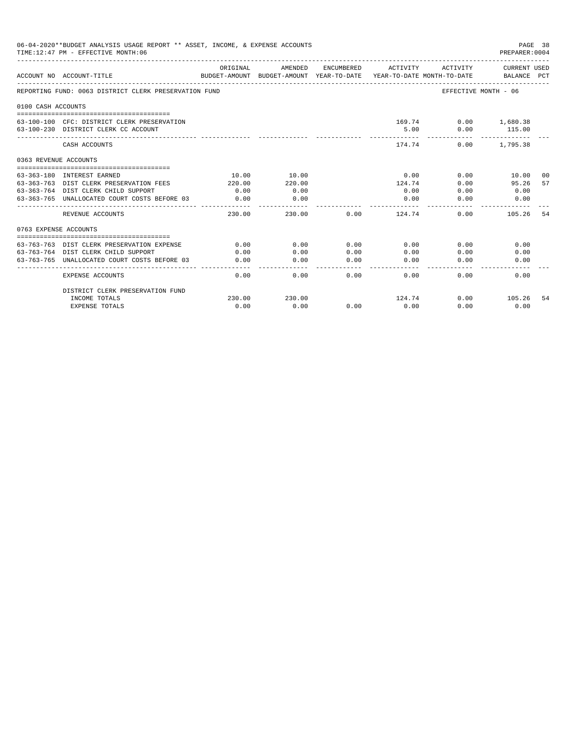|                       | 06-04-2020**BUDGET ANALYSIS USAGE REPORT ** ASSET, INCOME, & EXPENSE ACCOUNTS<br>PAGE 38<br>TIME: 12:47 PM - EFFECTIVE MONTH: 06<br>PREPARER: 0004<br><b>CURRENT USED</b><br>ORIGINAL<br>AMENDED<br>ENCUMBERED<br>ACTIVITY<br>ACTIVITY<br>BUDGET-AMOUNT<br>BUDGET-AMOUNT YEAR-TO-DATE<br>ACCOUNT NO ACCOUNT-TITLE<br>YEAR-TO-DATE MONTH-TO-DATE<br>BALANCE PCT<br>REPORTING FUND: 0063 DISTRICT CLERK PRESERVATION FUND<br>EFFECTIVE MONTH - 06<br>63-100-100 CFC: DISTRICT CLERK PRESERVATION<br>169.74<br>$0.00$ 1,680.38<br>5.00<br>0.00<br>115.00<br>63-100-230 DISTRICT CLERK CC ACCOUNT<br>CASH ACCOUNTS<br>174.74<br>0.00<br>1,795.38<br>0363 REVENUE ACCOUNTS<br>63-363-180 INTEREST EARNED<br>10.00<br>10.00<br>0.00<br>0.00<br>10.00<br>-00 |                       |                  |      |        |      |        |    |  |
|-----------------------|-------------------------------------------------------------------------------------------------------------------------------------------------------------------------------------------------------------------------------------------------------------------------------------------------------------------------------------------------------------------------------------------------------------------------------------------------------------------------------------------------------------------------------------------------------------------------------------------------------------------------------------------------------------------------------------------------------------------------------------------------------|-----------------------|------------------|------|--------|------|--------|----|--|
|                       |                                                                                                                                                                                                                                                                                                                                                                                                                                                                                                                                                                                                                                                                                                                                                       |                       |                  |      |        |      |        |    |  |
|                       |                                                                                                                                                                                                                                                                                                                                                                                                                                                                                                                                                                                                                                                                                                                                                       |                       |                  |      |        |      |        |    |  |
| 0100 CASH ACCOUNTS    |                                                                                                                                                                                                                                                                                                                                                                                                                                                                                                                                                                                                                                                                                                                                                       |                       |                  |      |        |      |        |    |  |
|                       |                                                                                                                                                                                                                                                                                                                                                                                                                                                                                                                                                                                                                                                                                                                                                       |                       |                  |      |        |      |        |    |  |
|                       |                                                                                                                                                                                                                                                                                                                                                                                                                                                                                                                                                                                                                                                                                                                                                       |                       |                  |      |        |      |        |    |  |
|                       |                                                                                                                                                                                                                                                                                                                                                                                                                                                                                                                                                                                                                                                                                                                                                       |                       |                  |      |        |      |        |    |  |
|                       |                                                                                                                                                                                                                                                                                                                                                                                                                                                                                                                                                                                                                                                                                                                                                       |                       |                  |      |        |      |        |    |  |
|                       |                                                                                                                                                                                                                                                                                                                                                                                                                                                                                                                                                                                                                                                                                                                                                       |                       |                  |      |        |      |        |    |  |
|                       | 63-363-763 DIST CLERK PRESERVATION FEES                                                                                                                                                                                                                                                                                                                                                                                                                                                                                                                                                                                                                                                                                                               | 220.00                | 220.00           |      | 124.74 | 0.00 | 95.26  | 57 |  |
|                       | 63-363-764 DIST CLERK CHILD SUPPORT                                                                                                                                                                                                                                                                                                                                                                                                                                                                                                                                                                                                                                                                                                                   | 0.00                  | 0.00             |      | 0.00   | 0.00 | 0.00   |    |  |
|                       | 63-363-765 UNALLOCATED COURT COSTS BEFORE 03                                                                                                                                                                                                                                                                                                                                                                                                                                                                                                                                                                                                                                                                                                          | 0.00<br>------------- | 0.00<br>-------- |      | 0.00   | 0.00 | 0.00   |    |  |
|                       | REVENUE ACCOUNTS                                                                                                                                                                                                                                                                                                                                                                                                                                                                                                                                                                                                                                                                                                                                      | 230.00                | 230.00           | 0.00 | 124.74 | 0.00 | 105.26 | 54 |  |
| 0763 EXPENSE ACCOUNTS |                                                                                                                                                                                                                                                                                                                                                                                                                                                                                                                                                                                                                                                                                                                                                       |                       |                  |      |        |      |        |    |  |
|                       |                                                                                                                                                                                                                                                                                                                                                                                                                                                                                                                                                                                                                                                                                                                                                       |                       |                  |      |        |      |        |    |  |
|                       | 63-763-763 DIST CLERK PRESERVATION EXPENSE                                                                                                                                                                                                                                                                                                                                                                                                                                                                                                                                                                                                                                                                                                            | 0.00                  | 0.00             | 0.00 | 0.00   | 0.00 | 0.00   |    |  |
|                       | 63-763-764 DIST CLERK CHILD SUPPORT                                                                                                                                                                                                                                                                                                                                                                                                                                                                                                                                                                                                                                                                                                                   | 0.00                  | 0.00             | 0.00 | 0.00   | 0.00 | 0.00   |    |  |
| 63-763-765            | UNALLOCATED COURT COSTS BEFORE 03                                                                                                                                                                                                                                                                                                                                                                                                                                                                                                                                                                                                                                                                                                                     | 0.00                  | 0.00             | 0.00 | 0.00   | 0.00 | 0.00   |    |  |
|                       | <b>EXPENSE ACCOUNTS</b>                                                                                                                                                                                                                                                                                                                                                                                                                                                                                                                                                                                                                                                                                                                               | 0.00                  | 0.00             | 0.00 | 0.00   | 0.00 | 0.00   |    |  |
|                       | DISTRICT CLERK PRESERVATION FUND                                                                                                                                                                                                                                                                                                                                                                                                                                                                                                                                                                                                                                                                                                                      |                       |                  |      |        |      |        |    |  |
|                       | INCOME TOTALS                                                                                                                                                                                                                                                                                                                                                                                                                                                                                                                                                                                                                                                                                                                                         | 230.00                | 230.00           |      | 124.74 | 0.00 | 105.26 | 54 |  |
|                       | <b>EXPENSE TOTALS</b>                                                                                                                                                                                                                                                                                                                                                                                                                                                                                                                                                                                                                                                                                                                                 | 0.00                  | 0.00             | 0.00 | 0.00   | 0.00 | 0.00   |    |  |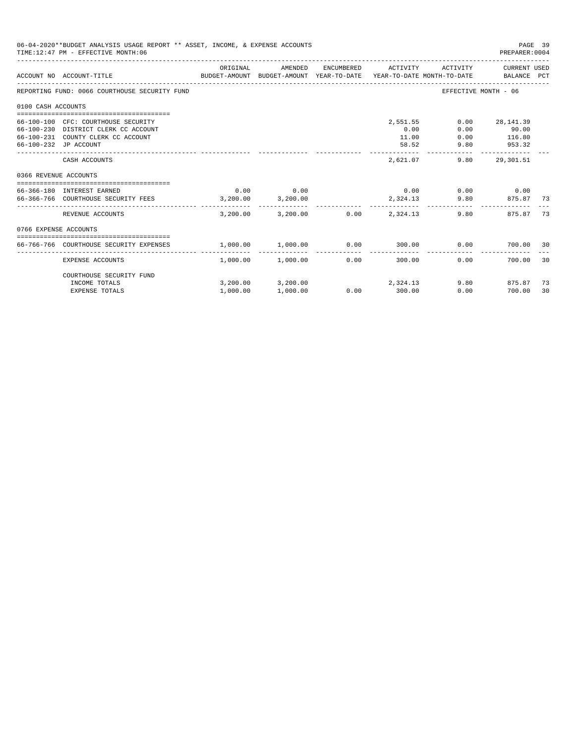|                       | 06-04-2020**BUDGET ANALYSIS USAGE REPORT ** ASSET, INCOME, & EXPENSE ACCOUNTS<br>TIME: 12:47 PM - EFFECTIVE MONTH: 06                      |                  |                                        |                       |                                    |                              | PAGE 39<br>PREPARER: 0004              |          |
|-----------------------|--------------------------------------------------------------------------------------------------------------------------------------------|------------------|----------------------------------------|-----------------------|------------------------------------|------------------------------|----------------------------------------|----------|
|                       | BUDGET-AMOUNT BUDGET-AMOUNT YEAR-TO-DATE YEAR-TO-DATE MONTH-TO-DATE     BALANCE PCT<br>ACCOUNT NO ACCOUNT-TITLE                            | ORIGINAL         | AMENDED                                | ENCUMBERED            | ACTIVITY                           | ACTIVITY                     | CURRENT USED                           |          |
|                       | REPORTING FUND: 0066 COURTHOUSE SECURITY FUND                                                                                              |                  |                                        |                       |                                    |                              | EFFECTIVE MONTH - 06                   |          |
| 0100 CASH ACCOUNTS    |                                                                                                                                            |                  |                                        |                       |                                    |                              |                                        |          |
|                       | 66-100-100 CFC: COURTHOUSE SECURITY<br>66-100-230 DISTRICT CLERK CC ACCOUNT<br>66-100-231 COUNTY CLERK CC ACCOUNT<br>66-100-232 JP ACCOUNT |                  |                                        |                       | 2,551.55<br>0.00<br>11.00<br>58.52 | 0.00<br>0.00<br>0.00<br>9.80 | 28,141.39<br>90.00<br>116.80<br>953.32 |          |
|                       | CASH ACCOUNTS                                                                                                                              |                  |                                        |                       | 2,621.07                           | 9.80                         | 29,301.51                              |          |
| 0366 REVENUE ACCOUNTS |                                                                                                                                            |                  |                                        |                       |                                    |                              |                                        |          |
|                       | 66-366-180 INTEREST EARNED<br>66-366-766 COURTHOUSE SECURITY FEES                                                                          | 0.00<br>3,200,00 | 0.00<br>3,200.00                       |                       | 0.00<br>2,324.13                   | 9.80                         | $0.00$ 0.00<br>875.87                  | 73       |
|                       | REVENUE ACCOUNTS                                                                                                                           |                  | 3,200.00 3,200.00                      |                       | $0.00$ 2.324.13                    |                              | 9.80<br>875.87                         | 73       |
| 0766 EXPENSE ACCOUNTS |                                                                                                                                            |                  |                                        |                       |                                    |                              |                                        |          |
|                       | 66-766-766 COURTHOUSE SECURITY EXPENSES                                                                                                    | 1,000.00         | 1,000.00                               |                       | $0.00$ 300.00                      | 0.00                         | 700.00 30                              |          |
|                       | EXPENSE ACCOUNTS                                                                                                                           |                  | -------------<br>$1.000.00$ $1.000.00$ | -------------<br>0.00 | . <b>.</b><br>300.00               | 0.00                         | 700.00                                 | 30       |
|                       | COURTHOUSE SECURITY FUND                                                                                                                   |                  |                                        |                       |                                    |                              |                                        |          |
|                       | INCOME TOTALS<br><b>EXPENSE TOTALS</b>                                                                                                     | 1,000.00         | 3,200.00 3,200.00<br>1,000.00          | 0.00                  | 2,324.13<br>300.00                 | 0.00                         | 9.80 875.87<br>700.00                  | 73<br>30 |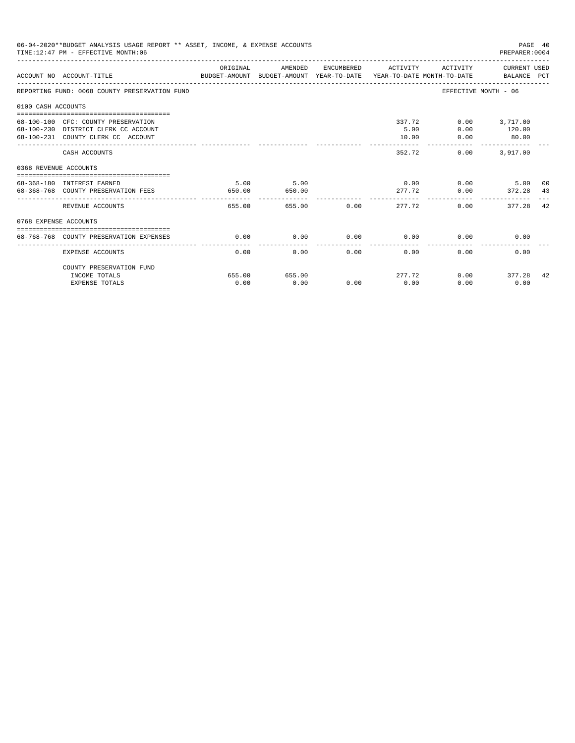|                       | 06-04-2020**BUDGET ANALYSIS USAGE REPORT ** ASSET, INCOME, & EXPENSE ACCOUNTS<br>TIME: 12:47 PM - EFFECTIVE MONTH: 06 |                |                |             |                     |                         | PAGE 40<br>PREPARER: 0004                 |    |
|-----------------------|-----------------------------------------------------------------------------------------------------------------------|----------------|----------------|-------------|---------------------|-------------------------|-------------------------------------------|----|
|                       | BUDGET-AMOUNT BUDGET-AMOUNT YEAR-TO-DATE  YEAR-TO-DATE MONTH-TO-DATE     BALANCE PCT<br>ACCOUNT NO ACCOUNT-TITLE      | ORIGINAL       | AMENDED        |             | ENCUMBERED ACTIVITY |                         | ACTIVITY CURRENT USED                     |    |
|                       | REPORTING FUND: 0068 COUNTY PRESERVATION FUND                                                                         |                |                |             |                     |                         | EFFECTIVE MONTH - 06                      |    |
| 0100 CASH ACCOUNTS    |                                                                                                                       |                |                |             |                     |                         |                                           |    |
|                       | 68-100-100 CFC: COUNTY PRESERVATION<br>68-100-230 DISTRICT CLERK CC ACCOUNT<br>68-100-231 COUNTY CLERK CC ACCOUNT     |                |                |             | 5.00<br>10.00       | 337.72<br>0.00          | $0.00$ 3,717.00<br>$0.00$ 120.00<br>80.00 |    |
|                       | CASH ACCOUNTS                                                                                                         |                |                |             | 352.72              | 0.00                    | 3,917.00                                  |    |
| 0368 REVENUE ACCOUNTS |                                                                                                                       |                |                |             |                     |                         |                                           |    |
|                       | 68-368-180 INTEREST EARNED<br>68-368-768 COUNTY PRESERVATION FEES                                                     | 5.00<br>650.00 | 5.00<br>650.00 |             |                     | $0.00$ $0.00$<br>277.72 | 5.00 00<br>$0.00$ $372.28$ 43             |    |
|                       | REVENUE ACCOUNTS                                                                                                      | 655.00         |                | 655.00 0.00 |                     | 277.72                  | 0.00<br>377.28                            | 42 |
| 0768 EXPENSE ACCOUNTS |                                                                                                                       |                |                |             |                     |                         |                                           |    |
|                       | 68-768-768 COUNTY PRESERVATION EXPENSES                                                                               | 0.00           | 0.00           | $0.00$ 0.00 |                     |                         | 0.00<br>0.00                              |    |
|                       | <b>EXPENSE ACCOUNTS</b>                                                                                               | 0.00           | 0.00           |             | 0.00<br>0.00        | 0.00                    | 0.00                                      |    |
|                       | COUNTY PRESERVATION FUND<br>INCOME TOTALS                                                                             | 655.00         | 655.00         |             |                     | 277.72                  | $0.00$ 377.28                             | 42 |
|                       | <b>EXPENSE TOTALS</b>                                                                                                 | 0.00           | 0.00           | 0.00        | 0.00                | 0.00                    | 0.00                                      |    |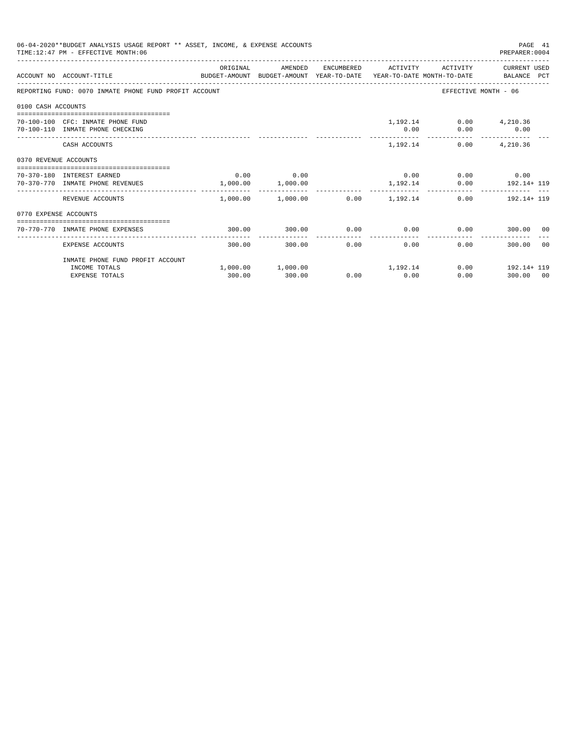|                       | 06-04-2020**BUDGET ANALYSIS USAGE REPORT ** ASSET, INCOME, & EXPENSE ACCOUNTS<br>PAGE 41<br>TIME: 12:47 PM - EFFECTIVE MONTH: 06<br>PREPARER: 0004 |             |                                                          |                                 |              |                             |                                           |       |  |  |
|-----------------------|----------------------------------------------------------------------------------------------------------------------------------------------------|-------------|----------------------------------------------------------|---------------------------------|--------------|-----------------------------|-------------------------------------------|-------|--|--|
|                       | ACCOUNT NO ACCOUNT-TITLE CONTROL PROTECT-AMOUNT BUDGET-AMOUNT YEAR-TO-DATE YEAR-TO-DATE MONTH-TO-DATE BALANCE PCT                                  | ORIGINAL    | AMENDED                                                  |                                 |              |                             | ENCUMBERED ACTIVITY ACTIVITY CURRENT USED |       |  |  |
|                       | REPORTING FUND: 0070 INMATE PHONE FUND PROFIT ACCOUNT                                                                                              |             |                                                          |                                 |              |                             | EFFECTIVE MONTH - 06                      |       |  |  |
| 0100 CASH ACCOUNTS    |                                                                                                                                                    |             |                                                          |                                 |              |                             |                                           |       |  |  |
|                       | 70-100-100 CFC: INMATE PHONE FUND<br>70-100-110 INMATE PHONE CHECKING                                                                              |             |                                                          |                                 | 0.00         | 1,192.14 0.00 4,210.36      | $0.00$ 0.00                               |       |  |  |
|                       | CASH ACCOUNTS                                                                                                                                      |             |                                                          |                                 |              | 1, 192.14 0.00 4, 210.36    |                                           |       |  |  |
| 0370 REVENUE ACCOUNTS |                                                                                                                                                    |             |                                                          |                                 |              |                             |                                           |       |  |  |
|                       | 70-370-180 INTEREST EARNED<br>70-370-770 INMATE PHONE REVENUES                                                                                     | $0.00$ 0.00 | 1,000.00 1,000.00                                        |                                 |              | $0.00$ 0.00 0.00 0.00       | 1, 192.14 0.00 192.14 + 119               |       |  |  |
|                       | REVENUE ACCOUNTS                                                                                                                                   | ---------   | -------------<br>$1,000.00$ $1,000.00$ $0.00$ $1,192.14$ |                                 | ------------ |                             | $0.00$ 192.14+ 119                        |       |  |  |
| 0770 EXPENSE ACCOUNTS |                                                                                                                                                    |             |                                                          |                                 |              |                             |                                           |       |  |  |
|                       | 70-770-770 INMATE PHONE EXPENSES                                                                                                                   | 300.00      | 300.00                                                   |                                 |              | $0.00$ $0.00$ $0.00$ $0.00$ | 300.00 00                                 |       |  |  |
|                       | EXPENSE ACCOUNTS                                                                                                                                   | 300.00      | 300.00                                                   | . _ _ _ _ _ _ _ _ _ _ _<br>0.00 | 0.00         |                             | 0.00<br>300.00                            | - 0.0 |  |  |
|                       | INMATE PHONE FUND PROFIT ACCOUNT                                                                                                                   |             |                                                          |                                 |              |                             |                                           |       |  |  |
|                       | INCOME TOTALS<br><b>EXPENSE TOTALS</b>                                                                                                             | 300.00      | $1,000.00$ $1,000.00$ $1,192.14$<br>300.00               |                                 | $0.00$ 0.00  |                             | $0.00$ 192.14+ 119<br>0.00<br>300.00 00   |       |  |  |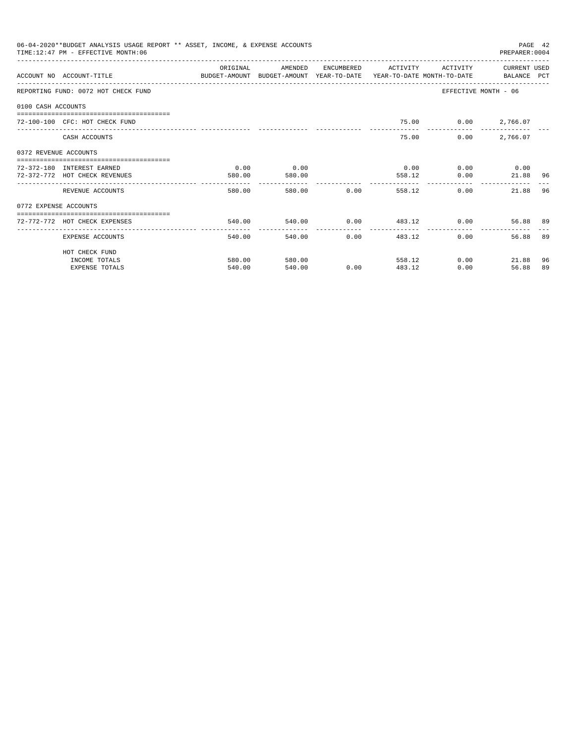|                       | 06-04-2020**BUDGET ANALYSIS USAGE REPORT ** ASSET, INCOME, & EXPENSE ACCOUNTS<br>TIME: 12:47 PM - EFFECTIVE MONTH: 06 |           |                         |                      |                         |                     | PREPARER: 0004       | PAGE 42 |
|-----------------------|-----------------------------------------------------------------------------------------------------------------------|-----------|-------------------------|----------------------|-------------------------|---------------------|----------------------|---------|
|                       | ACCOUNT NO ACCOUNT-TITLE COMPUTER ANOUNT BUDGET-AMOUNT HEAR-TO-DATE YEAR-TO-DATE MONTH-TO-DATE BALANCE PCT            | OR TGTNAL | AMENDED                 | ENCUMBERED           | <b>ACTIVITY</b>         | <b>ACTIVITY</b>     | CURRENT USED         |         |
|                       | REPORTING FUND: 0072 HOT CHECK FUND                                                                                   |           |                         |                      |                         |                     | EFFECTIVE MONTH - 06 |         |
| 0100 CASH ACCOUNTS    |                                                                                                                       |           |                         |                      |                         |                     |                      |         |
|                       | 72-100-100 CFC: HOT CHECK FUND                                                                                        |           |                         |                      |                         | 75.00 0.00 2,766.07 |                      |         |
|                       | CASH ACCOUNTS                                                                                                         |           |                         |                      | 75.00                   | 0.00                | 2,766.07             |         |
| 0372 REVENUE ACCOUNTS |                                                                                                                       |           |                         |                      |                         |                     |                      |         |
|                       | 72-372-180 INTEREST EARNED                                                                                            | 0.00      | 0.00                    |                      | 0.00                    |                     | $0.00$ 0.00          |         |
|                       | 72-372-772 HOT CHECK REVENUES                                                                                         | 580.00    | 580.00                  |                      | 558.12                  | 0.00                | 21.88 96             |         |
|                       | REVENUE ACCOUNTS                                                                                                      | 580.00    | --------------          | 580.00 0.00          | 558.12                  |                     | 0.00<br>21.88        | 96      |
| 0772 EXPENSE ACCOUNTS |                                                                                                                       |           |                         |                      |                         |                     |                      |         |
|                       | 72-772-772 HOT CHECK EXPENSES                                                                                         | 540.00    |                         |                      | 540.00 0.00 483.12 0.00 |                     | 56.88 89             |         |
|                       | EXPENSE ACCOUNTS                                                                                                      | 540.00    | -------------<br>540.00 | ------------<br>0.00 | ---------------         | 483.12              | 0.00<br>56.88        | 89      |
|                       | HOT CHECK FUND                                                                                                        |           |                         |                      |                         |                     |                      |         |
|                       | INCOME TOTALS                                                                                                         | 580.00    | 580.00                  |                      | 558.12                  |                     | 0.00<br>21.88        | 96      |
|                       | <b>EXPENSE TOTALS</b>                                                                                                 | 540.00    | 540.00                  | 0.00                 | 483.12                  | 0.00                | 56.88                | 89      |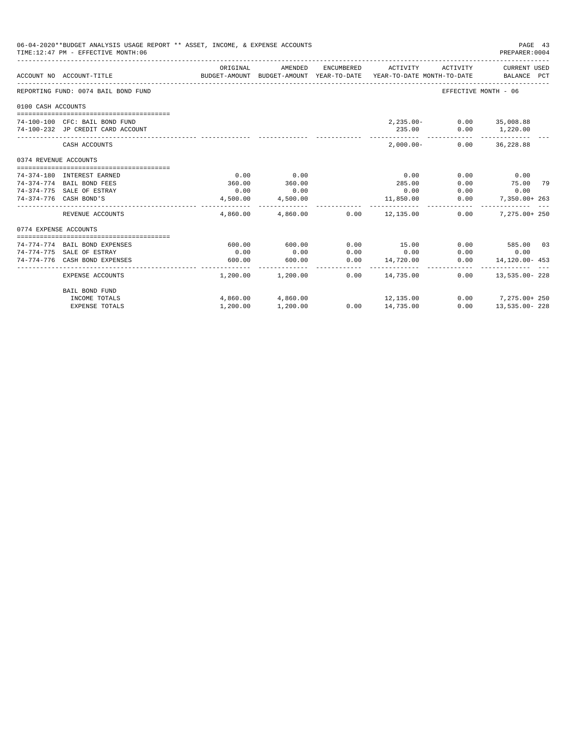|                       | 06-04-2020**BUDGET ANALYSIS USAGE REPORT ** ASSET, INCOME, & EXPENSE ACCOUNTS<br>TIME:12:47 PM - EFFECTIVE MONTH:06 |                       |                            |            |                                                                                 |                          | PAGE 43<br>PREPARER: 0004   |  |
|-----------------------|---------------------------------------------------------------------------------------------------------------------|-----------------------|----------------------------|------------|---------------------------------------------------------------------------------|--------------------------|-----------------------------|--|
|                       | ACCOUNT NO ACCOUNT-TITLE                                                                                            | ORIGINAL              | AMENDED                    | ENCUMBERED | ACTIVITY<br>BUDGET-AMOUNT BUDGET-AMOUNT YEAR-TO-DATE YEAR-TO-DATE MONTH-TO-DATE | ACTIVITY                 | CURRENT USED<br>BALANCE PCT |  |
|                       | REPORTING FUND: 0074 BAIL BOND FUND                                                                                 |                       |                            |            |                                                                                 | EFFECTIVE MONTH - 06     |                             |  |
| 0100 CASH ACCOUNTS    |                                                                                                                     |                       |                            |            |                                                                                 |                          |                             |  |
|                       |                                                                                                                     |                       |                            |            |                                                                                 |                          |                             |  |
|                       | 74-100-100 CFC: BAIL BOND FUND                                                                                      |                       |                            |            |                                                                                 | 2,235.00- 0.00 35,008.88 |                             |  |
|                       | 74-100-232 JP CREDIT CARD ACCOUNT                                                                                   |                       |                            |            | 235.00                                                                          |                          | $0.00$ 1,220.00             |  |
|                       | CASH ACCOUNTS                                                                                                       |                       |                            |            | $2.000.00 -$                                                                    | 0.00                     | 36,228.88                   |  |
| 0374 REVENUE ACCOUNTS |                                                                                                                     |                       |                            |            |                                                                                 |                          |                             |  |
|                       |                                                                                                                     |                       |                            |            |                                                                                 |                          |                             |  |
|                       | 74-374-180 INTEREST EARNED                                                                                          | 0.00                  | 0.00                       |            | 0.00                                                                            | 0.00                     | 0.00                        |  |
|                       | 74-374-774 BAIL BOND FEES                                                                                           | 360.00                | 360.00                     |            | 285.00                                                                          | 0.00                     | 75.00 79                    |  |
|                       | 74-374-775 SALE OF ESTRAY                                                                                           | 0.00                  | 0.00                       |            | 0.00                                                                            | 0.00                     | 0.00                        |  |
|                       | 74-374-776 CASH BOND'S                                                                                              | 4,500.00              | 4,500.00<br>-------------- |            | 11,850.00                                                                       | 0.00                     | 7,350.00+ 263               |  |
|                       | REVENUE ACCOUNTS                                                                                                    |                       | 4,860.00 4,860.00 0.00     |            | 12,135.00                                                                       | 0.00                     | $7.275.00 + 250$            |  |
| 0774 EXPENSE ACCOUNTS |                                                                                                                     |                       |                            |            |                                                                                 |                          |                             |  |
|                       |                                                                                                                     |                       |                            |            |                                                                                 |                          |                             |  |
|                       | 74-774-774 BAIL BOND EXPENSES                                                                                       | 600.00                | 600.00                     | 0.00       | 15.00                                                                           |                          | $0.00$ 585.00 03            |  |
|                       | 74-774-775 SALE OF ESTRAY                                                                                           | 0.00                  | 0.00                       | 0.00       | 0.00                                                                            | 0.00                     | 0.00                        |  |
|                       | 74-774-776 CASH BOND EXPENSES                                                                                       | 600.00<br>----------- | 600.00<br>--------------   | 0.00       | 14,720.00<br>______________________                                             | 0.00                     | $14.120.00 - 453$           |  |
|                       | EXPENSE ACCOUNTS                                                                                                    |                       | $1,200.00$ $1,200.00$      | 0.00       | 14,735.00                                                                       | 0.00                     | $13.535.00 - 228$           |  |
|                       | BAIL BOND FUND                                                                                                      |                       |                            |            |                                                                                 |                          |                             |  |
|                       | INCOME TOTALS                                                                                                       |                       | 4,860.00 4,860.00          |            | 12, 135.00                                                                      |                          | $0.00$ 7, 275.00+ 250       |  |
|                       | <b>EXPENSE TOTALS</b>                                                                                               | 1,200.00              | 1,200.00                   |            | $0.00$ 14,735.00                                                                | 0.00                     | 13,535.00-228               |  |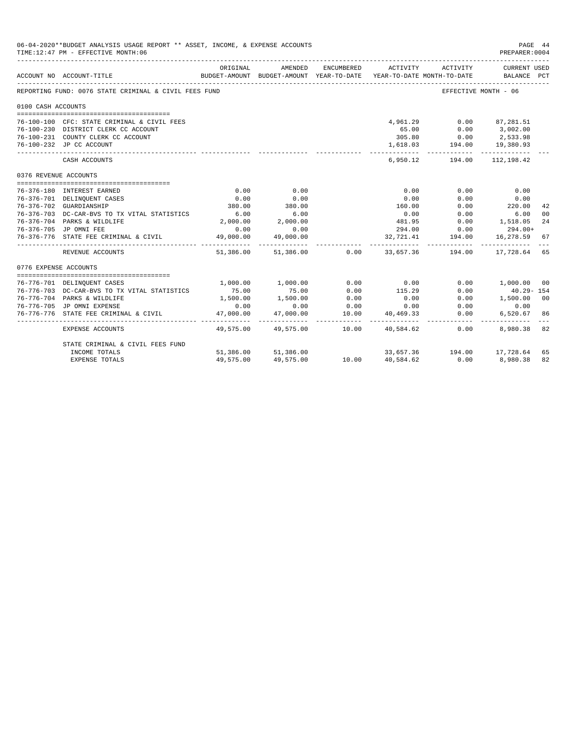|                       | 06-04-2020**BUDGET ANALYSIS USAGE REPORT ** ASSET, INCOME, & EXPENSE ACCOUNTS<br>TIME:12:47 PM - EFFECTIVE MONTH:06 |                          |                          |              |                                                                                          |                                                           | PAGE 44<br>PREPARER:0004      |    |
|-----------------------|---------------------------------------------------------------------------------------------------------------------|--------------------------|--------------------------|--------------|------------------------------------------------------------------------------------------|-----------------------------------------------------------|-------------------------------|----|
|                       | ____________________________________<br>ACCOUNT NO ACCOUNT-TITLE                                                    | ORIGINAL                 | AMENDED                  | ENCUMBERED   | ACTIVITY ACTIVITY<br>BUDGET-AMOUNT BUDGET-AMOUNT YEAR-TO-DATE YEAR-TO-DATE MONTH-TO-DATE |                                                           | CURRENT USED<br>BALANCE PCT   |    |
|                       | REPORTING FUND: 0076 STATE CRIMINAL & CIVIL FEES FUND                                                               |                          |                          |              |                                                                                          | EFFECTIVE MONTH - 06                                      |                               |    |
| 0100 CASH ACCOUNTS    |                                                                                                                     |                          |                          |              |                                                                                          |                                                           |                               |    |
|                       | 76-100-100 CFC: STATE CRIMINAL & CIVIL FEES                                                                         |                          |                          |              | 4,961.29                                                                                 |                                                           | $0.00$ 87,281.51              |    |
|                       | 76-100-230 DISTRICT CLERK CC ACCOUNT                                                                                |                          |                          |              | 65.00                                                                                    | $0.00$ 3,002.00                                           |                               |    |
|                       | 76-100-231 COUNTY CLERK CC ACCOUNT                                                                                  |                          |                          |              |                                                                                          |                                                           |                               |    |
|                       | 76-100-232 JP CC ACCOUNT                                                                                            |                          |                          |              |                                                                                          | $305.80$ $0.00$ $2,533.98$<br>1,618.03 $194.00$ 19,380.93 |                               |    |
|                       | CASH ACCOUNTS                                                                                                       |                          |                          |              |                                                                                          | 6,950.12 194.00 112,198.42                                | ------------                  |    |
| 0376 REVENUE ACCOUNTS |                                                                                                                     |                          |                          |              |                                                                                          |                                                           |                               |    |
|                       | 76-376-180 INTEREST EARNED                                                                                          | 0.00                     | 0.00                     |              | 0.00                                                                                     | 0.00                                                      | 0.00                          |    |
|                       | 76-376-701 DELINQUENT CASES                                                                                         | 0.00                     | 0.00                     |              | 0.00                                                                                     | 0.00                                                      | 0.00                          |    |
|                       | 76-376-702 GUARDIANSHIP                                                                                             | 380.00                   | 380.00                   |              | 160.00                                                                                   | 0.00                                                      | 220.00                        | 42 |
|                       | 76-376-703 DC-CAR-BVS TO TX VITAL STATISTICS                                                                        | 6.00                     | 6.00                     |              | 0.00                                                                                     | 0.00                                                      | 6.00                          | 00 |
|                       | 76-376-704 PARKS & WILDLIFE                                                                                         | 2,000.00                 | 2,000.00                 |              |                                                                                          | 481.95 0.00 1,518.05                                      |                               | 24 |
|                       | 76-376-705 JP OMNI FEE                                                                                              | 0.00                     | 0.00                     |              |                                                                                          | 294.00 0.00                                               | 294.00+                       |    |
|                       | 76-376-776 STATE FEE CRIMINAL & CIVIL                                                                               | 49,000.00<br>----------- | 49,000.00                |              | . <u>.</u>                                                                               | 32,721.41 194.00                                          | 16,278.59 67                  |    |
|                       | REVENUE ACCOUNTS                                                                                                    |                          | 51,386.00 51,386.00 0.00 |              |                                                                                          |                                                           | 33,657.36 194.00 17,728.64 65 |    |
| 0776 EXPENSE ACCOUNTS |                                                                                                                     |                          |                          |              |                                                                                          |                                                           |                               |    |
|                       |                                                                                                                     |                          | 1,000.00 1,000.00        | 0.00         | 0.00                                                                                     |                                                           |                               |    |
|                       | 76-776-701 DELINQUENT CASES                                                                                         |                          | 75.00                    |              |                                                                                          |                                                           | $0.00$ 1,000.00 00            |    |
|                       | 76-776-703 DC-CAR-BVS TO TX VITAL STATISTICS<br>76-776-704 PARKS & WILDLIFE                                         | 75.00<br>1,500.00        |                          | 0.00<br>0.00 | 115.29<br>0.00                                                                           | 0.00                                                      | 40.29- 154                    |    |
|                       | 76-776-705 JP OMNI EXPENSE                                                                                          | 0.00                     | 1,500.00<br>0.00         | 0.00         | 0.00                                                                                     | 0.00                                                      | $0.00$ 1,500.00 00<br>0.00    |    |
|                       | 76-776-776 STATE FEE CRIMINAL & CIVIL                                                                               | 47,000.00                | 47,000.00                | 10.00        | 40,469.33                                                                                | 0.00                                                      | 6,520.67                      | 86 |
|                       | <b>EXPENSE ACCOUNTS</b>                                                                                             | 49,575.00                | .<br>49,575.00           | 10.00        | 40,584.62                                                                                | 0.00                                                      | 8,980.38 82                   |    |
|                       | STATE CRIMINAL & CIVIL FEES FUND                                                                                    |                          |                          |              |                                                                                          |                                                           |                               |    |
|                       | INCOME TOTALS                                                                                                       |                          | 51,386.00 51,386.00      |              |                                                                                          |                                                           | 33,657.36 194.00 17,728.64    | 65 |
|                       | <b>EXPENSE TOTALS</b>                                                                                               | 49,575.00                | 49,575.00                | 10.00        | 40,584.62                                                                                | 0.00                                                      | 8,980.38                      | 82 |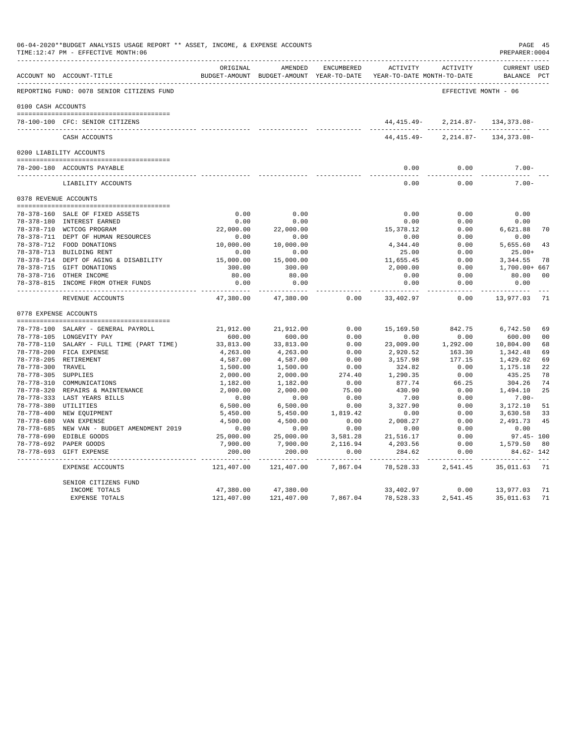|                      | 06-04-2020**BUDGET ANALYSIS USAGE REPORT ** ASSET, INCOME, & EXPENSE ACCOUNTS<br>TIME:12:47 PM - EFFECTIVE MONTH:06 |                          |                                                     |                                 |                                               |                       | PAGE 45<br>PREPARER: 0004          |                |
|----------------------|---------------------------------------------------------------------------------------------------------------------|--------------------------|-----------------------------------------------------|---------------------------------|-----------------------------------------------|-----------------------|------------------------------------|----------------|
|                      | ACCOUNT NO ACCOUNT-TITLE                                                                                            | ORIGINAL                 | AMENDED<br>BUDGET-AMOUNT BUDGET-AMOUNT YEAR-TO-DATE | ENCUMBERED                      | <b>ACTIVITY</b><br>YEAR-TO-DATE MONTH-TO-DATE | ACTIVITY              | <b>CURRENT USED</b><br>BALANCE PCT |                |
|                      | REPORTING FUND: 0078 SENIOR CITIZENS FUND                                                                           |                          |                                                     |                                 |                                               | EFFECTIVE MONTH - 06  |                                    |                |
| 0100 CASH ACCOUNTS   |                                                                                                                     |                          |                                                     |                                 |                                               |                       |                                    |                |
|                      |                                                                                                                     |                          |                                                     |                                 |                                               |                       |                                    |                |
|                      | 78-100-100 CFC: SENIOR CITIZENS                                                                                     |                          |                                                     |                                 | 44,415.49-                                    |                       | 2, 214.87- 134, 373.08-            |                |
|                      | CASH ACCOUNTS                                                                                                       |                          |                                                     |                                 | 44, 415. 49-                                  | $2,214.87-$           | 134, 373.08-                       |                |
|                      | 0200 LIABILITY ACCOUNTS                                                                                             |                          |                                                     |                                 |                                               |                       |                                    |                |
|                      | 78-200-180 ACCOUNTS PAYABLE                                                                                         |                          |                                                     |                                 | 0.00                                          | 0.00                  | $7.00 -$                           |                |
|                      | LIABILITY ACCOUNTS                                                                                                  |                          |                                                     |                                 | $- - - -$<br>0.00                             | 0.00                  | $7.00 -$                           |                |
|                      | 0378 REVENUE ACCOUNTS                                                                                               |                          |                                                     |                                 |                                               |                       |                                    |                |
|                      |                                                                                                                     |                          |                                                     |                                 |                                               |                       |                                    |                |
|                      | 78-378-160 SALE OF FIXED ASSETS                                                                                     | 0.00                     | 0.00                                                |                                 | 0.00                                          | 0.00                  | 0.00                               |                |
|                      | 78-378-180 INTEREST EARNED                                                                                          | 0.00                     | 0.00                                                |                                 | 0.00                                          | 0.00                  | 0.00                               |                |
|                      | 78-378-710 WCTCOG PROGRAM                                                                                           | 22,000.00                | 22,000.00                                           |                                 | 15,378.12                                     | 0.00                  | 6,621.88                           | 70             |
|                      | 78-378-711 DEPT OF HUMAN RESOURCES<br>78-378-712 FOOD DONATIONS                                                     | 0.00                     | 0.00                                                |                                 | 0.00                                          | 0.00                  | 0.00                               |                |
|                      | 78-378-713 BUILDING RENT                                                                                            | 10,000.00<br>0.00        | 10,000.00                                           |                                 | 4,344.40                                      | 0.00<br>0.00          | 5,655.60                           | 43             |
|                      | 78-378-714 DEPT OF AGING & DISABILITY                                                                               | 15,000.00                | 0.00<br>15,000.00                                   |                                 | 25.00<br>11,655.45                            | 0.00                  | $25.00+$<br>3,344.55               | 78             |
|                      | 78-378-715 GIFT DONATIONS                                                                                           | 300.00                   | 300.00                                              |                                 | 2,000.00                                      | 0.00                  | 1,700.00+ 667                      |                |
|                      | 78-378-716 OTHER INCOME                                                                                             | 80.00                    | 80.00                                               |                                 | 0.00                                          | 0.00                  | 80.00                              | 0 <sup>0</sup> |
|                      | 78-378-815 INCOME FROM OTHER FUNDS                                                                                  | 0.00                     | 0.00                                                |                                 | 0.00                                          | 0.00                  | 0.00                               |                |
|                      | REVENUE ACCOUNTS                                                                                                    | -----------<br>47,380.00 | 47,380.00                                           | 0.00                            | 33,402.97                                     | $- - - - -$<br>0.00   | ----------<br>13,977.03            | 71             |
|                      | 0778 EXPENSE ACCOUNTS                                                                                               |                          |                                                     |                                 |                                               |                       |                                    |                |
|                      |                                                                                                                     |                          |                                                     |                                 |                                               |                       |                                    |                |
|                      | 78-778-100 SALARY - GENERAL PAYROLL                                                                                 | 21,912.00                | 21,912.00                                           | 0.00                            | 15,169.50                                     | 842.75                | 6,742.50                           | 69             |
|                      | 78-778-105 LONGEVITY PAY                                                                                            | 600.00                   | 600.00                                              | 0.00                            | 0.00                                          | 0.00                  | 600.00                             | 0 <sub>0</sub> |
|                      | 78-778-110 SALARY - FULL TIME (PART TIME)                                                                           | 33,813.00                | 33,813.00                                           | 0.00                            | 23,009.00                                     | 1,292.00              | 10,804.00                          | 68             |
|                      | 78-778-200 FICA EXPENSE                                                                                             | 4,263.00                 | 4,263.00                                            | 0.00                            | 2,920.52                                      | 163.30                | 1,342.48                           | 69             |
| 78-778-300 TRAVEL    | 78-778-205 RETIREMENT                                                                                               | 4,587.00<br>1,500.00     | 4,587.00<br>1,500.00                                | 0.00<br>0.00                    | 3,157.98<br>324.82                            | 177.15<br>0.00        | 1,429.02<br>1,175.18               | 69<br>22       |
| 78-778-305 SUPPLIES  |                                                                                                                     | 2,000.00                 | 2,000.00                                            | 274.40                          | 1,290.35                                      | 0.00                  | 435.25                             | 78             |
|                      | 78-778-310 COMMUNICATIONS                                                                                           | 1,182.00                 | 1,182.00                                            | 0.00                            | 877.74                                        | 66.25                 | 304.26                             | 74             |
|                      | 78-778-320 REPAIRS & MAINTENANCE                                                                                    | 2,000.00                 | 2,000.00                                            | 75.00                           | 430.90                                        | 0.00                  | 1,494.10                           | 25             |
|                      | 78-778-333 LAST YEARS BILLS                                                                                         | 0.00                     | 0.00                                                | 0.00                            | 7.00                                          | 0.00                  | $7.00 -$                           |                |
| 78-778-380 UTILITIES |                                                                                                                     | 6,500.00                 | 6,500.00                                            | 0.00                            | 3,327.90                                      | 0.00                  | 3,172.10                           | 51             |
|                      | 78-778-400 NEW EQUIPMENT                                                                                            | 5,450.00                 | 5,450.00                                            | 1,819.42                        | 0.00                                          | 0.00                  | 3,630.58                           | 33             |
|                      | 78-778-680 VAN EXPENSE                                                                                              | 4,500.00                 | 4,500.00                                            | 0.00                            | 2,008.27                                      | 0.00                  | 2,491.73                           | 45             |
|                      | 78-778-685 NEW VAN - BUDGET AMENDMENT 2019                                                                          | 0.00                     | 0.00                                                | 0.00                            | 0.00                                          | 0.00                  | 0.00                               |                |
|                      | 78-778-690 EDIBLE GOODS                                                                                             | 25,000.00                | 25,000.00                                           | 3,581.28                        | 21,516.17                                     | 0.00                  | $97.45 - 100$                      |                |
|                      | 78-778-692 PAPER GOODS                                                                                              | 7,900.00                 | 7,900.00                                            | 2,116.94                        | 4,203.56                                      | 0.00                  | 1,579.50                           | 80             |
|                      | 78-778-693 GIFT EXPENSE                                                                                             | 200.00<br>-------------  | 200.00<br>-------------                             | 0.00<br>. _ _ _ _ _ _ _ _ _ _ _ | 284.62<br>--------------                      | 0.00<br>_____________ | 84.62- 142<br>-------------        |                |
|                      | EXPENSE ACCOUNTS                                                                                                    | 121,407.00               | 121,407.00                                          | 7,867.04                        | 78,528.33                                     | 2,541.45              | 35,011.63                          | 71             |
|                      | SENIOR CITIZENS FUND                                                                                                |                          |                                                     |                                 |                                               |                       |                                    |                |
|                      | INCOME TOTALS<br><b>EXPENSE TOTALS</b>                                                                              | 47,380.00<br>121,407.00  | 47,380.00<br>121,407.00                             | 7,867.04                        | 33,402.97<br>78,528.33                        | 0.00<br>2,541.45      | 13,977.03<br>35,011.63             | 71<br>71       |
|                      |                                                                                                                     |                          |                                                     |                                 |                                               |                       |                                    |                |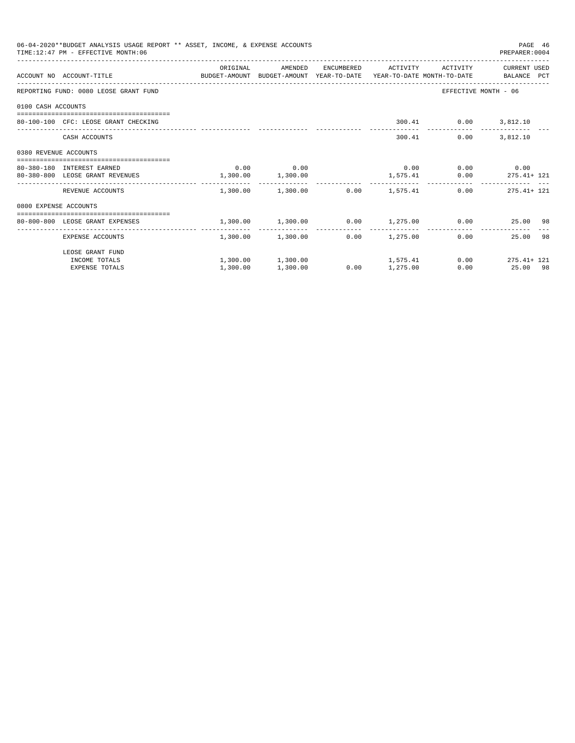|                       | 06-04-2020**BUDGET ANALYSIS USAGE REPORT ** ASSET, INCOME, & EXPENSE ACCOUNTS<br>TIME: 12:47 PM - EFFECTIVE MONTH: 06 |                       |                                         |      |                     |                      | PAGE 46<br>PREPARER: 0004                                   |
|-----------------------|-----------------------------------------------------------------------------------------------------------------------|-----------------------|-----------------------------------------|------|---------------------|----------------------|-------------------------------------------------------------|
|                       | ACCOUNT NO ACCOUNT-TITLE COMPUTE SUDGET-AMOUNT BUDGET-AMOUNT YEAR-TO-DATE YEAR-TO-DATE MONTH-TO-DATE BALANCE PCT      | ORIGINAL              | AMENDED                                 |      | ENCUMBERED ACTIVITY | ACTIVITY             | CURRENT USED                                                |
|                       | REPORTING FUND: 0080 LEOSE GRANT FUND                                                                                 |                       |                                         |      |                     |                      | EFFECTIVE MONTH - 06                                        |
| 0100 CASH ACCOUNTS    |                                                                                                                       |                       |                                         |      |                     |                      |                                                             |
|                       | 80-100-100 CFC: LEOSE GRANT CHECKING                                                                                  |                       |                                         |      |                     | 300.41 0.00 3,812.10 |                                                             |
|                       | CASH ACCOUNTS                                                                                                         |                       |                                         |      |                     | 300.41               | $0.00$ 3,812.10                                             |
| 0380 REVENUE ACCOUNTS |                                                                                                                       |                       |                                         |      |                     |                      |                                                             |
|                       | 80-380-180 INTEREST EARNED                                                                                            |                       | $0.00$ 0.00                             |      |                     |                      | $0.00$ $0.00$ $0.00$ $0.00$                                 |
|                       | 80-380-800 LEOSE GRANT REVENUES                                                                                       | $1,300.00$ $1,300.00$ |                                         |      |                     |                      | $1,575.41$ 0.00 275.41+ 121                                 |
|                       | REVENUE ACCOUNTS                                                                                                      |                       | $1,300.00$ $1,300.00$ $0.00$ $1,575.41$ |      |                     |                      | $0.00$ 275.41+ 121                                          |
| 0800 EXPENSE ACCOUNTS |                                                                                                                       |                       |                                         |      |                     |                      |                                                             |
|                       | =====================================<br>80-800-800 LEOSE GRANT EXPENSES                                              |                       |                                         |      |                     |                      | $1,300.00$ $1,300.00$ $0.00$ $1,275.00$ $0.00$ $25.00$ $98$ |
|                       | EXPENSE ACCOUNTS                                                                                                      |                       | 1,300.00 1,300.00                       |      | $0.00$ 1,275.00     |                      | 25.00 98<br>0.00                                            |
|                       | LEOSE GRANT FUND                                                                                                      |                       |                                         |      |                     |                      |                                                             |
|                       | INCOME TOTALS                                                                                                         |                       |                                         |      |                     |                      | $1,300.00$ $1,300.00$ $1,575.41$ $0.00$ $275.41 + 121$      |
|                       | <b>EXPENSE TOTALS</b>                                                                                                 | 1,300.00              | 1,300.00                                | 0.00 | 1,275.00            |                      | 0.00<br>25.00 98                                            |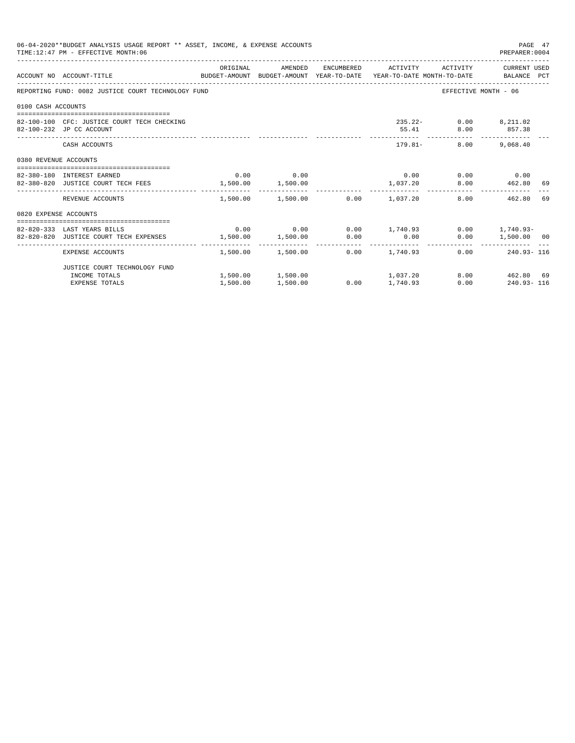|                       | 06-04-2020**BUDGET ANALYSIS USAGE REPORT ** ASSET, INCOME, & EXPENSE ACCOUNTS<br>TIME: 12:47 PM - EFFECTIVE MONTH: 06 |                   |                                                   |                 |                                | PAGE 47<br>PREPARER: 0004 |    |
|-----------------------|-----------------------------------------------------------------------------------------------------------------------|-------------------|---------------------------------------------------|-----------------|--------------------------------|---------------------------|----|
|                       | BUDGET-AMOUNT BUDGET-AMOUNT YEAR-TO-DATE YEAR-TO-DATE MONTH-TO-DATE BALANCE PCT<br>ACCOUNT NO ACCOUNT-TITLE           | ORIGINAL          | AMENDED ENCUMBERED ACTIVITY ACTIVITY CURRENT_USED |                 |                                |                           |    |
|                       | REPORTING FUND: 0082 JUSTICE COURT TECHNOLOGY FUND                                                                    |                   |                                                   |                 | EFFECTIVE MONTH - 06           |                           |    |
| 0100 CASH ACCOUNTS    |                                                                                                                       |                   |                                                   |                 |                                |                           |    |
|                       | 82-100-100 CFC: JUSTICE COURT TECH CHECKING<br>82-100-232 JP CC ACCOUNT                                               |                   |                                                   |                 | 235.22- 0.00 8,211.02<br>55.41 | 8.00 857.38               |    |
|                       | CASH ACCOUNTS                                                                                                         |                   |                                                   | ------------    | $179.81 -$                     | 8.00 9,068.40             |    |
| 0380 REVENUE ACCOUNTS |                                                                                                                       |                   |                                                   |                 |                                |                           |    |
|                       | 82-380-180 INTEREST EARNED                                                                                            |                   | $0.00$ 0.00                                       |                 | $0.00$ $0.00$ $0.00$ $0.00$    |                           |    |
|                       | 82-380-820 JUSTICE COURT TECH FEES 1,500.00 1,500.00                                                                  |                   |                                                   | 1,037.20        |                                | 8.00   462.80   69        |    |
|                       | REVENUE ACCOUNTS                                                                                                      |                   | $1.500.00$ $1.500.00$ $0.00$ $1.037.20$           |                 |                                | 8.00<br>462.80            | 69 |
| 0820 EXPENSE ACCOUNTS |                                                                                                                       |                   |                                                   |                 |                                |                           |    |
|                       | ----------------------------------                                                                                    |                   |                                                   |                 |                                |                           |    |
|                       | 82-820-333 LAST YEARS BILLS                                                                                           |                   | $0.00$ $0.00$ $0.00$ $1,740.93$                   |                 |                                | $0.00$ 1,740.93-          |    |
|                       | 82-820-820 JUSTICE COURT TECH EXPENSES                                                                                | 1,500.00 1,500.00 |                                                   | $0.00$ 0.00     |                                | 0.00 1,500.00 00          |    |
|                       | EXPENSE ACCOUNTS                                                                                                      |                   | $1.500.00$ $1.500.00$ $0.00$ $1.740.93$           |                 |                                | $0.00$ 240.93-116         |    |
|                       | JUSTICE COURT TECHNOLOGY FUND                                                                                         |                   |                                                   |                 |                                |                           |    |
|                       | INCOME TOTALS                                                                                                         |                   | $1,500.00$ $1,500.00$ $1,037.20$                  |                 |                                | 8.00 462.80 69            |    |
|                       | <b>EXPENSE TOTALS</b>                                                                                                 | 1,500.00          | 1,500.00                                          | $0.00$ 1,740.93 |                                | $0.00$ 240.93-116         |    |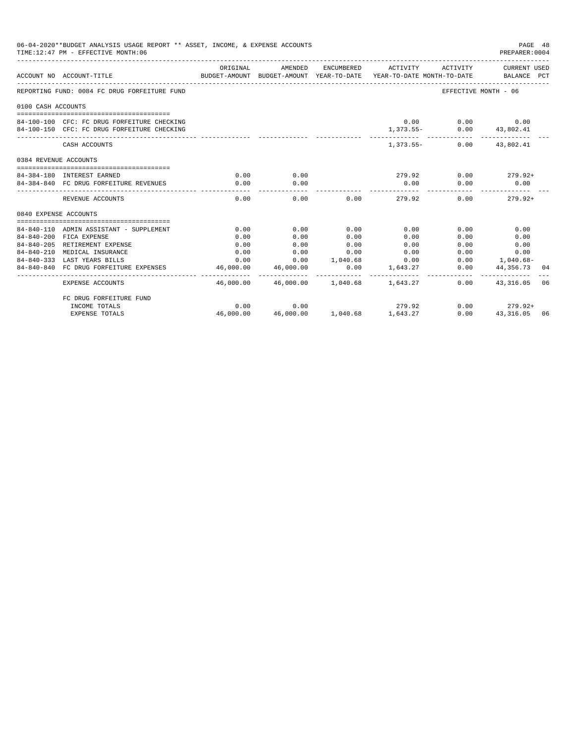|                       | 06-04-2020**BUDGET ANALYSIS USAGE REPORT ** ASSET, INCOME, & EXPENSE ACCOUNTS<br>TIME: 12:47 PM - EFFECTIVE MONTH: 06 |                                                                                             |                                          |                     |                             |                                           | PAGE 48<br>PREPARER:0004                |    |
|-----------------------|-----------------------------------------------------------------------------------------------------------------------|---------------------------------------------------------------------------------------------|------------------------------------------|---------------------|-----------------------------|-------------------------------------------|-----------------------------------------|----|
|                       | ACCOUNT NO ACCOUNT-TITLE                                                                                              | ORIGINAL<br>BUDGET-AMOUNT BUDGET-AMOUNT YEAR-TO-DATE YEAR-TO-DATE MONTH-TO-DATE BALANCE PCT | AMENDED                                  |                     |                             | ENCUMBERED ACTIVITY ACTIVITY CURRENT USED |                                         |    |
|                       | REPORTING FUND: 0084 FC DRUG FORFEITURE FUND                                                                          |                                                                                             |                                          |                     |                             |                                           | EFFECTIVE MONTH - 06                    |    |
| 0100 CASH ACCOUNTS    |                                                                                                                       |                                                                                             |                                          |                     |                             |                                           |                                         |    |
|                       |                                                                                                                       |                                                                                             |                                          |                     |                             |                                           |                                         |    |
|                       | 84-100-100 CFC: FC DRUG FORFEITURE CHECKING                                                                           |                                                                                             |                                          |                     |                             | $0.00$ $0.00$ $0.00$                      |                                         |    |
|                       | 84-100-150 CFC: FC DRUG FORFEITURE CHECKING                                                                           |                                                                                             |                                          |                     |                             | 1,373.55- 0.00 43,802.41                  |                                         |    |
|                       | CASH ACCOUNTS                                                                                                         |                                                                                             |                                          |                     |                             | 1,373.55 - 0.00 43,802.41                 |                                         |    |
| 0384 REVENUE ACCOUNTS |                                                                                                                       |                                                                                             |                                          |                     |                             |                                           |                                         |    |
|                       |                                                                                                                       |                                                                                             |                                          |                     |                             |                                           |                                         |    |
|                       | 84-384-180 INTEREST EARNED                                                                                            | 0.00                                                                                        | 0.00                                     |                     |                             | $279.92$ 0.00 $279.92+$                   |                                         |    |
|                       | 84-384-840 FC DRUG FORFEITURE REVENUES                                                                                | 0.00                                                                                        | 0.00                                     |                     | 0.00                        | 0.00                                      | 0.00                                    |    |
|                       | REVENUE ACCOUNTS                                                                                                      | 0.00                                                                                        | 0.00                                     |                     | $0.00$ 279.92               |                                           | 0.00<br>$279.92+$                       |    |
| 0840 EXPENSE ACCOUNTS |                                                                                                                       |                                                                                             |                                          |                     |                             |                                           |                                         |    |
|                       |                                                                                                                       |                                                                                             |                                          |                     |                             |                                           |                                         |    |
|                       | 84-840-110 ADMIN ASSISTANT - SUPPLEMENT                                                                               | 0.00                                                                                        | 0.00                                     | 0.00                | 0.00                        | 0.00                                      | 0.00                                    |    |
|                       | 84-840-200 FICA EXPENSE                                                                                               | 0.00                                                                                        | 0.00                                     | 0.00                | 0.00                        | 0.00                                      | 0.00                                    |    |
|                       | 84-840-205 RETIREMENT EXPENSE                                                                                         | 0.00                                                                                        | 0.00                                     | 0.00                | 0.00                        | 0.00                                      | 0.00                                    |    |
|                       | 84-840-210 MEDICAL INSURANCE                                                                                          | 0.00                                                                                        | 0.00                                     | 0.00                | 0.00                        |                                           | $0.00$ and $0.00$<br>0.00               |    |
|                       | 84-840-333 LAST YEARS BILLS                                                                                           |                                                                                             | $0.00$ $0.00$ $1.040.68$ $0.00$          |                     |                             |                                           | $0.00$ 1,040.68-                        |    |
|                       | 84-840-840 FC DRUG FORFEITURE EXPENSES                                                                                | 46,000.00<br>__________                                                                     | 46,000.00<br>-------------               | 0.00<br>----------- | 1,643.27                    | .                                         | $0.00$ $44,356.73$ 04<br>-------------- |    |
|                       | <b>EXPENSE ACCOUNTS</b>                                                                                               |                                                                                             | 46,000.00  46,000.00  1,040.68  1,643.27 |                     |                             |                                           | $0.00$ $43.316.05$                      | 06 |
|                       | FC DRUG FORFEITURE FUND                                                                                               |                                                                                             |                                          |                     |                             |                                           |                                         |    |
|                       | INCOME TOTALS                                                                                                         | 0.00                                                                                        | 0.00                                     |                     | 279.92                      |                                           | $0.00$ 279.92+                          |    |
|                       | <b>EXPENSE TOTALS</b>                                                                                                 | 46,000.00                                                                                   |                                          |                     | 46,000.00 1,040.68 1,643.27 | 0.00                                      | 43, 316.05 06                           |    |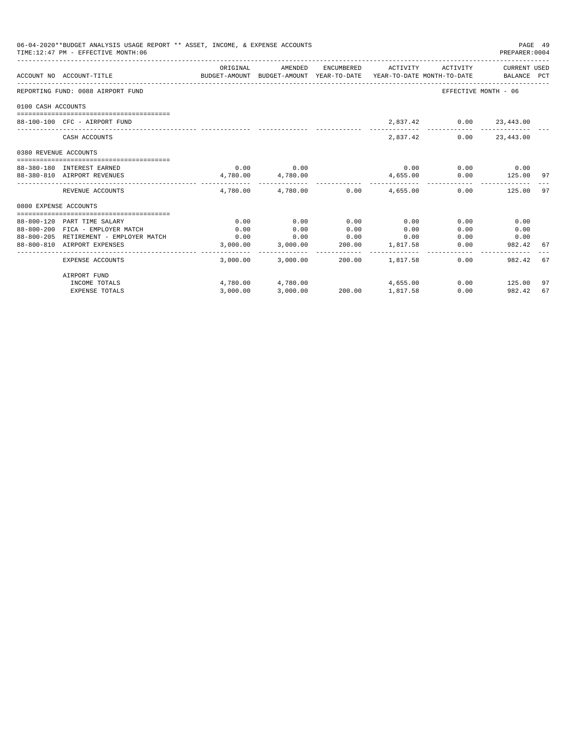| 06-04-2020**BUDGET ANALYSIS USAGE REPORT ** ASSET, INCOME, & EXPENSE ACCOUNTS<br>TIME: 12:47 PM - EFFECTIVE MONTH: 06 |                                        |                                                                                             |                          |      |                                           |                         | PAGE 49<br>PREPARER: 0004 |    |
|-----------------------------------------------------------------------------------------------------------------------|----------------------------------------|---------------------------------------------------------------------------------------------|--------------------------|------|-------------------------------------------|-------------------------|---------------------------|----|
|                                                                                                                       | ACCOUNT NO ACCOUNT-TITLE               | ORIGINAL<br>BUDGET-AMOUNT BUDGET-AMOUNT YEAR-TO-DATE YEAR-TO-DATE MONTH-TO-DATE BALANCE PCT | AMENDED                  |      | ENCUMBERED ACTIVITY ACTIVITY CURRENT USED |                         |                           |    |
|                                                                                                                       | REPORTING FUND: 0088 AIRPORT FUND      |                                                                                             |                          |      |                                           | EFFECTIVE MONTH - 06    |                           |    |
| 0100 CASH ACCOUNTS                                                                                                    |                                        |                                                                                             |                          |      |                                           |                         |                           |    |
|                                                                                                                       | 88-100-100 CFC - AIRPORT FUND          |                                                                                             |                          |      |                                           | 2,837.42 0.00 23,443.00 |                           |    |
|                                                                                                                       | CASH ACCOUNTS                          |                                                                                             |                          |      |                                           | 2,837.42 0.00 23,443.00 |                           |    |
| 0380 REVENUE ACCOUNTS                                                                                                 |                                        |                                                                                             |                          |      |                                           |                         |                           |    |
|                                                                                                                       | 88-380-180 INTEREST EARNED             |                                                                                             | $0.00$ 0.00              |      |                                           | $0.00$ 0.00 0.00        |                           |    |
|                                                                                                                       | 88-380-810 AIRPORT REVENUES            |                                                                                             | 4,780.00 4,780.00        |      | 4,655.00                                  |                         | $0.00$ 125.00 97          |    |
|                                                                                                                       | REVENUE ACCOUNTS                       |                                                                                             | ______________           |      | $4,780.00$ $4,780.00$ $0.00$ $4,655.00$   |                         | $0.00$ 125.00             | 97 |
| 0800 EXPENSE ACCOUNTS                                                                                                 |                                        |                                                                                             |                          |      |                                           |                         |                           |    |
|                                                                                                                       | 88-800-120 PART TIME SALARY            | 0.00                                                                                        | 0.00                     | 0.00 | 0.00                                      | 0.00                    | 0.00                      |    |
|                                                                                                                       | 88-800-200 FICA - EMPLOYER MATCH       | 0.00                                                                                        | 0.00                     | 0.00 | 0.00                                      | 0.00                    | 0.00                      |    |
|                                                                                                                       | 88-800-205 RETIREMENT - EMPLOYER MATCH | 0.00                                                                                        | 0.00                     | 0.00 | 0.00                                      |                         | $0.00$ 0.00               |    |
|                                                                                                                       | 88-800-810 AIRPORT EXPENSES            |                                                                                             | 3,000.00 3,000.00 200.00 |      | 1,817.58                                  | 0.00                    | 982.42                    | 67 |
|                                                                                                                       | EXPENSE ACCOUNTS                       |                                                                                             | 3,000.00 3,000.00        |      | 200.00 1.817.58                           | 0.00                    | 982.42                    | 67 |
|                                                                                                                       | AIRPORT FUND                           |                                                                                             |                          |      |                                           |                         |                           |    |
|                                                                                                                       | INCOME TOTALS                          |                                                                                             |                          |      | $4,780.00$ $4,780.00$ $4,655.00$          |                         | $0.00$ 125.00             | 97 |
|                                                                                                                       | <b>EXPENSE TOTALS</b>                  | 3.000.00                                                                                    | 3,000.00                 |      | 200.00 1,817.58                           | 0.00                    | 982.42                    | 67 |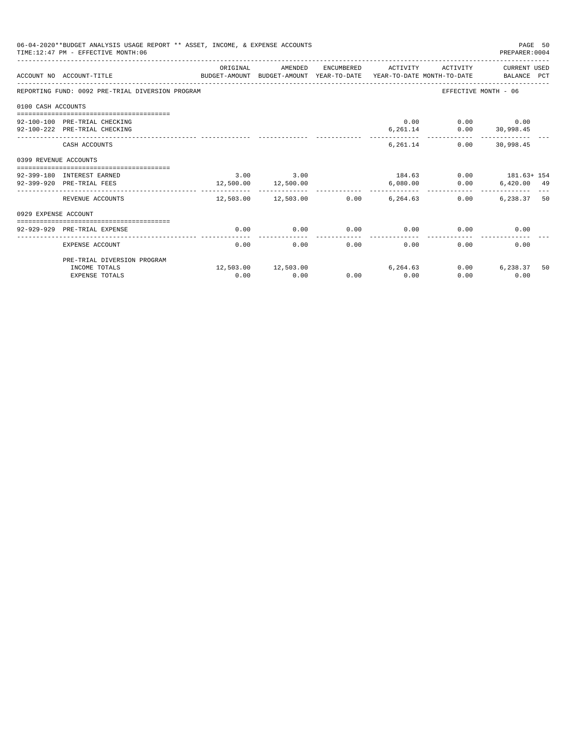| 06-04-2020**BUDGET ANALYSIS USAGE REPORT ** ASSET, INCOME, & EXPENSE ACCOUNTS<br>TIME: 12:47 PM - EFFECTIVE MONTH: 06 |                                                                                                             |          |                                       |      |                     |                                                         | PAGE 50<br>PREPARER: 0004 |    |
|-----------------------------------------------------------------------------------------------------------------------|-------------------------------------------------------------------------------------------------------------|----------|---------------------------------------|------|---------------------|---------------------------------------------------------|---------------------------|----|
|                                                                                                                       | ACCOUNT NO ACCOUNT-TITLE<br>BUDGET-AMOUNT BUDGET-AMOUNT YEAR-TO-DATE YEAR-TO-DATE MONTH-TO-DATE BALANCE PCT | ORIGINAL | AMENDED                               |      | ENCUMBERED ACTIVITY | ACTIVITY                                                | CURRENT USED              |    |
|                                                                                                                       | REPORTING FUND: 0092 PRE-TRIAL DIVERSION PROGRAM                                                            |          |                                       |      |                     |                                                         | EFFECTIVE MONTH - 06      |    |
| 0100 CASH ACCOUNTS                                                                                                    |                                                                                                             |          |                                       |      |                     |                                                         |                           |    |
|                                                                                                                       | 92-100-100 PRE-TRIAL CHECKING<br>92-100-222 PRE-TRIAL CHECKING                                              |          |                                       |      |                     | 0.00<br>$6,261.14$ $0.00$ $30,998.45$                   | $0.00$ 0.00               |    |
|                                                                                                                       | CASH ACCOUNTS                                                                                               |          |                                       |      |                     | __________________________<br>6, 261.14 0.00 30, 998.45 | --------------            |    |
| 0399 REVENUE ACCOUNTS                                                                                                 |                                                                                                             |          |                                       |      |                     |                                                         |                           |    |
|                                                                                                                       | 92-399-180 INTEREST EARNED<br>92-399-920 PRE-TRIAL FEES                                                     |          | 3.00 3.00<br>12,500.00 12,500.00      |      | 6.080.00            | $184.63$ 0.00 $181.63 + 154$                            | $0.00$ 6,420.00 49        |    |
|                                                                                                                       | REVENUE ACCOUNTS                                                                                            |          | $12.503.00$ $12.503.00$ 0.00 6.264.63 |      | ------------        | 0.00                                                    | $6.238.37$ 50             |    |
| 0929 EXPENSE ACCOUNT                                                                                                  |                                                                                                             |          |                                       |      |                     |                                                         |                           |    |
|                                                                                                                       | 92-929-929 PRE-TRIAL EXPENSE                                                                                | 0.00     | 0.00                                  | 0.00 | 0.00                |                                                         | 0.00<br>0.00              |    |
|                                                                                                                       | EXPENSE ACCOUNT                                                                                             | 0.00     | 0.00                                  | 0.00 | 0.00                | 0.00                                                    | 0.00                      |    |
|                                                                                                                       | PRE-TRIAL DIVERSION PROGRAM                                                                                 |          |                                       |      |                     |                                                         |                           |    |
|                                                                                                                       | INCOME TOTALS<br><b>EXPENSE TOTALS</b>                                                                      | 0.00     | 12,503.00 12,503.00<br>0.00           | 0.00 | 6, 264, 63<br>0.00  | 0.00<br>0.00                                            | 6,238.37<br>0.00          | 50 |